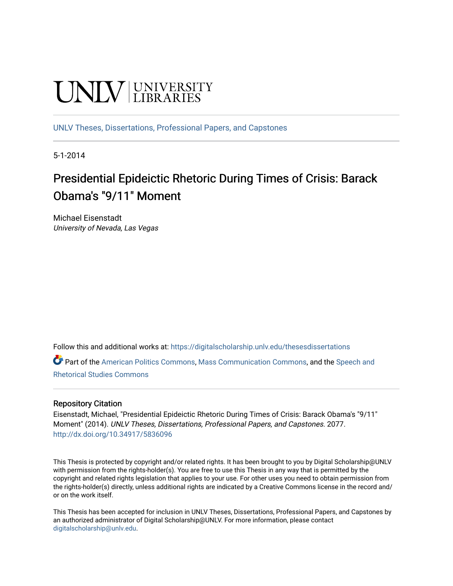# **UNIVERSITY**

[UNLV Theses, Dissertations, Professional Papers, and Capstones](https://digitalscholarship.unlv.edu/thesesdissertations)

5-1-2014

# Presidential Epideictic Rhetoric During Times of Crisis: Barack Obama's "9/11" Moment

Michael Eisenstadt University of Nevada, Las Vegas

Follow this and additional works at: [https://digitalscholarship.unlv.edu/thesesdissertations](https://digitalscholarship.unlv.edu/thesesdissertations?utm_source=digitalscholarship.unlv.edu%2Fthesesdissertations%2F2077&utm_medium=PDF&utm_campaign=PDFCoverPages)

Part of the [American Politics Commons,](http://network.bepress.com/hgg/discipline/387?utm_source=digitalscholarship.unlv.edu%2Fthesesdissertations%2F2077&utm_medium=PDF&utm_campaign=PDFCoverPages) [Mass Communication Commons,](http://network.bepress.com/hgg/discipline/334?utm_source=digitalscholarship.unlv.edu%2Fthesesdissertations%2F2077&utm_medium=PDF&utm_campaign=PDFCoverPages) and the [Speech and](http://network.bepress.com/hgg/discipline/338?utm_source=digitalscholarship.unlv.edu%2Fthesesdissertations%2F2077&utm_medium=PDF&utm_campaign=PDFCoverPages)  [Rhetorical Studies Commons](http://network.bepress.com/hgg/discipline/338?utm_source=digitalscholarship.unlv.edu%2Fthesesdissertations%2F2077&utm_medium=PDF&utm_campaign=PDFCoverPages) 

#### Repository Citation

Eisenstadt, Michael, "Presidential Epideictic Rhetoric During Times of Crisis: Barack Obama's "9/11" Moment" (2014). UNLV Theses, Dissertations, Professional Papers, and Capstones. 2077. <http://dx.doi.org/10.34917/5836096>

This Thesis is protected by copyright and/or related rights. It has been brought to you by Digital Scholarship@UNLV with permission from the rights-holder(s). You are free to use this Thesis in any way that is permitted by the copyright and related rights legislation that applies to your use. For other uses you need to obtain permission from the rights-holder(s) directly, unless additional rights are indicated by a Creative Commons license in the record and/ or on the work itself.

This Thesis has been accepted for inclusion in UNLV Theses, Dissertations, Professional Papers, and Capstones by an authorized administrator of Digital Scholarship@UNLV. For more information, please contact [digitalscholarship@unlv.edu](mailto:digitalscholarship@unlv.edu).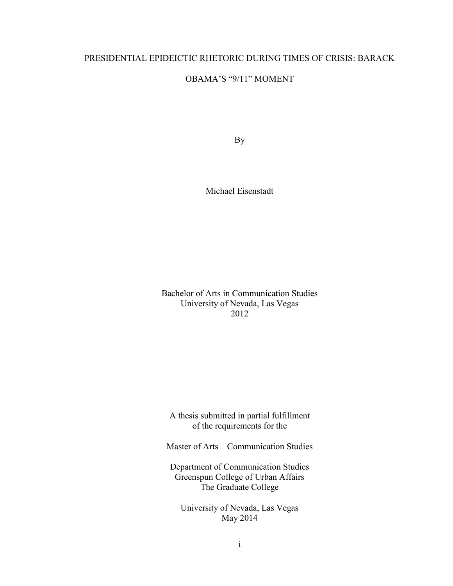## PRESIDENTIAL EPIDEICTIC RHETORIC DURING TIMES OF CRISIS: BARACK

## OBAMA'S "9/11" MOMENT

By

Michael Eisenstadt

Bachelor of Arts in Communication Studies University of Nevada, Las Vegas 2012

A thesis submitted in partial fulfillment of the requirements for the

Master of Arts – Communication Studies

Department of Communication Studies Greenspun College of Urban Affairs The Graduate College

University of Nevada, Las Vegas May 2014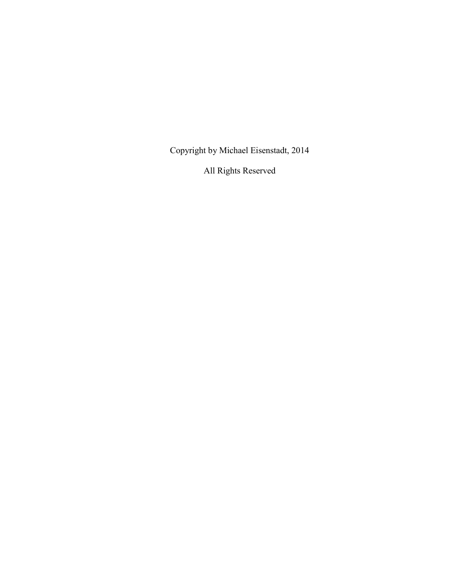Copyright by Michael Eisenstadt, 2014

All Rights Reserved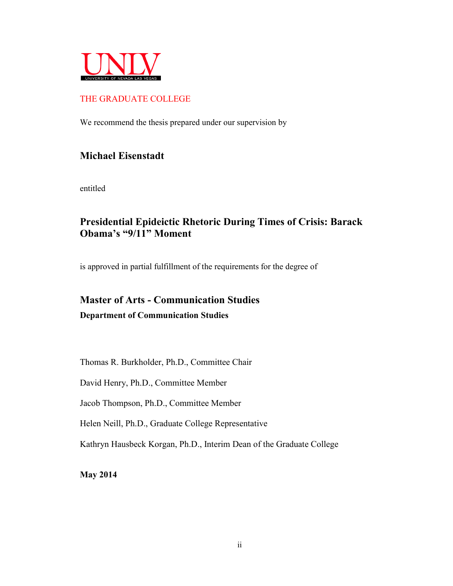

# THE GRADUATE COLLEGE

We recommend the thesis prepared under our supervision by

# **Michael Eisenstadt**

entitled

# **Presidential Epideictic Rhetoric During Times of Crisis: Barack Obama's "9/11" Moment**

is approved in partial fulfillment of the requirements for the degree of

# **Master of Arts - Communication Studies Department of Communication Studies**

Thomas R. Burkholder, Ph.D., Committee Chair

David Henry, Ph.D., Committee Member

Jacob Thompson, Ph.D., Committee Member

Helen Neill, Ph.D., Graduate College Representative

Kathryn Hausbeck Korgan, Ph.D., Interim Dean of the Graduate College

**May 2014**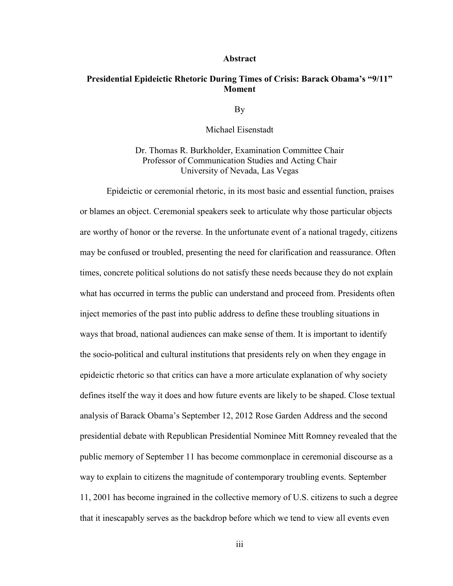#### **Abstract**

## **Presidential Epideictic Rhetoric During Times of Crisis: Barack Obama's "9/11" Moment**

By

Michael Eisenstadt

Dr. Thomas R. Burkholder, Examination Committee Chair Professor of Communication Studies and Acting Chair University of Nevada, Las Vegas

Epideictic or ceremonial rhetoric, in its most basic and essential function, praises or blames an object. Ceremonial speakers seek to articulate why those particular objects are worthy of honor or the reverse. In the unfortunate event of a national tragedy, citizens may be confused or troubled, presenting the need for clarification and reassurance. Often times, concrete political solutions do not satisfy these needs because they do not explain what has occurred in terms the public can understand and proceed from. Presidents often inject memories of the past into public address to define these troubling situations in ways that broad, national audiences can make sense of them. It is important to identify the socio-political and cultural institutions that presidents rely on when they engage in epideictic rhetoric so that critics can have a more articulate explanation of why society defines itself the way it does and how future events are likely to be shaped. Close textual analysis of Barack Obama's September 12, 2012 Rose Garden Address and the second presidential debate with Republican Presidential Nominee Mitt Romney revealed that the public memory of September 11 has become commonplace in ceremonial discourse as a way to explain to citizens the magnitude of contemporary troubling events. September 11, 2001 has become ingrained in the collective memory of U.S. citizens to such a degree that it inescapably serves as the backdrop before which we tend to view all events even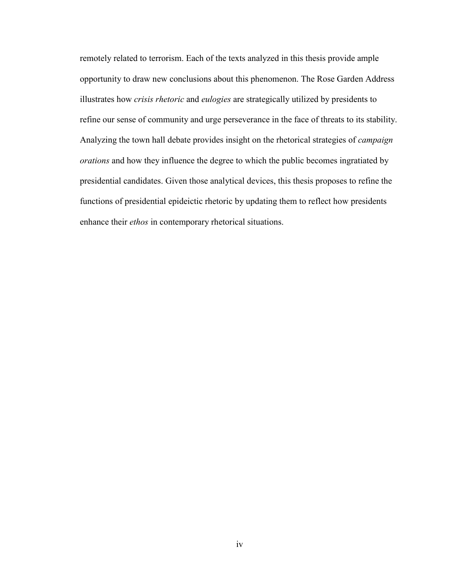remotely related to terrorism. Each of the texts analyzed in this thesis provide ample opportunity to draw new conclusions about this phenomenon. The Rose Garden Address illustrates how *crisis rhetoric* and *eulogies* are strategically utilized by presidents to refine our sense of community and urge perseverance in the face of threats to its stability. Analyzing the town hall debate provides insight on the rhetorical strategies of *campaign orations* and how they influence the degree to which the public becomes ingratiated by presidential candidates. Given those analytical devices, this thesis proposes to refine the functions of presidential epideictic rhetoric by updating them to reflect how presidents enhance their *ethos* in contemporary rhetorical situations.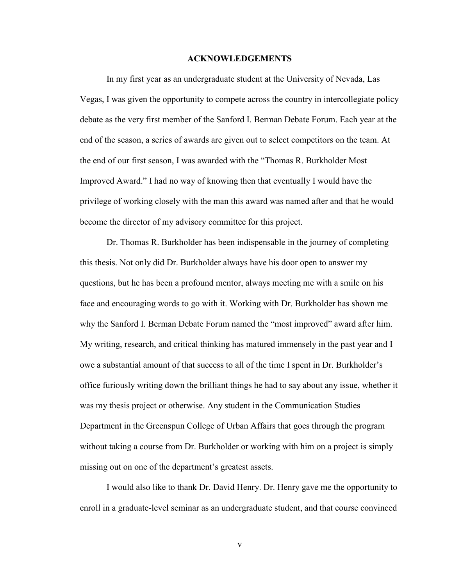#### **ACKNOWLEDGEMENTS**

In my first year as an undergraduate student at the University of Nevada, Las Vegas, I was given the opportunity to compete across the country in intercollegiate policy debate as the very first member of the Sanford I. Berman Debate Forum. Each year at the end of the season, a series of awards are given out to select competitors on the team. At the end of our first season, I was awarded with the "Thomas R. Burkholder Most Improved Award." I had no way of knowing then that eventually I would have the privilege of working closely with the man this award was named after and that he would become the director of my advisory committee for this project.

Dr. Thomas R. Burkholder has been indispensable in the journey of completing this thesis. Not only did Dr. Burkholder always have his door open to answer my questions, but he has been a profound mentor, always meeting me with a smile on his face and encouraging words to go with it. Working with Dr. Burkholder has shown me why the Sanford I. Berman Debate Forum named the "most improved" award after him. My writing, research, and critical thinking has matured immensely in the past year and I owe a substantial amount of that success to all of the time I spent in Dr. Burkholder's office furiously writing down the brilliant things he had to say about any issue, whether it was my thesis project or otherwise. Any student in the Communication Studies Department in the Greenspun College of Urban Affairs that goes through the program without taking a course from Dr. Burkholder or working with him on a project is simply missing out on one of the department's greatest assets.

I would also like to thank Dr. David Henry. Dr. Henry gave me the opportunity to enroll in a graduate-level seminar as an undergraduate student, and that course convinced

v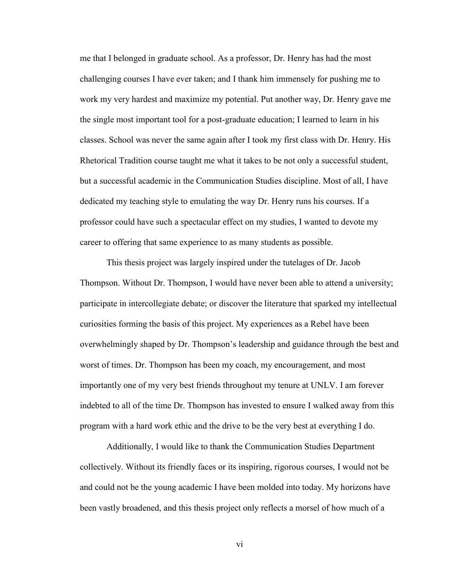me that I belonged in graduate school. As a professor, Dr. Henry has had the most challenging courses I have ever taken; and I thank him immensely for pushing me to work my very hardest and maximize my potential. Put another way, Dr. Henry gave me the single most important tool for a post-graduate education; I learned to learn in his classes. School was never the same again after I took my first class with Dr. Henry. His Rhetorical Tradition course taught me what it takes to be not only a successful student, but a successful academic in the Communication Studies discipline. Most of all, I have dedicated my teaching style to emulating the way Dr. Henry runs his courses. If a professor could have such a spectacular effect on my studies, I wanted to devote my career to offering that same experience to as many students as possible.

This thesis project was largely inspired under the tutelages of Dr. Jacob Thompson. Without Dr. Thompson, I would have never been able to attend a university; participate in intercollegiate debate; or discover the literature that sparked my intellectual curiosities forming the basis of this project. My experiences as a Rebel have been overwhelmingly shaped by Dr. Thompson's leadership and guidance through the best and worst of times. Dr. Thompson has been my coach, my encouragement, and most importantly one of my very best friends throughout my tenure at UNLV. I am forever indebted to all of the time Dr. Thompson has invested to ensure I walked away from this program with a hard work ethic and the drive to be the very best at everything I do.

Additionally, I would like to thank the Communication Studies Department collectively. Without its friendly faces or its inspiring, rigorous courses, I would not be and could not be the young academic I have been molded into today. My horizons have been vastly broadened, and this thesis project only reflects a morsel of how much of a

vi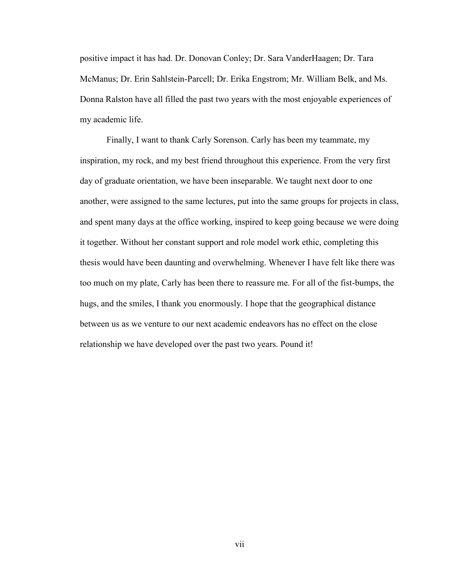positive impact it has had. Dr. Donovan Conley; Dr. Sara VanderHaagen; Dr. Tara McManus; Dr. Erin Sahlstein-Parcell; Dr. Erika Engstrom; Mr. William Belk, and Ms. Donna Ralston have all filled the past two years with the most enjoyable experiences of my academic life.

Finally, I want to thank Carly Sorenson. Carly has been my teammate, my inspiration, my rock, and my best friend throughout this experience. From the very first day of graduate orientation, we have been inseparable. We taught next door to one another, were assigned to the same lectures, put into the same groups for projects in class, and spent many days at the office working, inspired to keep going because we were doing it together. Without her constant support and role model work ethic, completing this thesis would have been daunting and overwhelming. Whenever I have felt like there was too much on my plate, Carly has been there to reassure me. For all of the fist-bumps, the hugs, and the smiles, I thank you enormously. I hope that the geographical distance between us as we venture to our next academic endeavors has no effect on the close relationship we have developed over the past two years. Pound it!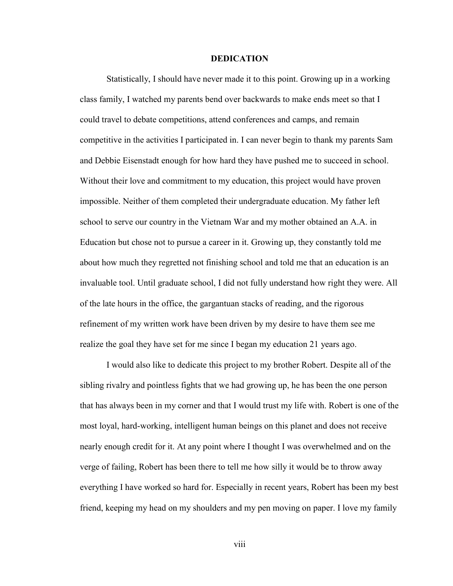#### **DEDICATION**

Statistically, I should have never made it to this point. Growing up in a working class family, I watched my parents bend over backwards to make ends meet so that I could travel to debate competitions, attend conferences and camps, and remain competitive in the activities I participated in. I can never begin to thank my parents Sam and Debbie Eisenstadt enough for how hard they have pushed me to succeed in school. Without their love and commitment to my education, this project would have proven impossible. Neither of them completed their undergraduate education. My father left school to serve our country in the Vietnam War and my mother obtained an A.A. in Education but chose not to pursue a career in it. Growing up, they constantly told me about how much they regretted not finishing school and told me that an education is an invaluable tool. Until graduate school, I did not fully understand how right they were. All of the late hours in the office, the gargantuan stacks of reading, and the rigorous refinement of my written work have been driven by my desire to have them see me realize the goal they have set for me since I began my education 21 years ago.

I would also like to dedicate this project to my brother Robert. Despite all of the sibling rivalry and pointless fights that we had growing up, he has been the one person that has always been in my corner and that I would trust my life with. Robert is one of the most loyal, hard-working, intelligent human beings on this planet and does not receive nearly enough credit for it. At any point where I thought I was overwhelmed and on the verge of failing, Robert has been there to tell me how silly it would be to throw away everything I have worked so hard for. Especially in recent years, Robert has been my best friend, keeping my head on my shoulders and my pen moving on paper. I love my family

viii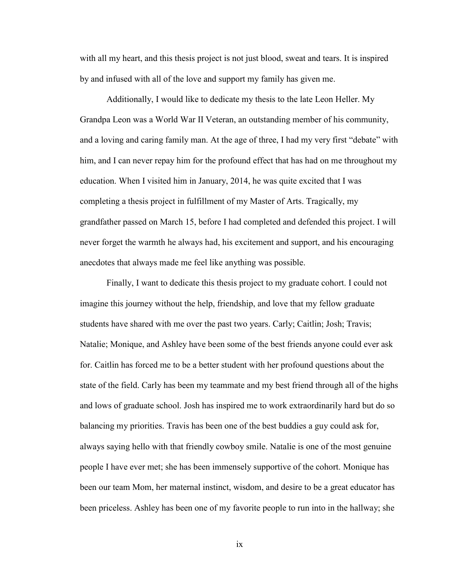with all my heart, and this thesis project is not just blood, sweat and tears. It is inspired by and infused with all of the love and support my family has given me.

Additionally, I would like to dedicate my thesis to the late Leon Heller. My Grandpa Leon was a World War II Veteran, an outstanding member of his community, and a loving and caring family man. At the age of three, I had my very first "debate" with him, and I can never repay him for the profound effect that has had on me throughout my education. When I visited him in January, 2014, he was quite excited that I was completing a thesis project in fulfillment of my Master of Arts. Tragically, my grandfather passed on March 15, before I had completed and defended this project. I will never forget the warmth he always had, his excitement and support, and his encouraging anecdotes that always made me feel like anything was possible.

Finally, I want to dedicate this thesis project to my graduate cohort. I could not imagine this journey without the help, friendship, and love that my fellow graduate students have shared with me over the past two years. Carly; Caitlin; Josh; Travis; Natalie; Monique, and Ashley have been some of the best friends anyone could ever ask for. Caitlin has forced me to be a better student with her profound questions about the state of the field. Carly has been my teammate and my best friend through all of the highs and lows of graduate school. Josh has inspired me to work extraordinarily hard but do so balancing my priorities. Travis has been one of the best buddies a guy could ask for, always saying hello with that friendly cowboy smile. Natalie is one of the most genuine people I have ever met; she has been immensely supportive of the cohort. Monique has been our team Mom, her maternal instinct, wisdom, and desire to be a great educator has been priceless. Ashley has been one of my favorite people to run into in the hallway; she

ix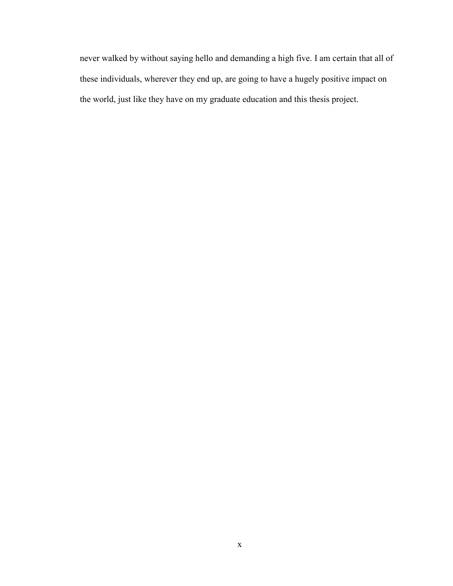never walked by without saying hello and demanding a high five. I am certain that all of these individuals, wherever they end up, are going to have a hugely positive impact on the world, just like they have on my graduate education and this thesis project.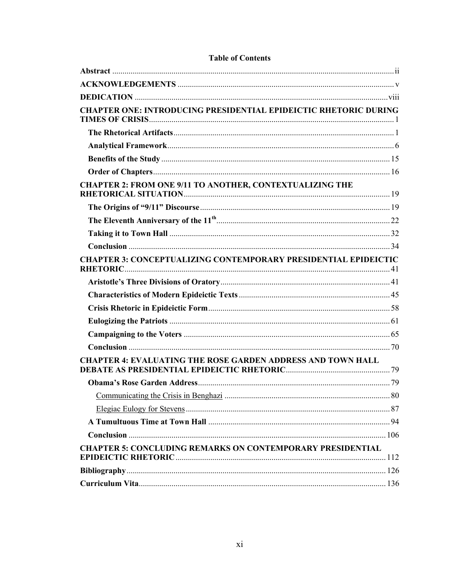| <b>CHAPTER ONE: INTRODUCING PRESIDENTIAL EPIDEICTIC RHETORIC DURING</b> |  |
|-------------------------------------------------------------------------|--|
|                                                                         |  |
|                                                                         |  |
|                                                                         |  |
|                                                                         |  |
| <b>CHAPTER 2: FROM ONE 9/11 TO ANOTHER, CONTEXTUALIZING THE</b>         |  |
|                                                                         |  |
|                                                                         |  |
|                                                                         |  |
|                                                                         |  |
| <b>CHAPTER 3: CONCEPTUALIZING CONTEMPORARY PRESIDENTIAL EPIDEICTIC</b>  |  |
|                                                                         |  |
|                                                                         |  |
|                                                                         |  |
|                                                                         |  |
|                                                                         |  |
|                                                                         |  |
| <b>CHAPTER 4: EVALUATING THE ROSE GARDEN ADDRESS AND TOWN HALL</b>      |  |
|                                                                         |  |
|                                                                         |  |
|                                                                         |  |
|                                                                         |  |
|                                                                         |  |
| <b>CHAPTER 5: CONCLUDING REMARKS ON CONTEMPORARY PRESIDENTIAL</b>       |  |
|                                                                         |  |
|                                                                         |  |

#### **Table of Contents**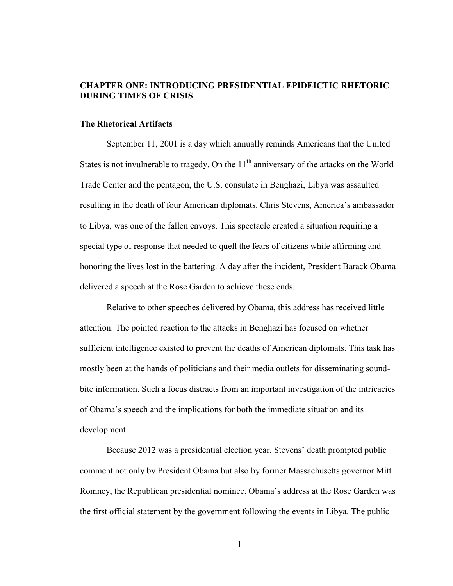### **CHAPTER ONE: INTRODUCING PRESIDENTIAL EPIDEICTIC RHETORIC DURING TIMES OF CRISIS**

#### **The Rhetorical Artifacts**

September 11, 2001 is a day which annually reminds Americans that the United States is not invulnerable to tragedy. On the  $11<sup>th</sup>$  anniversary of the attacks on the World Trade Center and the pentagon, the U.S. consulate in Benghazi, Libya was assaulted resulting in the death of four American diplomats. Chris Stevens, America's ambassador to Libya, was one of the fallen envoys. This spectacle created a situation requiring a special type of response that needed to quell the fears of citizens while affirming and honoring the lives lost in the battering. A day after the incident, President Barack Obama delivered a speech at the Rose Garden to achieve these ends.

Relative to other speeches delivered by Obama, this address has received little attention. The pointed reaction to the attacks in Benghazi has focused on whether sufficient intelligence existed to prevent the deaths of American diplomats. This task has mostly been at the hands of politicians and their media outlets for disseminating soundbite information. Such a focus distracts from an important investigation of the intricacies of Obama's speech and the implications for both the immediate situation and its development.

Because 2012 was a presidential election year, Stevens' death prompted public comment not only by President Obama but also by former Massachusetts governor Mitt Romney, the Republican presidential nominee. Obama's address at the Rose Garden was the first official statement by the government following the events in Libya. The public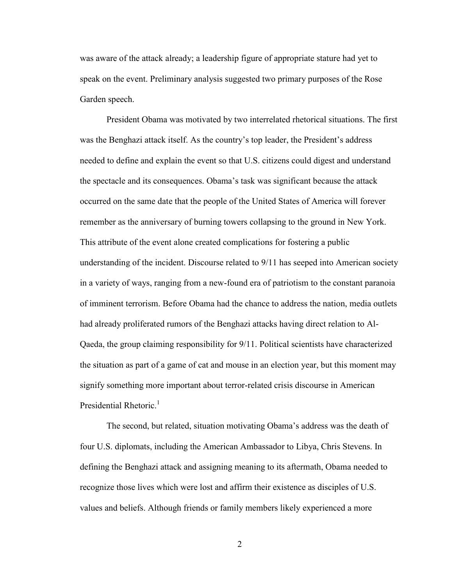was aware of the attack already; a leadership figure of appropriate stature had yet to speak on the event. Preliminary analysis suggested two primary purposes of the Rose Garden speech.

President Obama was motivated by two interrelated rhetorical situations. The first was the Benghazi attack itself. As the country's top leader, the President's address needed to define and explain the event so that U.S. citizens could digest and understand the spectacle and its consequences. Obama's task was significant because the attack occurred on the same date that the people of the United States of America will forever remember as the anniversary of burning towers collapsing to the ground in New York. This attribute of the event alone created complications for fostering a public understanding of the incident. Discourse related to 9/11 has seeped into American society in a variety of ways, ranging from a new-found era of patriotism to the constant paranoia of imminent terrorism. Before Obama had the chance to address the nation, media outlets had already proliferated rumors of the Benghazi attacks having direct relation to Al-Qaeda, the group claiming responsibility for 9/11. Political scientists have characterized the situation as part of a game of cat and mouse in an election year, but this moment may signify something more important about terror-related crisis discourse in American Presidential Rhetoric.<sup>1</sup>

The second, but related, situation motivating Obama's address was the death of four U.S. diplomats, including the American Ambassador to Libya, Chris Stevens. In defining the Benghazi attack and assigning meaning to its aftermath, Obama needed to recognize those lives which were lost and affirm their existence as disciples of U.S. values and beliefs. Although friends or family members likely experienced a more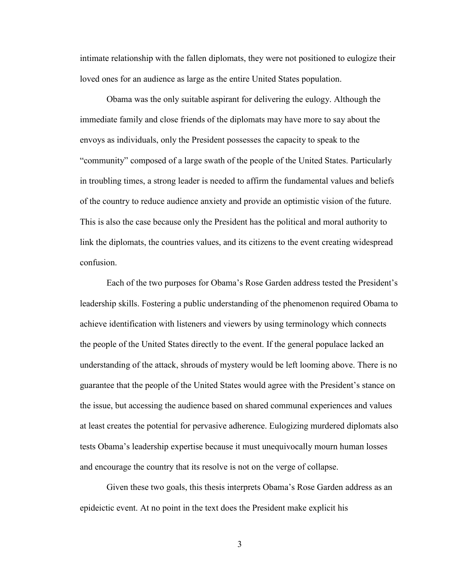intimate relationship with the fallen diplomats, they were not positioned to eulogize their loved ones for an audience as large as the entire United States population.

Obama was the only suitable aspirant for delivering the eulogy. Although the immediate family and close friends of the diplomats may have more to say about the envoys as individuals, only the President possesses the capacity to speak to the "community" composed of a large swath of the people of the United States. Particularly in troubling times, a strong leader is needed to affirm the fundamental values and beliefs of the country to reduce audience anxiety and provide an optimistic vision of the future. This is also the case because only the President has the political and moral authority to link the diplomats, the countries values, and its citizens to the event creating widespread confusion.

Each of the two purposes for Obama's Rose Garden address tested the President's leadership skills. Fostering a public understanding of the phenomenon required Obama to achieve identification with listeners and viewers by using terminology which connects the people of the United States directly to the event. If the general populace lacked an understanding of the attack, shrouds of mystery would be left looming above. There is no guarantee that the people of the United States would agree with the President's stance on the issue, but accessing the audience based on shared communal experiences and values at least creates the potential for pervasive adherence. Eulogizing murdered diplomats also tests Obama's leadership expertise because it must unequivocally mourn human losses and encourage the country that its resolve is not on the verge of collapse.

Given these two goals, this thesis interprets Obama's Rose Garden address as an epideictic event. At no point in the text does the President make explicit his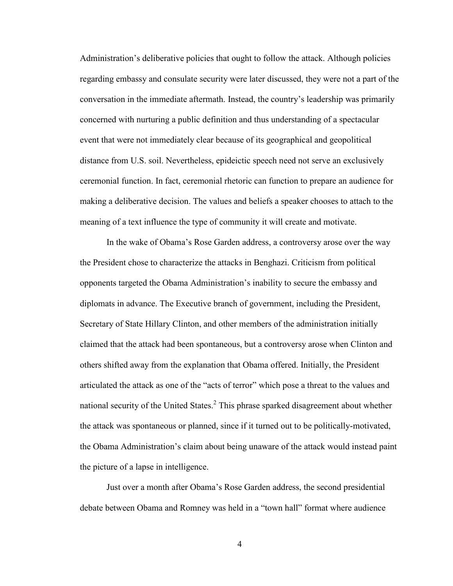Administration's deliberative policies that ought to follow the attack. Although policies regarding embassy and consulate security were later discussed, they were not a part of the conversation in the immediate aftermath. Instead, the country's leadership was primarily concerned with nurturing a public definition and thus understanding of a spectacular event that were not immediately clear because of its geographical and geopolitical distance from U.S. soil. Nevertheless, epideictic speech need not serve an exclusively ceremonial function. In fact, ceremonial rhetoric can function to prepare an audience for making a deliberative decision. The values and beliefs a speaker chooses to attach to the meaning of a text influence the type of community it will create and motivate.

In the wake of Obama's Rose Garden address, a controversy arose over the way the President chose to characterize the attacks in Benghazi. Criticism from political opponents targeted the Obama Administration's inability to secure the embassy and diplomats in advance. The Executive branch of government, including the President, Secretary of State Hillary Clinton, and other members of the administration initially claimed that the attack had been spontaneous, but a controversy arose when Clinton and others shifted away from the explanation that Obama offered. Initially, the President articulated the attack as one of the "acts of terror" which pose a threat to the values and national security of the United States. $^2$  This phrase sparked disagreement about whether the attack was spontaneous or planned, since if it turned out to be politically-motivated, the Obama Administration's claim about being unaware of the attack would instead paint the picture of a lapse in intelligence.

Just over a month after Obama's Rose Garden address, the second presidential debate between Obama and Romney was held in a "town hall" format where audience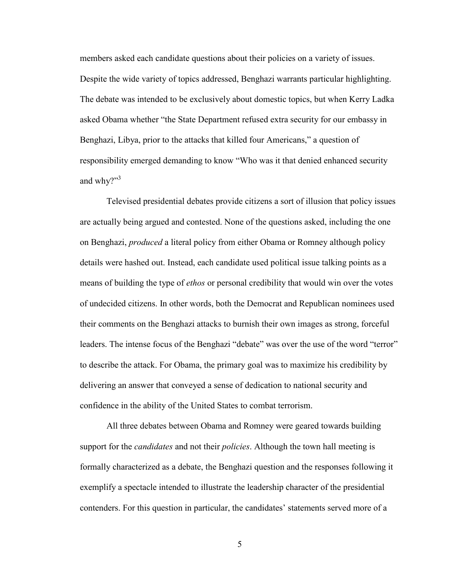members asked each candidate questions about their policies on a variety of issues. Despite the wide variety of topics addressed, Benghazi warrants particular highlighting. The debate was intended to be exclusively about domestic topics, but when Kerry Ladka asked Obama whether "the State Department refused extra security for our embassy in Benghazi, Libya, prior to the attacks that killed four Americans," a question of responsibility emerged demanding to know "Who was it that denied enhanced security and why?"<sup>3</sup>

Televised presidential debates provide citizens a sort of illusion that policy issues are actually being argued and contested. None of the questions asked, including the one on Benghazi, *produced* a literal policy from either Obama or Romney although policy details were hashed out. Instead, each candidate used political issue talking points as a means of building the type of *ethos* or personal credibility that would win over the votes of undecided citizens. In other words, both the Democrat and Republican nominees used their comments on the Benghazi attacks to burnish their own images as strong, forceful leaders. The intense focus of the Benghazi "debate" was over the use of the word "terror" to describe the attack. For Obama, the primary goal was to maximize his credibility by delivering an answer that conveyed a sense of dedication to national security and confidence in the ability of the United States to combat terrorism.

All three debates between Obama and Romney were geared towards building support for the *candidates* and not their *policies*. Although the town hall meeting is formally characterized as a debate, the Benghazi question and the responses following it exemplify a spectacle intended to illustrate the leadership character of the presidential contenders. For this question in particular, the candidates' statements served more of a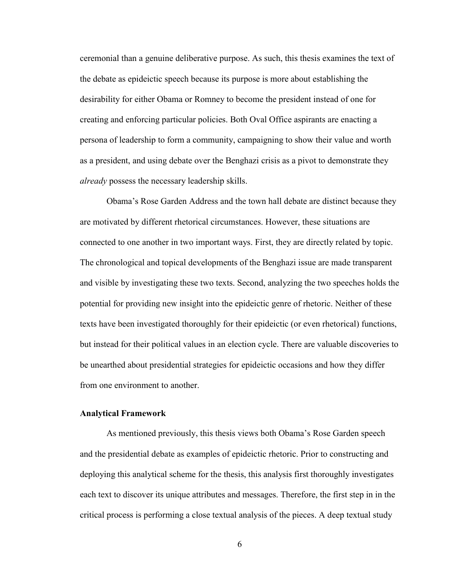ceremonial than a genuine deliberative purpose. As such, this thesis examines the text of the debate as epideictic speech because its purpose is more about establishing the desirability for either Obama or Romney to become the president instead of one for creating and enforcing particular policies. Both Oval Office aspirants are enacting a persona of leadership to form a community, campaigning to show their value and worth as a president, and using debate over the Benghazi crisis as a pivot to demonstrate they *already* possess the necessary leadership skills.

Obama's Rose Garden Address and the town hall debate are distinct because they are motivated by different rhetorical circumstances. However, these situations are connected to one another in two important ways. First, they are directly related by topic. The chronological and topical developments of the Benghazi issue are made transparent and visible by investigating these two texts. Second, analyzing the two speeches holds the potential for providing new insight into the epideictic genre of rhetoric. Neither of these texts have been investigated thoroughly for their epideictic (or even rhetorical) functions, but instead for their political values in an election cycle. There are valuable discoveries to be unearthed about presidential strategies for epideictic occasions and how they differ from one environment to another.

#### **Analytical Framework**

As mentioned previously, this thesis views both Obama's Rose Garden speech and the presidential debate as examples of epideictic rhetoric. Prior to constructing and deploying this analytical scheme for the thesis, this analysis first thoroughly investigates each text to discover its unique attributes and messages. Therefore, the first step in in the critical process is performing a close textual analysis of the pieces. A deep textual study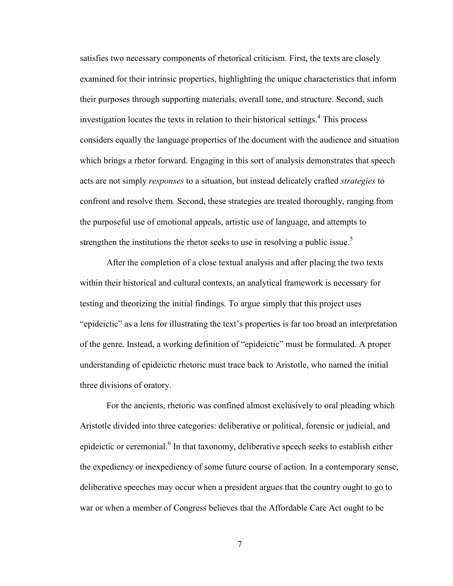satisfies two necessary components of rhetorical criticism. First, the texts are closely examined for their intrinsic properties, highlighting the unique characteristics that inform their purposes through supporting materials, overall tone, and structure. Second, such investigation locates the texts in relation to their historical settings. $4$  This process considers equally the language properties of the document with the audience and situation which brings a rhetor forward. Engaging in this sort of analysis demonstrates that speech acts are not simply *responses* to a situation, but instead delicately crafted *strategies* to confront and resolve them. Second, these strategies are treated thoroughly, ranging from the purposeful use of emotional appeals, artistic use of language, and attempts to strengthen the institutions the rhetor seeks to use in resolving a public issue.<sup>5</sup>

After the completion of a close textual analysis and after placing the two texts within their historical and cultural contexts, an analytical framework is necessary for testing and theorizing the initial findings. To argue simply that this project uses "epideictic" as a lens for illustrating the text's properties is far too broad an interpretation of the genre. Instead, a working definition of "epideictic" must be formulated. A proper understanding of epideictic rhetoric must trace back to Aristotle, who named the initial three divisions of oratory.

For the ancients, rhetoric was confined almost exclusively to oral pleading which Aristotle divided into three categories: deliberative or political, forensic or judicial, and epideictic or ceremonial.<sup>6</sup> In that taxonomy, deliberative speech seeks to establish either the expediency or inexpediency of some future course of action. In a contemporary sense, deliberative speeches may occur when a president argues that the country ought to go to war or when a member of Congress believes that the Affordable Care Act ought to be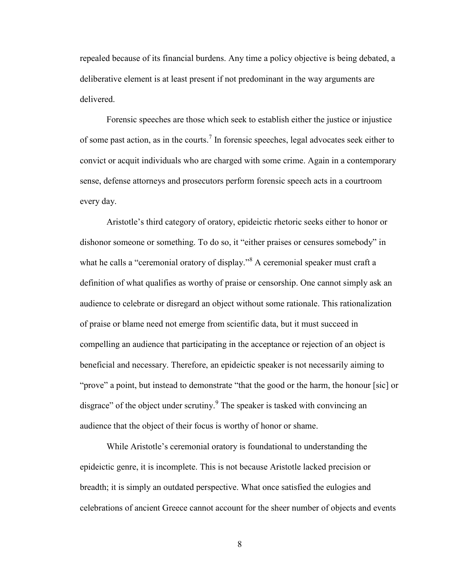repealed because of its financial burdens. Any time a policy objective is being debated, a deliberative element is at least present if not predominant in the way arguments are delivered.

Forensic speeches are those which seek to establish either the justice or injustice of some past action, as in the courts.<sup>7</sup> In forensic speeches, legal advocates seek either to convict or acquit individuals who are charged with some crime. Again in a contemporary sense, defense attorneys and prosecutors perform forensic speech acts in a courtroom every day.

Aristotle's third category of oratory, epideictic rhetoric seeks either to honor or dishonor someone or something. To do so, it "either praises or censures somebody" in what he calls a "ceremonial oratory of display."<sup>8</sup> A ceremonial speaker must craft a definition of what qualifies as worthy of praise or censorship. One cannot simply ask an audience to celebrate or disregard an object without some rationale. This rationalization of praise or blame need not emerge from scientific data, but it must succeed in compelling an audience that participating in the acceptance or rejection of an object is beneficial and necessary. Therefore, an epideictic speaker is not necessarily aiming to "prove" a point, but instead to demonstrate "that the good or the harm, the honour [sic] or disgrace" of the object under scrutiny. The speaker is tasked with convincing an audience that the object of their focus is worthy of honor or shame.

While Aristotle's ceremonial oratory is foundational to understanding the epideictic genre, it is incomplete. This is not because Aristotle lacked precision or breadth; it is simply an outdated perspective. What once satisfied the eulogies and celebrations of ancient Greece cannot account for the sheer number of objects and events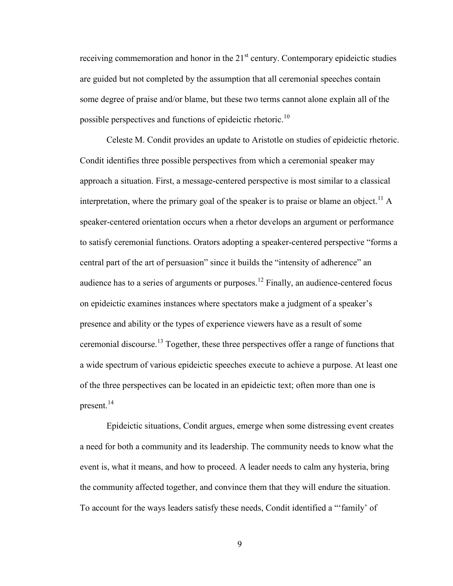receiving commemoration and honor in the  $21<sup>st</sup>$  century. Contemporary epideictic studies are guided but not completed by the assumption that all ceremonial speeches contain some degree of praise and/or blame, but these two terms cannot alone explain all of the possible perspectives and functions of epideictic rhetoric.<sup>10</sup>

Celeste M. Condit provides an update to Aristotle on studies of epideictic rhetoric. Condit identifies three possible perspectives from which a ceremonial speaker may approach a situation. First, a message-centered perspective is most similar to a classical interpretation, where the primary goal of the speaker is to praise or blame an object.<sup>11</sup> A speaker-centered orientation occurs when a rhetor develops an argument or performance to satisfy ceremonial functions. Orators adopting a speaker-centered perspective "forms a central part of the art of persuasion" since it builds the "intensity of adherence" an audience has to a series of arguments or purposes.<sup>12</sup> Finally, an audience-centered focus on epideictic examines instances where spectators make a judgment of a speaker's presence and ability or the types of experience viewers have as a result of some ceremonial discourse.<sup>13</sup> Together, these three perspectives offer a range of functions that a wide spectrum of various epideictic speeches execute to achieve a purpose. At least one of the three perspectives can be located in an epideictic text; often more than one is present. $^{14}$ 

Epideictic situations, Condit argues, emerge when some distressing event creates a need for both a community and its leadership. The community needs to know what the event is, what it means, and how to proceed. A leader needs to calm any hysteria, bring the community affected together, and convince them that they will endure the situation. To account for the ways leaders satisfy these needs, Condit identified a "'family' of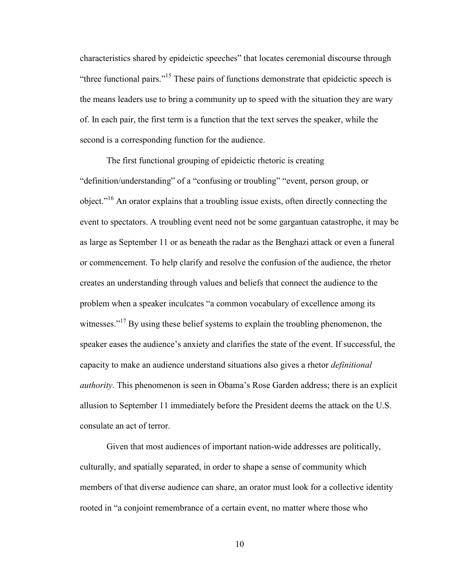characteristics shared by epideictic speeches" that locates ceremonial discourse through "three functional pairs."<sup>15</sup> These pairs of functions demonstrate that epideictic speech is the means leaders use to bring a community up to speed with the situation they are wary of. In each pair, the first term is a function that the text serves the speaker, while the second is a corresponding function for the audience.

The first functional grouping of epideictic rhetoric is creating "definition/understanding" of a "confusing or troubling" "event, person group, or object."<sup>16</sup> An orator explains that a troubling issue exists, often directly connecting the event to spectators. A troubling event need not be some gargantuan catastrophe, it may be as large as September 11 or as beneath the radar as the Benghazi attack or even a funeral or commencement. To help clarify and resolve the confusion of the audience, the rhetor creates an understanding through values and beliefs that connect the audience to the problem when a speaker inculcates "a common vocabulary of excellence among its witnesses."<sup>17</sup> By using these belief systems to explain the troubling phenomenon, the speaker eases the audience's anxiety and clarifies the state of the event. If successful, the capacity to make an audience understand situations also gives a rhetor *definitional authority*. This phenomenon is seen in Obama's Rose Garden address; there is an explicit allusion to September 11 immediately before the President deems the attack on the U.S. consulate an act of terror.

Given that most audiences of important nation-wide addresses are politically, culturally, and spatially separated, in order to shape a sense of community which members of that diverse audience can share, an orator must look for a collective identity rooted in "a conjoint remembrance of a certain event, no matter where those who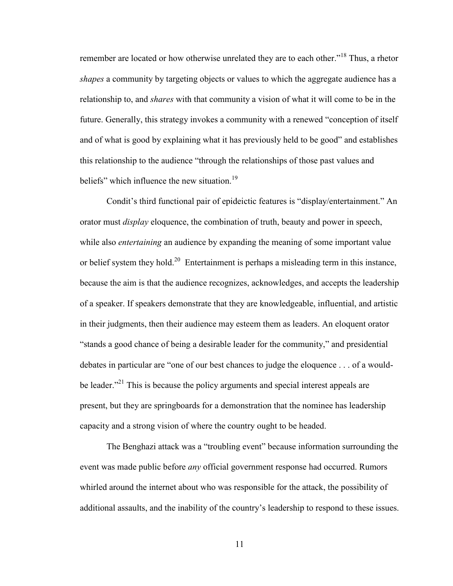remember are located or how otherwise unrelated they are to each other."<sup>18</sup> Thus, a rhetor *shapes* a community by targeting objects or values to which the aggregate audience has a relationship to, and *shares* with that community a vision of what it will come to be in the future. Generally, this strategy invokes a community with a renewed "conception of itself and of what is good by explaining what it has previously held to be good" and establishes this relationship to the audience "through the relationships of those past values and beliefs" which influence the new situation.<sup>19</sup>

Condit's third functional pair of epideictic features is "display/entertainment." An orator must *display* eloquence, the combination of truth, beauty and power in speech, while also *entertaining* an audience by expanding the meaning of some important value or belief system they hold.<sup>20</sup> Entertainment is perhaps a misleading term in this instance, because the aim is that the audience recognizes, acknowledges, and accepts the leadership of a speaker. If speakers demonstrate that they are knowledgeable, influential, and artistic in their judgments, then their audience may esteem them as leaders. An eloquent orator "stands a good chance of being a desirable leader for the community," and presidential debates in particular are "one of our best chances to judge the eloquence . . . of a wouldbe leader."<sup>21</sup> This is because the policy arguments and special interest appeals are present, but they are springboards for a demonstration that the nominee has leadership capacity and a strong vision of where the country ought to be headed.

The Benghazi attack was a "troubling event" because information surrounding the event was made public before *any* official government response had occurred. Rumors whirled around the internet about who was responsible for the attack, the possibility of additional assaults, and the inability of the country's leadership to respond to these issues.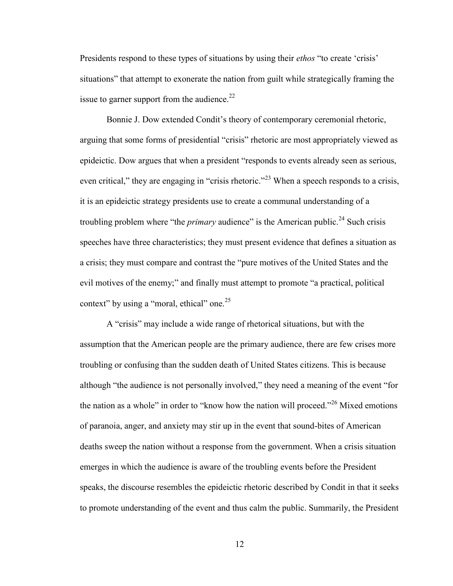Presidents respond to these types of situations by using their *ethos* "to create 'crisis' situations" that attempt to exonerate the nation from guilt while strategically framing the issue to garner support from the audience.<sup>22</sup>

Bonnie J. Dow extended Condit's theory of contemporary ceremonial rhetoric, arguing that some forms of presidential "crisis" rhetoric are most appropriately viewed as epideictic. Dow argues that when a president "responds to events already seen as serious, even critical," they are engaging in "crisis rhetoric."<sup>23</sup> When a speech responds to a crisis, it is an epideictic strategy presidents use to create a communal understanding of a troubling problem where "the *primary* audience" is the American public.<sup>24</sup> Such crisis speeches have three characteristics; they must present evidence that defines a situation as a crisis; they must compare and contrast the "pure motives of the United States and the evil motives of the enemy;" and finally must attempt to promote "a practical, political context" by using a "moral, ethical" one.<sup>25</sup>

A "crisis" may include a wide range of rhetorical situations, but with the assumption that the American people are the primary audience, there are few crises more troubling or confusing than the sudden death of United States citizens. This is because although "the audience is not personally involved," they need a meaning of the event "for the nation as a whole" in order to "know how the nation will proceed."<sup>26</sup> Mixed emotions of paranoia, anger, and anxiety may stir up in the event that sound-bites of American deaths sweep the nation without a response from the government. When a crisis situation emerges in which the audience is aware of the troubling events before the President speaks, the discourse resembles the epideictic rhetoric described by Condit in that it seeks to promote understanding of the event and thus calm the public. Summarily, the President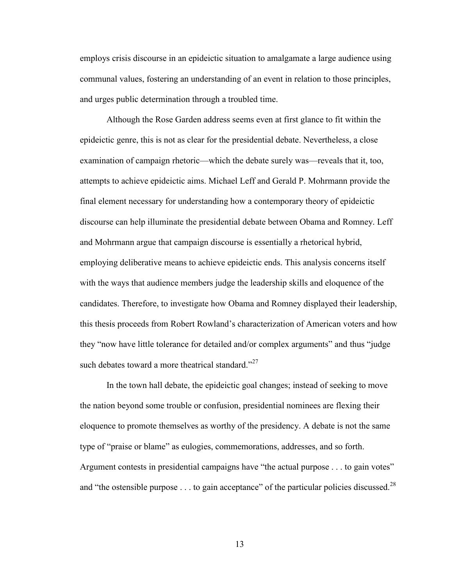employs crisis discourse in an epideictic situation to amalgamate a large audience using communal values, fostering an understanding of an event in relation to those principles, and urges public determination through a troubled time.

Although the Rose Garden address seems even at first glance to fit within the epideictic genre, this is not as clear for the presidential debate. Nevertheless, a close examination of campaign rhetoric—which the debate surely was—reveals that it, too, attempts to achieve epideictic aims. Michael Leff and Gerald P. Mohrmann provide the final element necessary for understanding how a contemporary theory of epideictic discourse can help illuminate the presidential debate between Obama and Romney. Leff and Mohrmann argue that campaign discourse is essentially a rhetorical hybrid, employing deliberative means to achieve epideictic ends. This analysis concerns itself with the ways that audience members judge the leadership skills and eloquence of the candidates. Therefore, to investigate how Obama and Romney displayed their leadership, this thesis proceeds from Robert Rowland's characterization of American voters and how they "now have little tolerance for detailed and/or complex arguments" and thus "judge such debates toward a more theatrical standard. $2^{27}$ 

In the town hall debate, the epideictic goal changes; instead of seeking to move the nation beyond some trouble or confusion, presidential nominees are flexing their eloquence to promote themselves as worthy of the presidency. A debate is not the same type of "praise or blame" as eulogies, commemorations, addresses, and so forth. Argument contests in presidential campaigns have "the actual purpose . . . to gain votes" and "the ostensible purpose  $\dots$  to gain acceptance" of the particular policies discussed.<sup>28</sup>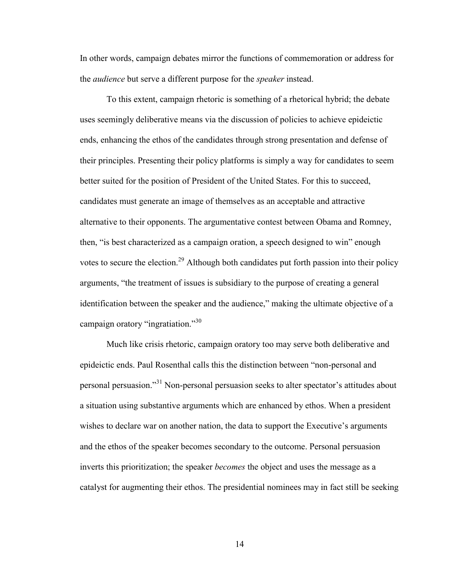In other words, campaign debates mirror the functions of commemoration or address for the *audience* but serve a different purpose for the *speaker* instead.

To this extent, campaign rhetoric is something of a rhetorical hybrid; the debate uses seemingly deliberative means via the discussion of policies to achieve epideictic ends, enhancing the ethos of the candidates through strong presentation and defense of their principles. Presenting their policy platforms is simply a way for candidates to seem better suited for the position of President of the United States. For this to succeed, candidates must generate an image of themselves as an acceptable and attractive alternative to their opponents. The argumentative contest between Obama and Romney, then, "is best characterized as a campaign oration, a speech designed to win" enough votes to secure the election.<sup>29</sup> Although both candidates put forth passion into their policy arguments, "the treatment of issues is subsidiary to the purpose of creating a general identification between the speaker and the audience," making the ultimate objective of a campaign oratory "ingratiation."<sup>30</sup>

Much like crisis rhetoric, campaign oratory too may serve both deliberative and epideictic ends. Paul Rosenthal calls this the distinction between "non-personal and personal persuasion."<sup>31</sup> Non-personal persuasion seeks to alter spectator's attitudes about a situation using substantive arguments which are enhanced by ethos. When a president wishes to declare war on another nation, the data to support the Executive's arguments and the ethos of the speaker becomes secondary to the outcome. Personal persuasion inverts this prioritization; the speaker *becomes* the object and uses the message as a catalyst for augmenting their ethos. The presidential nominees may in fact still be seeking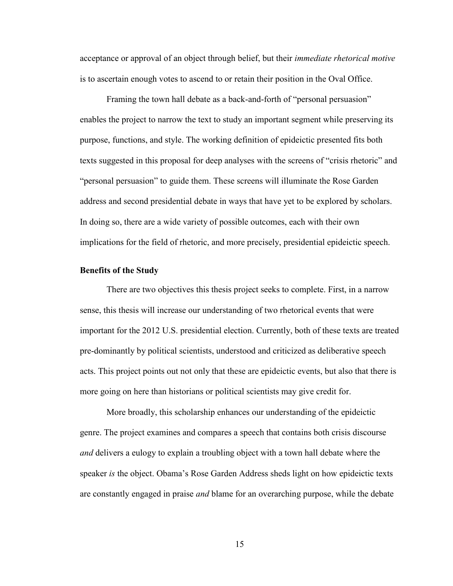acceptance or approval of an object through belief, but their *immediate rhetorical motive* is to ascertain enough votes to ascend to or retain their position in the Oval Office.

Framing the town hall debate as a back-and-forth of "personal persuasion" enables the project to narrow the text to study an important segment while preserving its purpose, functions, and style. The working definition of epideictic presented fits both texts suggested in this proposal for deep analyses with the screens of "crisis rhetoric" and "personal persuasion" to guide them. These screens will illuminate the Rose Garden address and second presidential debate in ways that have yet to be explored by scholars. In doing so, there are a wide variety of possible outcomes, each with their own implications for the field of rhetoric, and more precisely, presidential epideictic speech.

#### **Benefits of the Study**

There are two objectives this thesis project seeks to complete. First, in a narrow sense, this thesis will increase our understanding of two rhetorical events that were important for the 2012 U.S. presidential election. Currently, both of these texts are treated pre-dominantly by political scientists, understood and criticized as deliberative speech acts. This project points out not only that these are epideictic events, but also that there is more going on here than historians or political scientists may give credit for.

More broadly, this scholarship enhances our understanding of the epideictic genre. The project examines and compares a speech that contains both crisis discourse *and* delivers a eulogy to explain a troubling object with a town hall debate where the speaker *is* the object. Obama's Rose Garden Address sheds light on how epideictic texts are constantly engaged in praise *and* blame for an overarching purpose, while the debate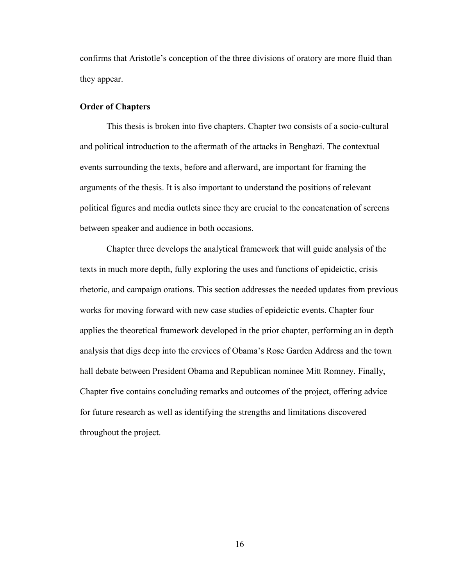confirms that Aristotle's conception of the three divisions of oratory are more fluid than they appear.

#### **Order of Chapters**

This thesis is broken into five chapters. Chapter two consists of a socio-cultural and political introduction to the aftermath of the attacks in Benghazi. The contextual events surrounding the texts, before and afterward, are important for framing the arguments of the thesis. It is also important to understand the positions of relevant political figures and media outlets since they are crucial to the concatenation of screens between speaker and audience in both occasions.

Chapter three develops the analytical framework that will guide analysis of the texts in much more depth, fully exploring the uses and functions of epideictic, crisis rhetoric, and campaign orations. This section addresses the needed updates from previous works for moving forward with new case studies of epideictic events. Chapter four applies the theoretical framework developed in the prior chapter, performing an in depth analysis that digs deep into the crevices of Obama's Rose Garden Address and the town hall debate between President Obama and Republican nominee Mitt Romney. Finally, Chapter five contains concluding remarks and outcomes of the project, offering advice for future research as well as identifying the strengths and limitations discovered throughout the project.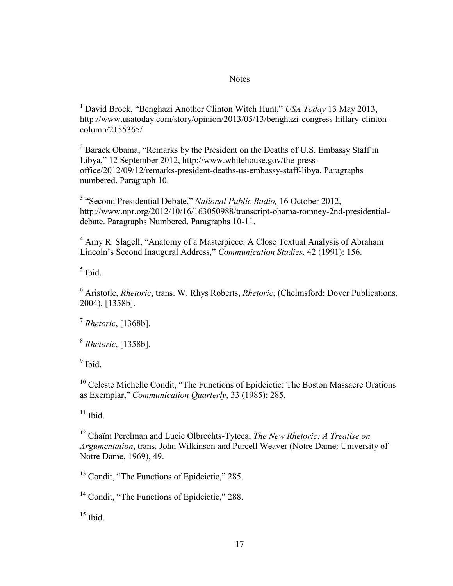#### **Notes**

<sup>1</sup> David Brock, "Benghazi Another Clinton Witch Hunt," *USA Today* 13 May 2013, [http://www.usatoday.com/story/opinion/2013/05/13/benghazi-congress-hillary-clinton](http://www.usatoday.com/story/opinion/2013/05/13/benghazi-congress-hillary-clinton-column/2155365/)[column/2155365/](http://www.usatoday.com/story/opinion/2013/05/13/benghazi-congress-hillary-clinton-column/2155365/)

 $2$  Barack Obama, "Remarks by the President on the Deaths of U.S. Embassy Staff in Libya," 12 September 2012, [http://www.whitehouse.gov/the-press](http://www.whitehouse.gov/the-press-office/2012/09/12/remarks-president-deaths-us-embassy-staff-libya.%20Paragraphs%20numbered.%20Paragraph%2010)[office/2012/09/12/remarks-president-deaths-us-embassy-staff-libya. Paragraphs](http://www.whitehouse.gov/the-press-office/2012/09/12/remarks-president-deaths-us-embassy-staff-libya.%20Paragraphs%20numbered.%20Paragraph%2010)  [numbered. Paragraph 10.](http://www.whitehouse.gov/the-press-office/2012/09/12/remarks-president-deaths-us-embassy-staff-libya.%20Paragraphs%20numbered.%20Paragraph%2010)

<sup>3</sup> "Second Presidential Debate," *National Public Radio*, 16 October 2012, [http://www.npr.org/2012/10/16/163050988/transcript-obama-romney-2nd-presidential](http://www.npr.org/2012/10/16/163050988/transcript-obama-romney-2nd-presidential-debate.%20Paragraphs%20Numbered.%20Paragraph%2010)[debate. Paragraphs Numbered. P](http://www.npr.org/2012/10/16/163050988/transcript-obama-romney-2nd-presidential-debate.%20Paragraphs%20Numbered.%20Paragraph%2010)aragraphs 10-11.

<sup>4</sup> Amy R. Slagell, "Anatomy of a Masterpiece: A Close Textual Analysis of Abraham Lincoln's Second Inaugural Address," *Communication Studies,* 42 (1991): 156.

5 Ibid.

<sup>6</sup> Aristotle, *Rhetoric*, trans. W. Rhys Roberts, *Rhetoric*, (Chelmsford: Dover Publications, 2004), [1358b].

7 *Rhetoric*, [1368b].

8 *Rhetoric*, [1358b].

<sup>9</sup> Ibid.

<sup>10</sup> Celeste Michelle Condit, "The Functions of Epideictic: The Boston Massacre Orations as Exemplar," *Communication Quarterly*, 33 (1985): 285.

 $11$  Ibid.

<sup>12</sup> Chaïm Perelman and Lucie Olbrechts-Tyteca, *The New Rhetoric: A Treatise on Argumentation*, trans. John Wilkinson and Purcell Weaver (Notre Dame: University of Notre Dame, 1969), 49.

<sup>13</sup> Condit, "The Functions of Epideictic," 285.

<sup>14</sup> Condit, "The Functions of Epideictic," 288.

 $15$  Ibid.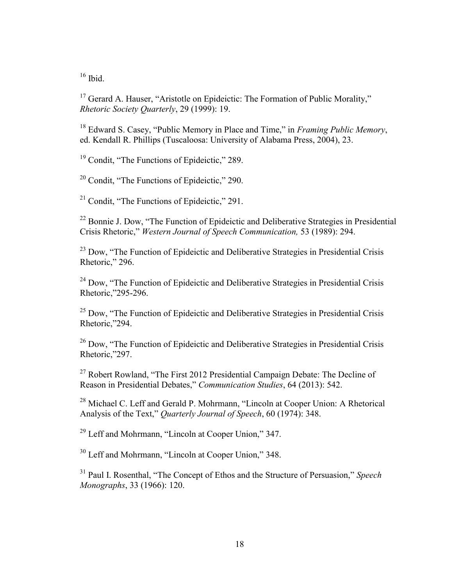$16$  Ibid.

<sup>17</sup> Gerard A. Hauser, "Aristotle on Epideictic: The Formation of Public Morality," *Rhetoric Society Quarterly*, 29 (1999): 19.

<sup>18</sup> Edward S. Casey, "Public Memory in Place and Time," in *Framing Public Memory*, ed. Kendall R. Phillips (Tuscaloosa: University of Alabama Press, 2004), 23.

<sup>19</sup> Condit. "The Functions of Epideictic." 289.

<sup>20</sup> Condit, "The Functions of Epideictic," 290.

<sup>21</sup> Condit, "The Functions of Epideictic," 291.

<sup>22</sup> Bonnie J. Dow, "The Function of Epideictic and Deliberative Strategies in Presidential Crisis Rhetoric," *Western Journal of Speech Communication,* 53 (1989): 294.

 $23$  Dow, "The Function of Epideictic and Deliberative Strategies in Presidential Crisis Rhetoric," 296.

<sup>24</sup> Dow, "The Function of Epideictic and Deliberative Strategies in Presidential Crisis Rhetoric,"295-296.

 $25$  Dow, "The Function of Epideictic and Deliberative Strategies in Presidential Crisis Rhetoric,"294.

<sup>26</sup> Dow, "The Function of Epideictic and Deliberative Strategies in Presidential Crisis Rhetoric,"297.

 $27$  Robert Rowland, "The First 2012 Presidential Campaign Debate: The Decline of Reason in Presidential Debates," *Communication Studies*, 64 (2013): 542.

<sup>28</sup> Michael C. Leff and Gerald P. Mohrmann, "Lincoln at Cooper Union: A Rhetorical Analysis of the Text," *Quarterly Journal of Speech*, 60 (1974): 348.

<sup>29</sup> Leff and Mohrmann, "Lincoln at Cooper Union," 347.

<sup>30</sup> Leff and Mohrmann, "Lincoln at Cooper Union," 348.

<sup>31</sup> Paul I. Rosenthal, "The Concept of Ethos and the Structure of Persuasion," *Speech Monographs*, 33 (1966): 120.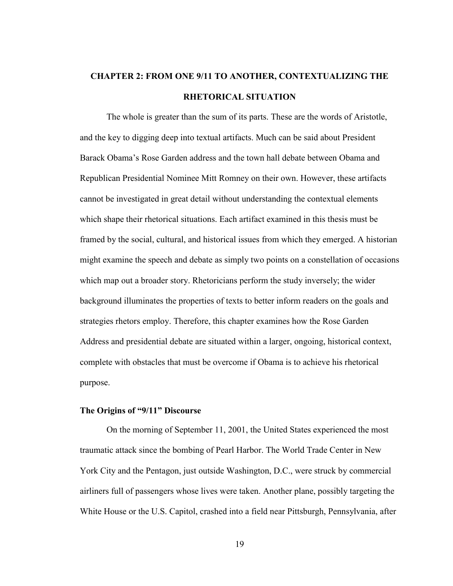# **CHAPTER 2: FROM ONE 9/11 TO ANOTHER, CONTEXTUALIZING THE RHETORICAL SITUATION**

The whole is greater than the sum of its parts. These are the words of Aristotle, and the key to digging deep into textual artifacts. Much can be said about President Barack Obama's Rose Garden address and the town hall debate between Obama and Republican Presidential Nominee Mitt Romney on their own. However, these artifacts cannot be investigated in great detail without understanding the contextual elements which shape their rhetorical situations. Each artifact examined in this thesis must be framed by the social, cultural, and historical issues from which they emerged. A historian might examine the speech and debate as simply two points on a constellation of occasions which map out a broader story. Rhetoricians perform the study inversely; the wider background illuminates the properties of texts to better inform readers on the goals and strategies rhetors employ. Therefore, this chapter examines how the Rose Garden Address and presidential debate are situated within a larger, ongoing, historical context, complete with obstacles that must be overcome if Obama is to achieve his rhetorical purpose.

#### **The Origins of "9/11" Discourse**

On the morning of September 11, 2001, the United States experienced the most traumatic attack since the bombing of Pearl Harbor. The World Trade Center in New York City and the Pentagon, just outside Washington, D.C., were struck by commercial airliners full of passengers whose lives were taken. Another plane, possibly targeting the White House or the U.S. Capitol, crashed into a field near Pittsburgh, Pennsylvania, after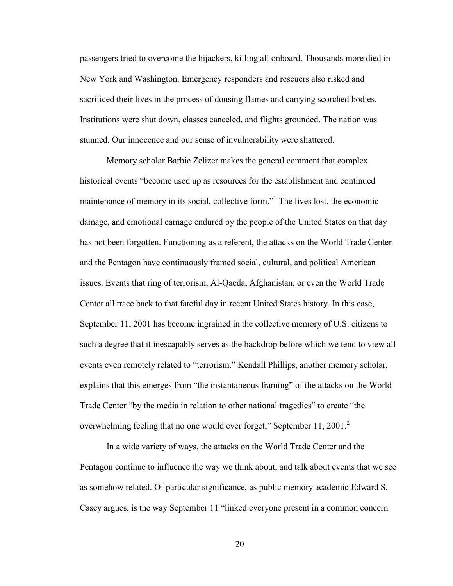passengers tried to overcome the hijackers, killing all onboard. Thousands more died in New York and Washington. Emergency responders and rescuers also risked and sacrificed their lives in the process of dousing flames and carrying scorched bodies. Institutions were shut down, classes canceled, and flights grounded. The nation was stunned. Our innocence and our sense of invulnerability were shattered.

Memory scholar Barbie Zelizer makes the general comment that complex historical events "become used up as resources for the establishment and continued maintenance of memory in its social, collective form."<sup>1</sup> The lives lost, the economic damage, and emotional carnage endured by the people of the United States on that day has not been forgotten. Functioning as a referent, the attacks on the World Trade Center and the Pentagon have continuously framed social, cultural, and political American issues. Events that ring of terrorism, Al-Qaeda, Afghanistan, or even the World Trade Center all trace back to that fateful day in recent United States history. In this case, September 11, 2001 has become ingrained in the collective memory of U.S. citizens to such a degree that it inescapably serves as the backdrop before which we tend to view all events even remotely related to "terrorism." Kendall Phillips, another memory scholar, explains that this emerges from "the instantaneous framing" of the attacks on the World Trade Center "by the media in relation to other national tragedies" to create "the overwhelming feeling that no one would ever forget," September 11, 2001. $2$ 

In a wide variety of ways, the attacks on the World Trade Center and the Pentagon continue to influence the way we think about, and talk about events that we see as somehow related. Of particular significance, as public memory academic Edward S. Casey argues, is the way September 11 "linked everyone present in a common concern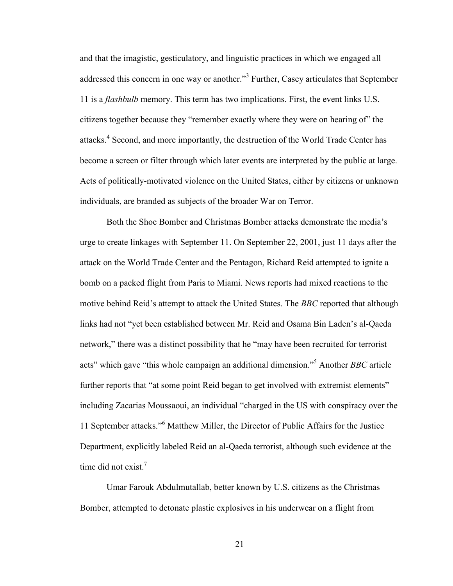and that the imagistic, gesticulatory, and linguistic practices in which we engaged all addressed this concern in one way or another."<sup>3</sup> Further, Casey articulates that September 11 is a *flashbulb* memory. This term has two implications. First, the event links U.S. citizens together because they "remember exactly where they were on hearing of" the attacks.<sup>4</sup> Second, and more importantly, the destruction of the World Trade Center has become a screen or filter through which later events are interpreted by the public at large. Acts of politically-motivated violence on the United States, either by citizens or unknown individuals, are branded as subjects of the broader War on Terror.

Both the Shoe Bomber and Christmas Bomber attacks demonstrate the media's urge to create linkages with September 11. On September 22, 2001, just 11 days after the attack on the World Trade Center and the Pentagon, Richard Reid attempted to ignite a bomb on a packed flight from Paris to Miami. News reports had mixed reactions to the motive behind Reid's attempt to attack the United States. The *BBC* reported that although links had not "yet been established between Mr. Reid and Osama Bin Laden's al-Qaeda network," there was a distinct possibility that he "may have been recruited for terrorist acts" which gave "this whole campaign an additional dimension."<sup>5</sup> Another *BBC* article further reports that "at some point Reid began to get involved with extremist elements" including Zacarias Moussaoui, an individual "charged in the US with conspiracy over the 11 September attacks."<sup>6</sup> Matthew Miller, the Director of Public Affairs for the Justice Department, explicitly labeled Reid an al-Qaeda terrorist, although such evidence at the time did not exist. $<sup>7</sup>$ </sup>

Umar Farouk Abdulmutallab, better known by U.S. citizens as the Christmas Bomber, attempted to detonate plastic explosives in his underwear on a flight from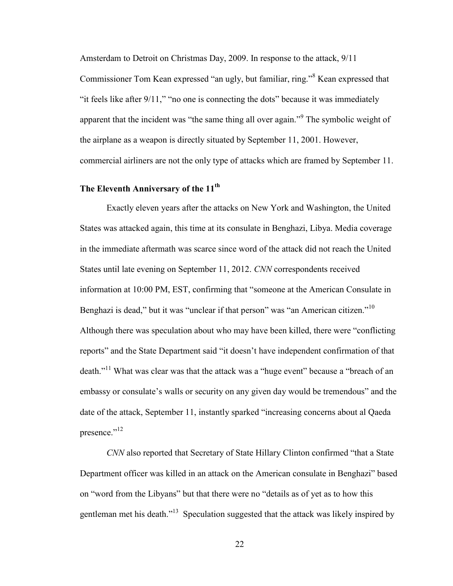Amsterdam to Detroit on Christmas Day, 2009. In response to the attack, 9/11

Commissioner Tom Kean expressed "an ugly, but familiar, ring."<sup>8</sup> Kean expressed that "it feels like after 9/11," "no one is connecting the dots" because it was immediately apparent that the incident was "the same thing all over again."<sup>9</sup> The symbolic weight of the airplane as a weapon is directly situated by September 11, 2001. However, commercial airliners are not the only type of attacks which are framed by September 11.

#### **The Eleventh Anniversary of the 11th**

Exactly eleven years after the attacks on New York and Washington, the United States was attacked again, this time at its consulate in Benghazi, Libya. Media coverage in the immediate aftermath was scarce since word of the attack did not reach the United States until late evening on September 11, 2012. *CNN* correspondents received information at 10:00 PM, EST, confirming that "someone at the American Consulate in Benghazi is dead," but it was "unclear if that person" was "an American citizen."<sup>10</sup> Although there was speculation about who may have been killed, there were "conflicting reports" and the State Department said "it doesn't have independent confirmation of that death."<sup>11</sup> What was clear was that the attack was a "huge event" because a "breach of an embassy or consulate's walls or security on any given day would be tremendous" and the date of the attack, September 11, instantly sparked "increasing concerns about al Qaeda presence."<sup>12</sup>

*CNN* also reported that Secretary of State Hillary Clinton confirmed "that a State Department officer was killed in an attack on the American consulate in Benghazi" based on "word from the Libyans" but that there were no "details as of yet as to how this gentleman met his death."<sup>13</sup> Speculation suggested that the attack was likely inspired by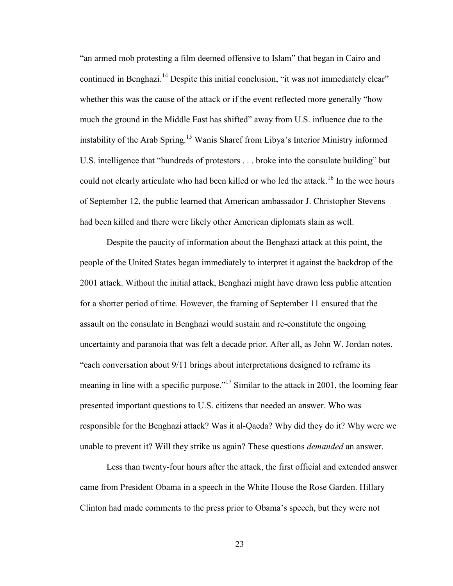"an armed mob protesting a film deemed offensive to Islam" that began in Cairo and continued in Benghazi.<sup>14</sup> Despite this initial conclusion, "it was not immediately clear" whether this was the cause of the attack or if the event reflected more generally "how much the ground in the Middle East has shifted" away from U.S. influence due to the instability of the Arab Spring.<sup>15</sup> Wanis Sharef from Libya's Interior Ministry informed U.S. intelligence that "hundreds of protestors . . . broke into the consulate building" but could not clearly articulate who had been killed or who led the attack.<sup>16</sup> In the wee hours of September 12, the public learned that American ambassador J. Christopher Stevens had been killed and there were likely other American diplomats slain as well.

Despite the paucity of information about the Benghazi attack at this point, the people of the United States began immediately to interpret it against the backdrop of the 2001 attack. Without the initial attack, Benghazi might have drawn less public attention for a shorter period of time. However, the framing of September 11 ensured that the assault on the consulate in Benghazi would sustain and re-constitute the ongoing uncertainty and paranoia that was felt a decade prior. After all, as John W. Jordan notes, "each conversation about 9/11 brings about interpretations designed to reframe its meaning in line with a specific purpose."<sup>17</sup> Similar to the attack in 2001, the looming fear presented important questions to U.S. citizens that needed an answer. Who was responsible for the Benghazi attack? Was it al-Qaeda? Why did they do it? Why were we unable to prevent it? Will they strike us again? These questions *demanded* an answer.

Less than twenty-four hours after the attack, the first official and extended answer came from President Obama in a speech in the White House the Rose Garden. Hillary Clinton had made comments to the press prior to Obama's speech, but they were not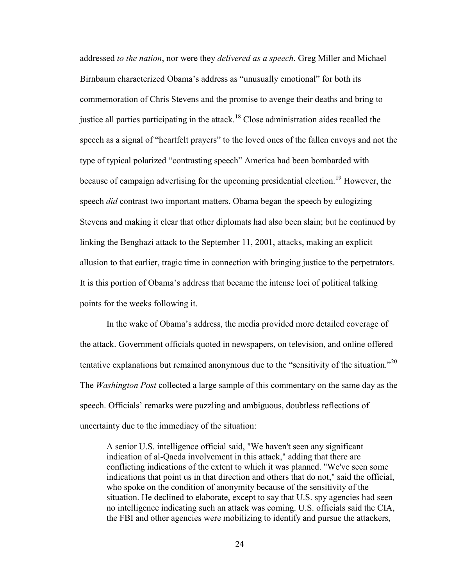addressed *to the nation*, nor were they *delivered as a speech*. Greg Miller and Michael Birnbaum characterized Obama's address as "unusually emotional" for both its commemoration of Chris Stevens and the promise to avenge their deaths and bring to justice all parties participating in the attack.<sup>18</sup> Close administration aides recalled the speech as a signal of "heartfelt prayers" to the loved ones of the fallen envoys and not the type of typical polarized "contrasting speech" America had been bombarded with because of campaign advertising for the upcoming presidential election.<sup>19</sup> However, the speech *did* contrast two important matters. Obama began the speech by eulogizing Stevens and making it clear that other diplomats had also been slain; but he continued by linking the Benghazi attack to the September 11, 2001, attacks, making an explicit allusion to that earlier, tragic time in connection with bringing justice to the perpetrators. It is this portion of Obama's address that became the intense loci of political talking points for the weeks following it.

In the wake of Obama's address, the media provided more detailed coverage of the attack. Government officials quoted in newspapers, on television, and online offered tentative explanations but remained anonymous due to the "sensitivity of the situation."<sup>20</sup> The *Washington Post* collected a large sample of this commentary on the same day as the speech. Officials' remarks were puzzling and ambiguous, doubtless reflections of uncertainty due to the immediacy of the situation:

A senior U.S. intelligence official said, "We haven't seen any significant indication of al-Qaeda involvement in this attack," adding that there are conflicting indications of the extent to which it was planned. "We've seen some indications that point us in that direction and others that do not," said the official, who spoke on the condition of anonymity because of the sensitivity of the situation. He declined to elaborate, except to say that U.S. spy agencies had seen no intelligence indicating such an attack was coming. U.S. officials said the CIA, the FBI and other agencies were mobilizing to identify and pursue the attackers,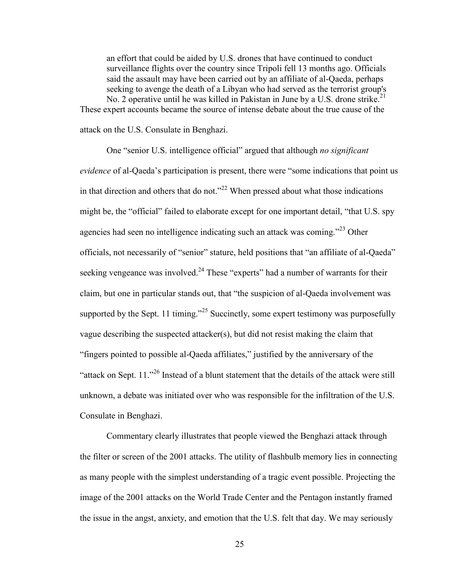an effort that could be aided by U.S. drones that have continued to conduct surveillance flights over the country since Tripoli fell 13 months ago. Officials said the assault may have been carried out by an affiliate of al-Qaeda, perhaps seeking to avenge the death of a Libyan who had served as the terrorist group's No. 2 operative until he was killed in Pakistan in June by a U.S. drone strike.<sup>21</sup> These expert accounts became the source of intense debate about the true cause of the

attack on the U.S. Consulate in Benghazi.

One "senior U.S. intelligence official" argued that although *no significant evidence* of al-Qaeda's participation is present, there were "some indications that point us in that direction and others that do not."<sup>22</sup> When pressed about what those indications might be, the "official" failed to elaborate except for one important detail, "that U.S. spy agencies had seen no intelligence indicating such an attack was coming."<sup>23</sup> Other officials, not necessarily of "senior" stature, held positions that "an affiliate of al-Qaeda" seeking vengeance was involved.<sup>24</sup> These "experts" had a number of warrants for their claim, but one in particular stands out, that "the suspicion of al-Qaeda involvement was supported by the Sept. 11 timing."<sup>25</sup> Succinctly, some expert testimony was purposefully vague describing the suspected attacker(s), but did not resist making the claim that "fingers pointed to possible al-Qaeda affiliates," justified by the anniversary of the "attack on Sept.  $11.^{0.26}$  Instead of a blunt statement that the details of the attack were still unknown, a debate was initiated over who was responsible for the infiltration of the U.S. Consulate in Benghazi.

Commentary clearly illustrates that people viewed the Benghazi attack through the filter or screen of the 2001 attacks. The utility of flashbulb memory lies in connecting as many people with the simplest understanding of a tragic event possible. Projecting the image of the 2001 attacks on the World Trade Center and the Pentagon instantly framed the issue in the angst, anxiety, and emotion that the U.S. felt that day. We may seriously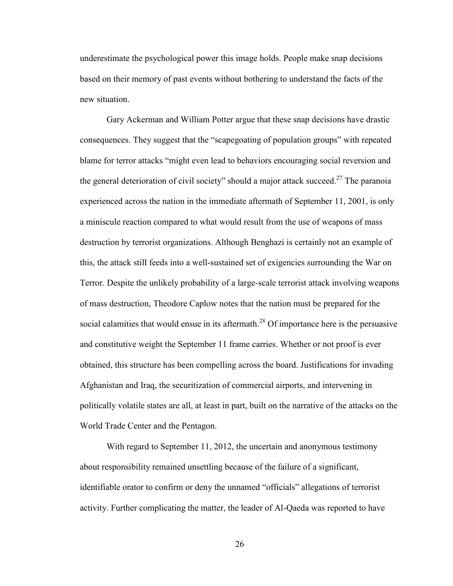underestimate the psychological power this image holds. People make snap decisions based on their memory of past events without bothering to understand the facts of the new situation.

Gary Ackerman and William Potter argue that these snap decisions have drastic consequences. They suggest that the "scapegoating of population groups" with repeated blame for terror attacks "might even lead to behaviors encouraging social reversion and the general deterioration of civil society" should a major attack succeed.<sup>27</sup> The paranoia experienced across the nation in the immediate aftermath of September 11, 2001, is only a miniscule reaction compared to what would result from the use of weapons of mass destruction by terrorist organizations. Although Benghazi is certainly not an example of this, the attack still feeds into a well-sustained set of exigencies surrounding the War on Terror. Despite the unlikely probability of a large-scale terrorist attack involving weapons of mass destruction, Theodore Caplow notes that the nation must be prepared for the social calamities that would ensue in its aftermath.<sup>28</sup> Of importance here is the persuasive and constitutive weight the September 11 frame carries. Whether or not proof is ever obtained, this structure has been compelling across the board. Justifications for invading Afghanistan and Iraq, the securitization of commercial airports, and intervening in politically volatile states are all, at least in part, built on the narrative of the attacks on the World Trade Center and the Pentagon.

With regard to September 11, 2012, the uncertain and anonymous testimony about responsibility remained unsettling because of the failure of a significant, identifiable orator to confirm or deny the unnamed "officials" allegations of terrorist activity. Further complicating the matter, the leader of Al-Qaeda was reported to have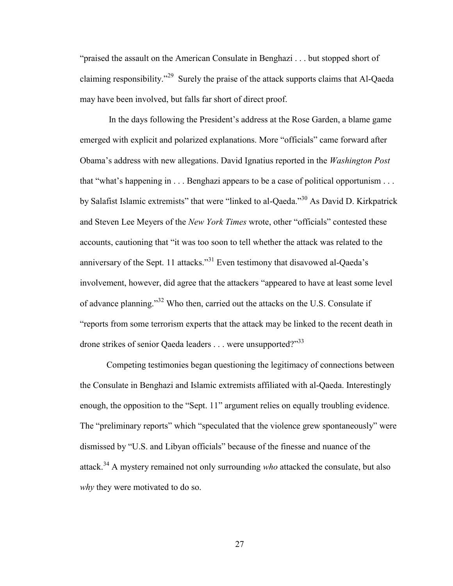"praised the assault on the American Consulate in Benghazi . . . but stopped short of claiming responsibility."<sup>29</sup> Surely the praise of the attack supports claims that Al-Qaeda may have been involved, but falls far short of direct proof.

In the days following the President's address at the Rose Garden, a blame game emerged with explicit and polarized explanations. More "officials" came forward after Obama's address with new allegations. David Ignatius reported in the *Washington Post* that "what's happening in . . . Benghazi appears to be a case of political opportunism . . . by Salafist Islamic extremists" that were "linked to al-Qaeda."<sup>30</sup> As David D. Kirkpatrick and Steven Lee Meyers of the *New York Times* wrote, other "officials" contested these accounts, cautioning that "it was too soon to tell whether the attack was related to the anniversary of the Sept. 11 attacks."<sup>31</sup> Even testimony that disavowed al-Qaeda's involvement, however, did agree that the attackers "appeared to have at least some level of advance planning."<sup>32</sup> Who then, carried out the attacks on the U.S. Consulate if "reports from some terrorism experts that the attack may be linked to the recent death in drone strikes of senior Qaeda leaders . . . were unsupported?"<sup>33</sup>

Competing testimonies began questioning the legitimacy of connections between the Consulate in Benghazi and Islamic extremists affiliated with al-Qaeda. Interestingly enough, the opposition to the "Sept. 11" argument relies on equally troubling evidence. The "preliminary reports" which "speculated that the violence grew spontaneously" were dismissed by "U.S. and Libyan officials" because of the finesse and nuance of the attack.<sup>34</sup> A mystery remained not only surrounding *who* attacked the consulate, but also *why* they were motivated to do so.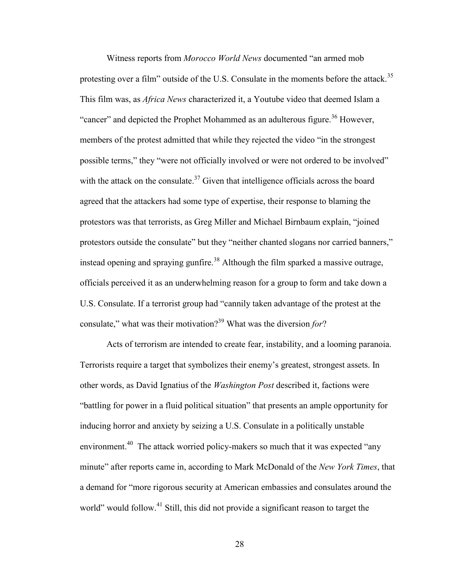Witness reports from *Morocco World News* documented "an armed mob protesting over a film" outside of the U.S. Consulate in the moments before the attack.<sup>35</sup> This film was, as *Africa News* characterized it, a Youtube video that deemed Islam a "cancer" and depicted the Prophet Mohammed as an adulterous figure.<sup>36</sup> However, members of the protest admitted that while they rejected the video "in the strongest possible terms," they "were not officially involved or were not ordered to be involved" with the attack on the consulate.<sup>37</sup> Given that intelligence officials across the board agreed that the attackers had some type of expertise, their response to blaming the protestors was that terrorists, as Greg Miller and Michael Birnbaum explain, "joined protestors outside the consulate" but they "neither chanted slogans nor carried banners," instead opening and spraying gunfire.<sup>38</sup> Although the film sparked a massive outrage, officials perceived it as an underwhelming reason for a group to form and take down a U.S. Consulate. If a terrorist group had "cannily taken advantage of the protest at the consulate," what was their motivation?<sup>39</sup> What was the diversion *for*?

Acts of terrorism are intended to create fear, instability, and a looming paranoia. Terrorists require a target that symbolizes their enemy's greatest, strongest assets. In other words, as David Ignatius of the *Washington Post* described it, factions were "battling for power in a fluid political situation" that presents an ample opportunity for inducing horror and anxiety by seizing a U.S. Consulate in a politically unstable environment.<sup>40</sup> The attack worried policy-makers so much that it was expected "any minute" after reports came in, according to Mark McDonald of the *New York Times*, that a demand for "more rigorous security at American embassies and consulates around the world" would follow.<sup>41</sup> Still, this did not provide a significant reason to target the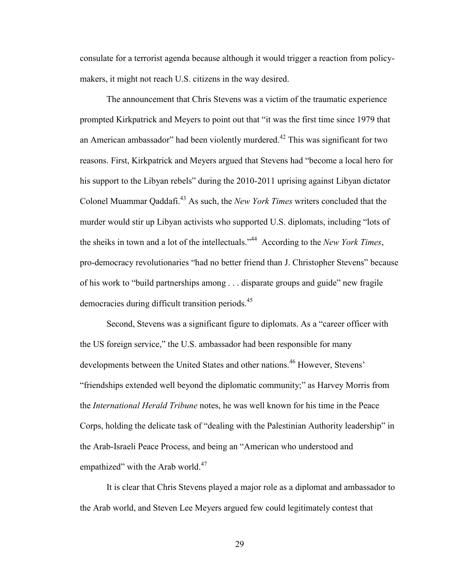consulate for a terrorist agenda because although it would trigger a reaction from policymakers, it might not reach U.S. citizens in the way desired.

The announcement that Chris Stevens was a victim of the traumatic experience prompted Kirkpatrick and Meyers to point out that "it was the first time since 1979 that an American ambassador" had been violently murdered.<sup>42</sup> This was significant for two reasons. First, Kirkpatrick and Meyers argued that Stevens had "become a local hero for his support to the Libyan rebels" during the 2010-2011 uprising against Libyan dictator Colonel Muammar Qaddafi.<sup>43</sup> As such, the *New York Times* writers concluded that the murder would stir up Libyan activists who supported U.S. diplomats, including "lots of the sheiks in town and a lot of the intellectuals."<sup>44</sup> According to the *New York Times*, pro-democracy revolutionaries "had no better friend than J. Christopher Stevens" because of his work to "build partnerships among . . . disparate groups and guide" new fragile democracies during difficult transition periods.<sup>45</sup>

Second, Stevens was a significant figure to diplomats. As a "career officer with the US foreign service," the U.S. ambassador had been responsible for many developments between the United States and other nations.<sup>46</sup> However, Stevens' "friendships extended well beyond the diplomatic community;" as Harvey Morris from the *International Herald Tribune* notes, he was well known for his time in the Peace Corps, holding the delicate task of "dealing with the Palestinian Authority leadership" in the Arab-Israeli Peace Process, and being an "American who understood and empathized" with the Arab world.<sup>47</sup>

It is clear that Chris Stevens played a major role as a diplomat and ambassador to the Arab world, and Steven Lee Meyers argued few could legitimately contest that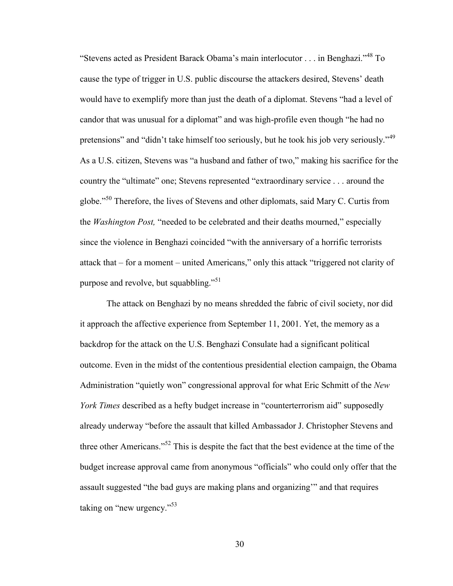"Stevens acted as President Barack Obama's main interlocutor . . . in Benghazi."<sup>48</sup> To cause the type of trigger in U.S. public discourse the attackers desired, Stevens' death would have to exemplify more than just the death of a diplomat. Stevens "had a level of candor that was unusual for a diplomat" and was high-profile even though "he had no pretensions" and "didn't take himself too seriously, but he took his job very seriously."<sup>49</sup> As a U.S. citizen, Stevens was "a husband and father of two," making his sacrifice for the country the "ultimate" one; Stevens represented "extraordinary service . . . around the globe."<sup>50</sup> Therefore, the lives of Stevens and other diplomats, said Mary C. Curtis from the *Washington Post,* "needed to be celebrated and their deaths mourned," especially since the violence in Benghazi coincided "with the anniversary of a horrific terrorists attack that – for a moment – united Americans," only this attack "triggered not clarity of purpose and revolve, but squabbling."<sup>51</sup>

The attack on Benghazi by no means shredded the fabric of civil society, nor did it approach the affective experience from September 11, 2001. Yet, the memory as a backdrop for the attack on the U.S. Benghazi Consulate had a significant political outcome. Even in the midst of the contentious presidential election campaign, the Obama Administration "quietly won" congressional approval for what Eric Schmitt of the *New York Times* described as a hefty budget increase in "counterterrorism aid" supposedly already underway "before the assault that killed Ambassador J. Christopher Stevens and three other Americans."<sup>52</sup> This is despite the fact that the best evidence at the time of the budget increase approval came from anonymous "officials" who could only offer that the assault suggested "the bad guys are making plans and organizing'" and that requires taking on "new urgency."<sup>53</sup>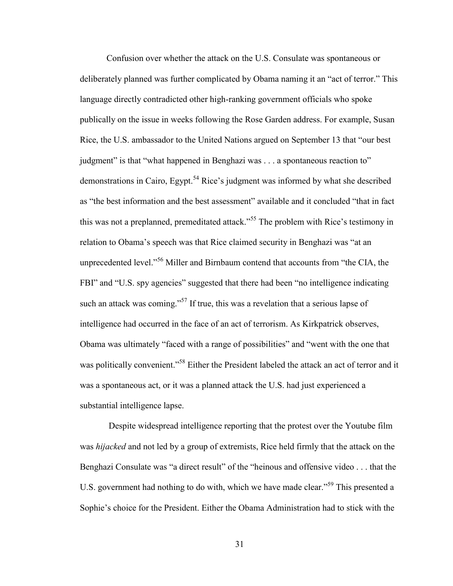Confusion over whether the attack on the U.S. Consulate was spontaneous or deliberately planned was further complicated by Obama naming it an "act of terror." This language directly contradicted other high-ranking government officials who spoke publically on the issue in weeks following the Rose Garden address. For example, Susan Rice, the U.S. ambassador to the United Nations argued on September 13 that "our best judgment" is that "what happened in Benghazi was . . . a spontaneous reaction to" demonstrations in Cairo, Egypt.<sup>54</sup> Rice's judgment was informed by what she described as "the best information and the best assessment" available and it concluded "that in fact this was not a preplanned, premeditated attack.<sup>555</sup> The problem with Rice's testimony in relation to Obama's speech was that Rice claimed security in Benghazi was "at an unprecedented level."<sup>56</sup> Miller and Birnbaum contend that accounts from "the CIA, the FBI" and "U.S. spy agencies" suggested that there had been "no intelligence indicating such an attack was coming."<sup>57</sup> If true, this was a revelation that a serious lapse of intelligence had occurred in the face of an act of terrorism. As Kirkpatrick observes, Obama was ultimately "faced with a range of possibilities" and "went with the one that was politically convenient."<sup>58</sup> Either the President labeled the attack an act of terror and it was a spontaneous act, or it was a planned attack the U.S. had just experienced a substantial intelligence lapse.

Despite widespread intelligence reporting that the protest over the Youtube film was *hijacked* and not led by a group of extremists, Rice held firmly that the attack on the Benghazi Consulate was "a direct result" of the "heinous and offensive video . . . that the U.S. government had nothing to do with, which we have made clear."<sup>59</sup> This presented a Sophie's choice for the President. Either the Obama Administration had to stick with the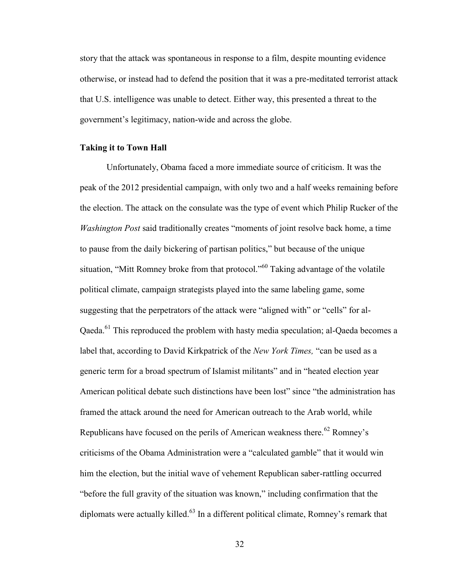story that the attack was spontaneous in response to a film, despite mounting evidence otherwise, or instead had to defend the position that it was a pre-meditated terrorist attack that U.S. intelligence was unable to detect. Either way, this presented a threat to the government's legitimacy, nation-wide and across the globe.

# **Taking it to Town Hall**

Unfortunately, Obama faced a more immediate source of criticism. It was the peak of the 2012 presidential campaign, with only two and a half weeks remaining before the election. The attack on the consulate was the type of event which Philip Rucker of the *Washington Post* said traditionally creates "moments of joint resolve back home, a time to pause from the daily bickering of partisan politics," but because of the unique situation, "Mitt Romney broke from that protocol."<sup>60</sup> Taking advantage of the volatile political climate, campaign strategists played into the same labeling game, some suggesting that the perpetrators of the attack were "aligned with" or "cells" for al-Qaeda.<sup>61</sup> This reproduced the problem with hasty media speculation; al-Qaeda becomes a label that, according to David Kirkpatrick of the *New York Times,* "can be used as a generic term for a broad spectrum of Islamist militants" and in "heated election year American political debate such distinctions have been lost" since "the administration has framed the attack around the need for American outreach to the Arab world, while Republicans have focused on the perils of American weakness there.<sup>62</sup> Romney's criticisms of the Obama Administration were a "calculated gamble" that it would win him the election, but the initial wave of vehement Republican saber-rattling occurred "before the full gravity of the situation was known," including confirmation that the diplomats were actually killed.<sup>63</sup> In a different political climate, Romney's remark that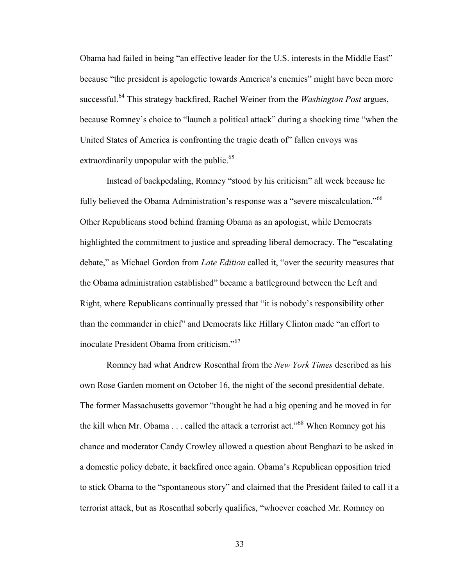Obama had failed in being "an effective leader for the U.S. interests in the Middle East" because "the president is apologetic towards America's enemies" might have been more successful.<sup>64</sup> This strategy backfired, Rachel Weiner from the *Washington Post* argues, because Romney's choice to "launch a political attack" during a shocking time "when the United States of America is confronting the tragic death of" fallen envoys was extraordinarily unpopular with the public. $65$ 

Instead of backpedaling, Romney "stood by his criticism" all week because he fully believed the Obama Administration's response was a "severe miscalculation."<sup>66</sup> Other Republicans stood behind framing Obama as an apologist, while Democrats highlighted the commitment to justice and spreading liberal democracy. The "escalating debate," as Michael Gordon from *Late Edition* called it, "over the security measures that the Obama administration established" became a battleground between the Left and Right, where Republicans continually pressed that "it is nobody's responsibility other than the commander in chief" and Democrats like Hillary Clinton made "an effort to inoculate President Obama from criticism."<sup>67</sup>

Romney had what Andrew Rosenthal from the *New York Times* described as his own Rose Garden moment on October 16, the night of the second presidential debate. The former Massachusetts governor "thought he had a big opening and he moved in for the kill when Mr. Obama  $\ldots$  called the attack a terrorist act."<sup>68</sup> When Romney got his chance and moderator Candy Crowley allowed a question about Benghazi to be asked in a domestic policy debate, it backfired once again. Obama's Republican opposition tried to stick Obama to the "spontaneous story" and claimed that the President failed to call it a terrorist attack, but as Rosenthal soberly qualifies, "whoever coached Mr. Romney on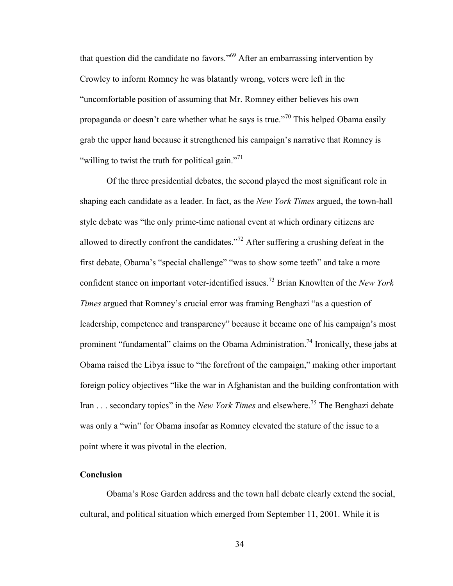that question did the candidate no favors.<sup> $569$ </sup> After an embarrassing intervention by Crowley to inform Romney he was blatantly wrong, voters were left in the "uncomfortable position of assuming that Mr. Romney either believes his own propaganda or doesn't care whether what he says is true."<sup>70</sup> This helped Obama easily grab the upper hand because it strengthened his campaign's narrative that Romney is "willing to twist the truth for political gain."<sup>71</sup>

Of the three presidential debates, the second played the most significant role in shaping each candidate as a leader. In fact, as the *New York Times* argued, the town-hall style debate was "the only prime-time national event at which ordinary citizens are allowed to directly confront the candidates."<sup>72</sup> After suffering a crushing defeat in the first debate, Obama's "special challenge" "was to show some teeth" and take a more confident stance on important voter-identified issues.<sup>73</sup> Brian Knowlten of the *New York Times* argued that Romney's crucial error was framing Benghazi "as a question of leadership, competence and transparency" because it became one of his campaign's most prominent "fundamental" claims on the Obama Administration.<sup>74</sup> Ironically, these jabs at Obama raised the Libya issue to "the forefront of the campaign," making other important foreign policy objectives "like the war in Afghanistan and the building confrontation with Iran . . . secondary topics" in the *New York Times* and elsewhere.<sup>75</sup> The Benghazi debate was only a "win" for Obama insofar as Romney elevated the stature of the issue to a point where it was pivotal in the election.

### **Conclusion**

Obama's Rose Garden address and the town hall debate clearly extend the social, cultural, and political situation which emerged from September 11, 2001. While it is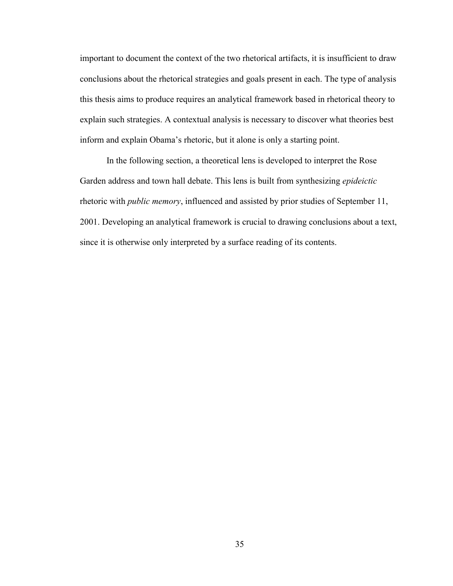important to document the context of the two rhetorical artifacts, it is insufficient to draw conclusions about the rhetorical strategies and goals present in each. The type of analysis this thesis aims to produce requires an analytical framework based in rhetorical theory to explain such strategies. A contextual analysis is necessary to discover what theories best inform and explain Obama's rhetoric, but it alone is only a starting point.

In the following section, a theoretical lens is developed to interpret the Rose Garden address and town hall debate. This lens is built from synthesizing *epideictic* rhetoric with *public memory*, influenced and assisted by prior studies of September 11, 2001. Developing an analytical framework is crucial to drawing conclusions about a text, since it is otherwise only interpreted by a surface reading of its contents.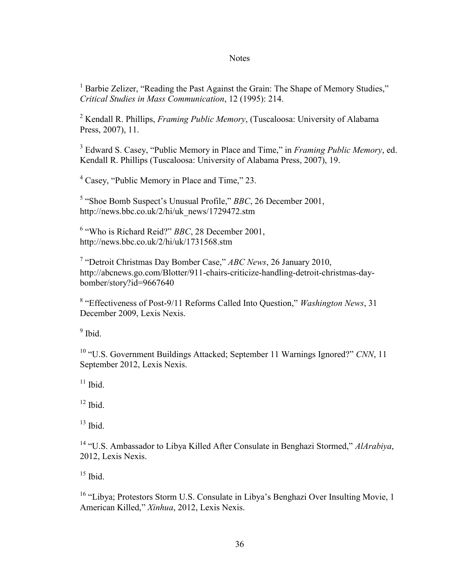#### **Notes**

<sup>1</sup> Barbie Zelizer, "Reading the Past Against the Grain: The Shape of Memory Studies," *Critical Studies in Mass Communication*, 12 (1995): 214.

<sup>2</sup> Kendall R. Phillips, *Framing Public Memory*, (Tuscaloosa: University of Alabama Press, 2007), 11.

3 Edward S. Casey, "Public Memory in Place and Time," in *Framing Public Memory*, ed. Kendall R. Phillips (Tuscaloosa: University of Alabama Press, 2007), 19.

<sup>4</sup> Casey, "Public Memory in Place and Time," 23.

<sup>5</sup> "Shoe Bomb Suspect's Unusual Profile," *BBC*, 26 December 2001, http://news.bbc.co.uk/2/hi/uk\_news/1729472.stm

6 "Who is Richard Reid?" *BBC*, 28 December 2001, http://news.bbc.co.uk/2/hi/uk/1731568.stm

7 "Detroit Christmas Day Bomber Case," *ABC News*, 26 January 2010, http://abcnews.go.com/Blotter/911-chairs-criticize-handling-detroit-christmas-daybomber/story?id=9667640

8 "Effectiveness of Post-9/11 Reforms Called Into Question," *Washington News*, 31 December 2009, Lexis Nexis.

 $9$  Ibid.

<sup>10</sup> "U.S. Government Buildings Attacked; September 11 Warnings Ignored?" CNN, 11 September 2012, Lexis Nexis.

 $11$  Ibid.

 $12$  Ibid.

 $13$  Ibid.

<sup>14</sup> "U.S. Ambassador to Libya Killed After Consulate in Benghazi Stormed," *AlArabiya*, 2012, Lexis Nexis.

 $15$  Ibid.

<sup>16</sup> "Libya; Protestors Storm U.S. Consulate in Libya's Benghazi Over Insulting Movie, 1 American Killed," *Xinhua*, 2012, Lexis Nexis.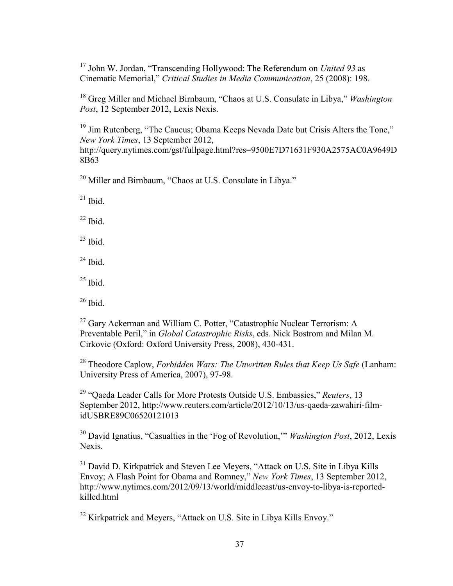<sup>17</sup> John W. Jordan, "Transcending Hollywood: The Referendum on *United 93* as Cinematic Memorial," *Critical Studies in Media Communication*, 25 (2008): 198.

<sup>18</sup> Greg Miller and Michael Birnbaum, "Chaos at U.S. Consulate in Libya," *Washington Post*, 12 September 2012, Lexis Nexis.

<sup>19</sup> Jim Rutenberg, "The Caucus; Obama Keeps Nevada Date but Crisis Alters the Tone," *New York Times*, 13 September 2012,

http://query.nytimes.com/gst/fullpage.html?res=9500E7D71631F930A2575AC0A9649D 8B63

<sup>20</sup> Miller and Birnbaum, "Chaos at U.S. Consulate in Libya."

 $21$  Ibid.

 $22$  Ibid.

 $23$  Ibid.

 $24$  Ibid.

 $25$  Ibid.

 $26$  Ibid.

<sup>27</sup> Gary Ackerman and William C. Potter, "Catastrophic Nuclear Terrorism: A Preventable Peril," in *Global Catastrophic Risks*, eds. Nick Bostrom and Milan M. Cirkovic (Oxford: Oxford University Press, 2008), 430-431.

<sup>28</sup> Theodore Caplow, *Forbidden Wars: The Unwritten Rules that Keep Us Safe* (Lanham: University Press of America, 2007), 97-98.

<sup>29</sup> "Qaeda Leader Calls for More Protests Outside U.S. Embassies," *Reuters*, 13 September 2012, http://www.reuters.com/article/2012/10/13/us-qaeda-zawahiri-filmidUSBRE89C06520121013

<sup>30</sup> David Ignatius, "Casualties in the 'Fog of Revolution,'" *Washington Post*, 2012, Lexis Nexis.

<sup>31</sup> David D. Kirkpatrick and Steven Lee Meyers, "Attack on U.S. Site in Libya Kills Envoy; A Flash Point for Obama and Romney," *New York Times*, 13 September 2012, http://www.nytimes.com/2012/09/13/world/middleeast/us-envoy-to-libya-is-reportedkilled.html

<sup>32</sup> Kirkpatrick and Meyers, "Attack on U.S. Site in Libya Kills Envoy."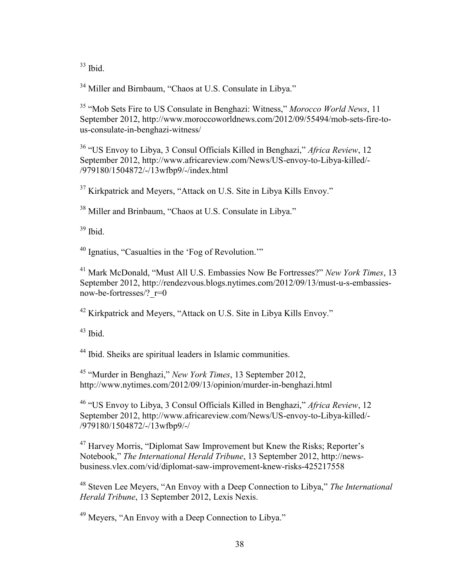$33$  Ibid.

<sup>34</sup> Miller and Birnbaum, "Chaos at U.S. Consulate in Libya."

<sup>35</sup> "Mob Sets Fire to US Consulate in Benghazi: Witness," *Morocco World News*, 11 September 2012, http://www.moroccoworldnews.com/2012/09/55494/mob-sets-fire-tous-consulate-in-benghazi-witness/

<sup>36</sup> "US Envoy to Libya, 3 Consul Officials Killed in Benghazi," *Africa Review*, 12 September 2012, http://www.africareview.com/News/US-envoy-to-Libya-killed/- /979180/1504872/-/13wfbp9/-/index.html

<sup>37</sup> Kirkpatrick and Meyers, "Attack on U.S. Site in Libya Kills Envoy."

<sup>38</sup> Miller and Brinbaum, "Chaos at U.S. Consulate in Libya."

<sup>39</sup> Ibid.

<sup>40</sup> Ignatius, "Casualties in the 'Fog of Revolution.'"

<sup>41</sup> Mark McDonald, "Must All U.S. Embassies Now Be Fortresses?" *New York Times*, 13 September 2012, http://rendezvous.blogs.nytimes.com/2012/09/13/must-u-s-embassiesnow-be-fortresses/?\_r=0

<sup>42</sup> Kirkpatrick and Meyers, "Attack on U.S. Site in Libya Kills Envoy."

 $43$  Ibid.

<sup>44</sup> Ibid. Sheiks are spiritual leaders in Islamic communities.

<sup>45</sup> "Murder in Benghazi," *New York Times*, 13 September 2012, http://www.nytimes.com/2012/09/13/opinion/murder-in-benghazi.html

<sup>46</sup> "US Envoy to Libya, 3 Consul Officials Killed in Benghazi," *Africa Review*, 12 September 2012, http://www.africareview.com/News/US-envoy-to-Libya-killed/- /979180/1504872/-/13wfbp9/-/

<sup>47</sup> Harvey Morris, "Diplomat Saw Improvement but Knew the Risks; Reporter's Notebook," *The International Herald Tribune*, 13 September 2012, http://newsbusiness.vlex.com/vid/diplomat-saw-improvement-knew-risks-425217558

<sup>48</sup> Steven Lee Meyers, "An Envoy with a Deep Connection to Libya," *The International Herald Tribune*, 13 September 2012, Lexis Nexis.

<sup>49</sup> Meyers, "An Envoy with a Deep Connection to Libya."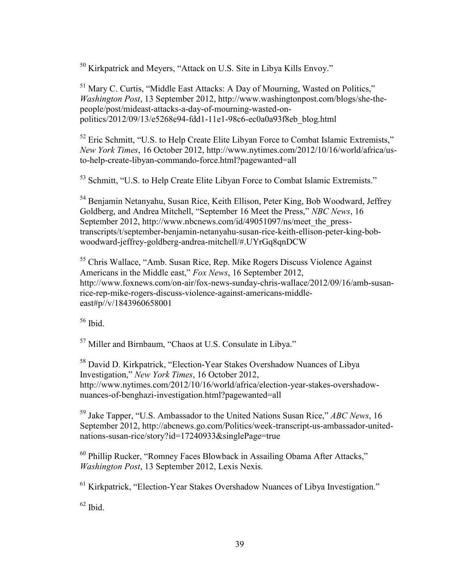<sup>50</sup> Kirkpatrick and Meyers, "Attack on U.S. Site in Libya Kills Envoy."

<sup>51</sup> Mary C. Curtis, "Middle East Attacks: A Day of Mourning, Wasted on Politics," *Washington Post*, 13 September 2012, http://www.washingtonpost.com/blogs/she-thepeople/post/mideast-attacks-a-day-of-mourning-wasted-onpolitics/2012/09/13/e5268e94-fdd1-11e1-98c6-ec0a0a93f8eb\_blog.html

<sup>52</sup> Eric Schmitt, "U.S. to Help Create Elite Libyan Force to Combat Islamic Extremists," *New York Times*, 16 October 2012, http://www.nytimes.com/2012/10/16/world/africa/usto-help-create-libyan-commando-force.html?pagewanted=all

<sup>53</sup> Schmitt, "U.S. to Help Create Elite Libyan Force to Combat Islamic Extremists."

<sup>54</sup> Benjamin Netanyahu, Susan Rice, Keith Ellison, Peter King, Bob Woodward, Jeffrey Goldberg, and Andrea Mitchell, "September 16 Meet the Press," *NBC News*, 16 September 2012, http://www.nbcnews.com/id/49051097/ns/meet the presstranscripts/t/september-benjamin-netanyahu-susan-rice-keith-ellison-peter-king-bobwoodward-jeffrey-goldberg-andrea-mitchell/#.UYrGq8qnDCW

<sup>55</sup> Chris Wallace, "Amb. Susan Rice, Rep. Mike Rogers Discuss Violence Against Americans in the Middle east," *Fox News*, 16 September 2012, http://www.foxnews.com/on-air/fox-news-sunday-chris-wallace/2012/09/16/amb-susanrice-rep-mike-rogers-discuss-violence-against-americans-middleeast#p//v/1843960658001

 $56$  Ibid.

<sup>57</sup> Miller and Birnbaum, "Chaos at U.S. Consulate in Libya."

<sup>58</sup> David D. Kirkpatrick, "Election-Year Stakes Overshadow Nuances of Libya Investigation," *New York Times*, 16 October 2012, http://www.nytimes.com/2012/10/16/world/africa/election-year-stakes-overshadownuances-of-benghazi-investigation.html?pagewanted=all

<sup>59</sup> Jake Tapper, "U.S. Ambassador to the United Nations Susan Rice," *ABC News*, 16 September 2012, http://abcnews.go.com/Politics/week-transcript-us-ambassador-unitednations-susan-rice/story?id=17240933&singlePage=true

<sup>60</sup> Phillip Rucker, "Romney Faces Blowback in Assailing Obama After Attacks," *Washington Post*, 13 September 2012, Lexis Nexis.

<sup>61</sup> Kirkpatrick, "Election-Year Stakes Overshadow Nuances of Libya Investigation."

 $62$  Ibid.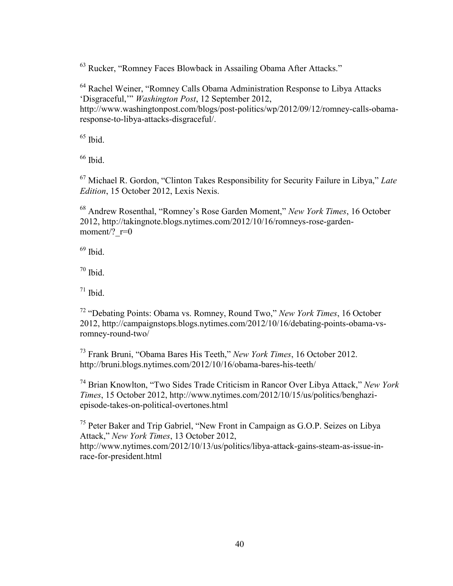<sup>63</sup> Rucker, "Romney Faces Blowback in Assailing Obama After Attacks."

<sup>64</sup> Rachel Weiner, "Romney Calls Obama Administration Response to Libya Attacks 'Disgraceful,'" *Washington Post*, 12 September 2012, http://www.washingtonpost.com/blogs/post-politics/wp/2012/09/12/romney-calls-obamaresponse-to-libya-attacks-disgraceful/.

 $65$  Ibid.

 $66$  Ibid.

<sup>67</sup> Michael R. Gordon, "Clinton Takes Responsibility for Security Failure in Libya," *Late Edition*, 15 October 2012, Lexis Nexis.

<sup>68</sup> Andrew Rosenthal, "Romney's Rose Garden Moment," *New York Times*, 16 October 2012, http://takingnote.blogs.nytimes.com/2012/10/16/romneys-rose-gardenmoment/?  $r=0$ 

 $69$  Ibid.

 $70$  Ibid.

 $71$  Ibid.

<sup>72</sup> "Debating Points: Obama vs. Romney, Round Two," *New York Times*, 16 October 2012, http://campaignstops.blogs.nytimes.com/2012/10/16/debating-points-obama-vsromney-round-two/

<sup>73</sup> Frank Bruni, "Obama Bares His Teeth," *New York Times*, 16 October 2012. http://bruni.blogs.nytimes.com/2012/10/16/obama-bares-his-teeth/

<sup>74</sup> Brian Knowlton, "Two Sides Trade Criticism in Rancor Over Libya Attack," *New York Times*, 15 October 2012, http://www.nytimes.com/2012/10/15/us/politics/benghaziepisode-takes-on-political-overtones.html

<sup>75</sup> Peter Baker and Trip Gabriel, "New Front in Campaign as G.O.P. Seizes on Libya Attack," *New York Times*, 13 October 2012, http://www.nytimes.com/2012/10/13/us/politics/libya-attack-gains-steam-as-issue-inrace-for-president.html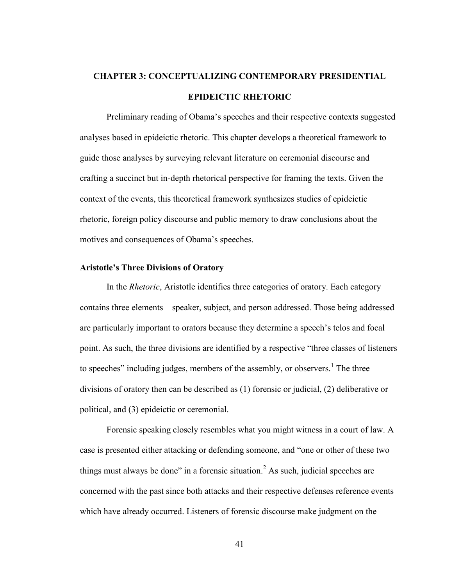# **CHAPTER 3: CONCEPTUALIZING CONTEMPORARY PRESIDENTIAL EPIDEICTIC RHETORIC**

Preliminary reading of Obama's speeches and their respective contexts suggested analyses based in epideictic rhetoric. This chapter develops a theoretical framework to guide those analyses by surveying relevant literature on ceremonial discourse and crafting a succinct but in-depth rhetorical perspective for framing the texts. Given the context of the events, this theoretical framework synthesizes studies of epideictic rhetoric, foreign policy discourse and public memory to draw conclusions about the motives and consequences of Obama's speeches.

## **Aristotle's Three Divisions of Oratory**

In the *Rhetoric*, Aristotle identifies three categories of oratory. Each category contains three elements—speaker, subject, and person addressed. Those being addressed are particularly important to orators because they determine a speech's telos and focal point. As such, the three divisions are identified by a respective "three classes of listeners to speeches" including judges, members of the assembly, or observers.<sup>1</sup> The three divisions of oratory then can be described as (1) forensic or judicial, (2) deliberative or political, and (3) epideictic or ceremonial.

Forensic speaking closely resembles what you might witness in a court of law. A case is presented either attacking or defending someone, and "one or other of these two things must always be done" in a forensic situation.<sup>2</sup> As such, judicial speeches are concerned with the past since both attacks and their respective defenses reference events which have already occurred. Listeners of forensic discourse make judgment on the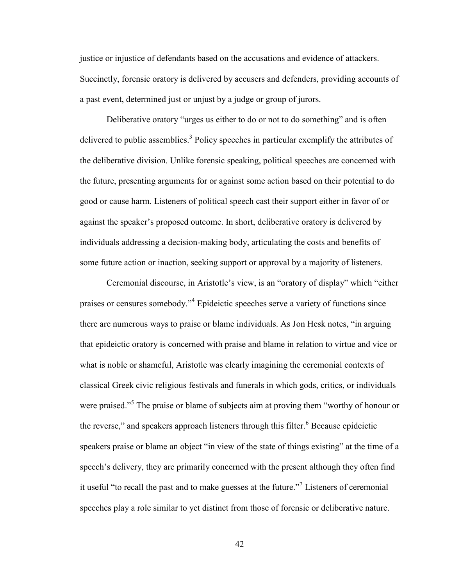justice or injustice of defendants based on the accusations and evidence of attackers. Succinctly, forensic oratory is delivered by accusers and defenders, providing accounts of a past event, determined just or unjust by a judge or group of jurors.

Deliberative oratory "urges us either to do or not to do something" and is often delivered to public assemblies.<sup>3</sup> Policy speeches in particular exemplify the attributes of the deliberative division. Unlike forensic speaking, political speeches are concerned with the future, presenting arguments for or against some action based on their potential to do good or cause harm. Listeners of political speech cast their support either in favor of or against the speaker's proposed outcome. In short, deliberative oratory is delivered by individuals addressing a decision-making body, articulating the costs and benefits of some future action or inaction, seeking support or approval by a majority of listeners.

Ceremonial discourse, in Aristotle's view, is an "oratory of display" which "either praises or censures somebody."<sup>4</sup> Epideictic speeches serve a variety of functions since there are numerous ways to praise or blame individuals. As Jon Hesk notes, "in arguing that epideictic oratory is concerned with praise and blame in relation to virtue and vice or what is noble or shameful, Aristotle was clearly imagining the ceremonial contexts of classical Greek civic religious festivals and funerals in which gods, critics, or individuals were praised."<sup>5</sup> The praise or blame of subjects aim at proving them "worthy of honour or the reverse," and speakers approach listeners through this filter.<sup>6</sup> Because epideictic speakers praise or blame an object "in view of the state of things existing" at the time of a speech's delivery, they are primarily concerned with the present although they often find it useful "to recall the past and to make guesses at the future."<sup>7</sup> Listeners of ceremonial speeches play a role similar to yet distinct from those of forensic or deliberative nature.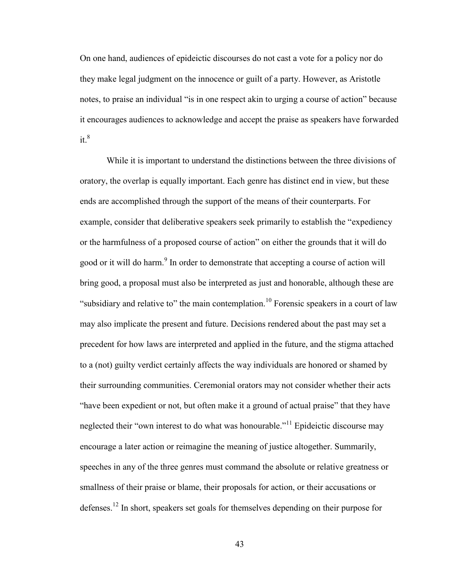On one hand, audiences of epideictic discourses do not cast a vote for a policy nor do they make legal judgment on the innocence or guilt of a party. However, as Aristotle notes, to praise an individual "is in one respect akin to urging a course of action" because it encourages audiences to acknowledge and accept the praise as speakers have forwarded  $it<sup>8</sup>$ 

While it is important to understand the distinctions between the three divisions of oratory, the overlap is equally important. Each genre has distinct end in view, but these ends are accomplished through the support of the means of their counterparts. For example, consider that deliberative speakers seek primarily to establish the "expediency or the harmfulness of a proposed course of action" on either the grounds that it will do good or it will do harm.<sup>9</sup> In order to demonstrate that accepting a course of action will bring good, a proposal must also be interpreted as just and honorable, although these are "subsidiary and relative to" the main contemplation.<sup>10</sup> Forensic speakers in a court of law may also implicate the present and future. Decisions rendered about the past may set a precedent for how laws are interpreted and applied in the future, and the stigma attached to a (not) guilty verdict certainly affects the way individuals are honored or shamed by their surrounding communities. Ceremonial orators may not consider whether their acts "have been expedient or not, but often make it a ground of actual praise" that they have neglected their "own interest to do what was honourable."<sup>11</sup> Epideictic discourse may encourage a later action or reimagine the meaning of justice altogether. Summarily, speeches in any of the three genres must command the absolute or relative greatness or smallness of their praise or blame, their proposals for action, or their accusations or defenses.<sup>12</sup> In short, speakers set goals for themselves depending on their purpose for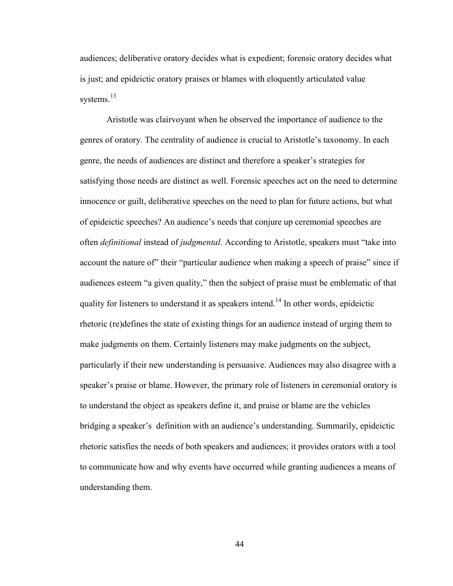audiences; deliberative oratory decides what is expedient; forensic oratory decides what is just; and epideictic oratory praises or blames with eloquently articulated value systems. $^{13}$ 

Aristotle was clairvoyant when he observed the importance of audience to the genres of oratory. The centrality of audience is crucial to Aristotle's taxonomy. In each genre, the needs of audiences are distinct and therefore a speaker's strategies for satisfying those needs are distinct as well. Forensic speeches act on the need to determine innocence or guilt, deliberative speeches on the need to plan for future actions, but what of epideictic speeches? An audience's needs that conjure up ceremonial speeches are often *definitional* instead of *judgmental*. According to Aristotle, speakers must "take into account the nature of" their "particular audience when making a speech of praise" since if audiences esteem "a given quality," then the subject of praise must be emblematic of that quality for listeners to understand it as speakers intend.<sup>14</sup> In other words, epideictic rhetoric (re)defines the state of existing things for an audience instead of urging them to make judgments on them. Certainly listeners may make judgments on the subject, particularly if their new understanding is persuasive. Audiences may also disagree with a speaker's praise or blame. However, the primary role of listeners in ceremonial oratory is to understand the object as speakers define it, and praise or blame are the vehicles bridging a speaker's definition with an audience's understanding. Summarily, epideictic rhetoric satisfies the needs of both speakers and audiences; it provides orators with a tool to communicate how and why events have occurred while granting audiences a means of understanding them.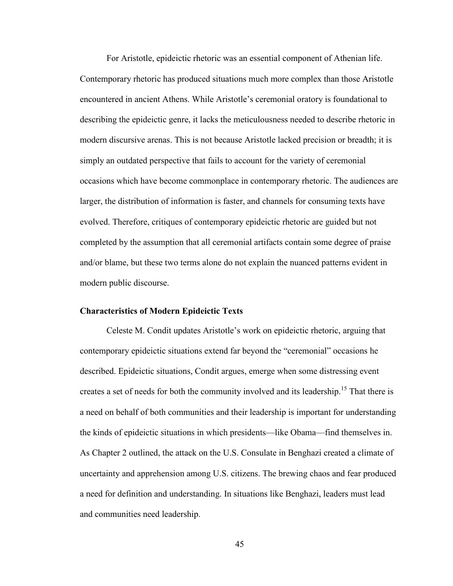For Aristotle, epideictic rhetoric was an essential component of Athenian life. Contemporary rhetoric has produced situations much more complex than those Aristotle encountered in ancient Athens. While Aristotle's ceremonial oratory is foundational to describing the epideictic genre, it lacks the meticulousness needed to describe rhetoric in modern discursive arenas. This is not because Aristotle lacked precision or breadth; it is simply an outdated perspective that fails to account for the variety of ceremonial occasions which have become commonplace in contemporary rhetoric. The audiences are larger, the distribution of information is faster, and channels for consuming texts have evolved. Therefore, critiques of contemporary epideictic rhetoric are guided but not completed by the assumption that all ceremonial artifacts contain some degree of praise and/or blame, but these two terms alone do not explain the nuanced patterns evident in modern public discourse.

### **Characteristics of Modern Epideictic Texts**

Celeste M. Condit updates Aristotle's work on epideictic rhetoric, arguing that contemporary epideictic situations extend far beyond the "ceremonial" occasions he described. Epideictic situations, Condit argues, emerge when some distressing event creates a set of needs for both the community involved and its leadership.<sup>15</sup> That there is a need on behalf of both communities and their leadership is important for understanding the kinds of epideictic situations in which presidents—like Obama—find themselves in. As Chapter 2 outlined, the attack on the U.S. Consulate in Benghazi created a climate of uncertainty and apprehension among U.S. citizens. The brewing chaos and fear produced a need for definition and understanding. In situations like Benghazi, leaders must lead and communities need leadership.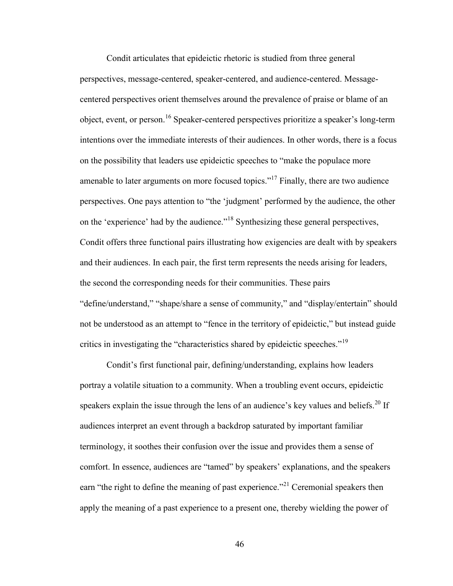Condit articulates that epideictic rhetoric is studied from three general perspectives, message-centered, speaker-centered, and audience-centered. Messagecentered perspectives orient themselves around the prevalence of praise or blame of an object, event, or person.<sup>16</sup> Speaker-centered perspectives prioritize a speaker's long-term intentions over the immediate interests of their audiences. In other words, there is a focus on the possibility that leaders use epideictic speeches to "make the populace more amenable to later arguments on more focused topics."<sup>17</sup> Finally, there are two audience perspectives. One pays attention to "the 'judgment' performed by the audience, the other on the 'experience' had by the audience."<sup>18</sup> Synthesizing these general perspectives, Condit offers three functional pairs illustrating how exigencies are dealt with by speakers and their audiences. In each pair, the first term represents the needs arising for leaders, the second the corresponding needs for their communities. These pairs "define/understand," "shape/share a sense of community," and "display/entertain" should not be understood as an attempt to "fence in the territory of epideictic," but instead guide critics in investigating the "characteristics shared by epideictic speeches."<sup>19</sup>

Condit's first functional pair, defining/understanding, explains how leaders portray a volatile situation to a community. When a troubling event occurs, epideictic speakers explain the issue through the lens of an audience's key values and beliefs.<sup>20</sup> If audiences interpret an event through a backdrop saturated by important familiar terminology, it soothes their confusion over the issue and provides them a sense of comfort. In essence, audiences are "tamed" by speakers' explanations, and the speakers earn "the right to define the meaning of past experience."<sup>21</sup> Ceremonial speakers then apply the meaning of a past experience to a present one, thereby wielding the power of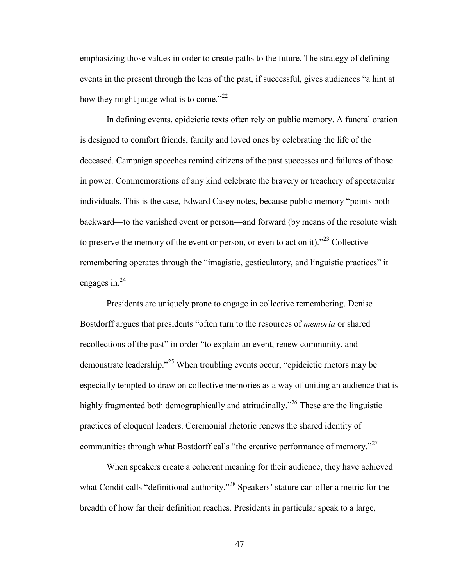emphasizing those values in order to create paths to the future. The strategy of defining events in the present through the lens of the past, if successful, gives audiences "a hint at how they might judge what is to come." $^{22}$ 

In defining events, epideictic texts often rely on public memory. A funeral oration is designed to comfort friends, family and loved ones by celebrating the life of the deceased. Campaign speeches remind citizens of the past successes and failures of those in power. Commemorations of any kind celebrate the bravery or treachery of spectacular individuals. This is the case, Edward Casey notes, because public memory "points both backward—to the vanished event or person—and forward (by means of the resolute wish to preserve the memory of the event or person, or even to act on it)."<sup>23</sup> Collective remembering operates through the "imagistic, gesticulatory, and linguistic practices" it engages in. $^{24}$ 

Presidents are uniquely prone to engage in collective remembering. Denise Bostdorff argues that presidents "often turn to the resources of *memoria* or shared recollections of the past" in order "to explain an event, renew community, and demonstrate leadership."<sup>25</sup> When troubling events occur, "epideictic rhetors may be especially tempted to draw on collective memories as a way of uniting an audience that is highly fragmented both demographically and attitudinally.<sup>226</sup> These are the linguistic practices of eloquent leaders. Ceremonial rhetoric renews the shared identity of communities through what Bostdorff calls "the creative performance of memory."<sup>27</sup>

When speakers create a coherent meaning for their audience, they have achieved what Condit calls "definitional authority."<sup>28</sup> Speakers' stature can offer a metric for the breadth of how far their definition reaches. Presidents in particular speak to a large,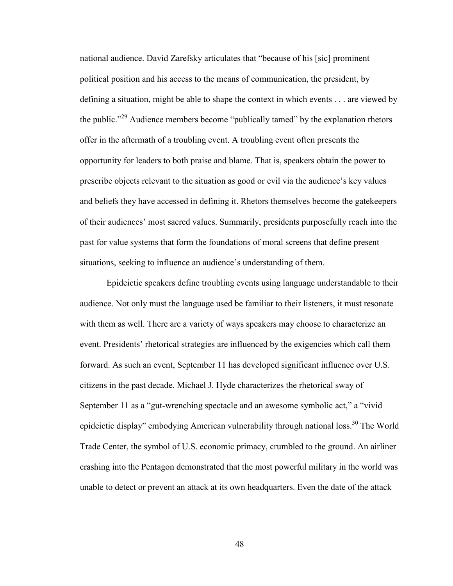national audience. David Zarefsky articulates that "because of his [sic] prominent political position and his access to the means of communication, the president, by defining a situation, might be able to shape the context in which events . . . are viewed by the public."<sup>29</sup> Audience members become "publically tamed" by the explanation rhetors offer in the aftermath of a troubling event. A troubling event often presents the opportunity for leaders to both praise and blame. That is, speakers obtain the power to prescribe objects relevant to the situation as good or evil via the audience's key values and beliefs they have accessed in defining it. Rhetors themselves become the gatekeepers of their audiences' most sacred values. Summarily, presidents purposefully reach into the past for value systems that form the foundations of moral screens that define present situations, seeking to influence an audience's understanding of them.

Epideictic speakers define troubling events using language understandable to their audience. Not only must the language used be familiar to their listeners, it must resonate with them as well. There are a variety of ways speakers may choose to characterize an event. Presidents' rhetorical strategies are influenced by the exigencies which call them forward. As such an event, September 11 has developed significant influence over U.S. citizens in the past decade. Michael J. Hyde characterizes the rhetorical sway of September 11 as a "gut-wrenching spectacle and an awesome symbolic act," a "vivid epideictic display" embodying American vulnerability through national loss.<sup>30</sup> The World Trade Center, the symbol of U.S. economic primacy, crumbled to the ground. An airliner crashing into the Pentagon demonstrated that the most powerful military in the world was unable to detect or prevent an attack at its own headquarters. Even the date of the attack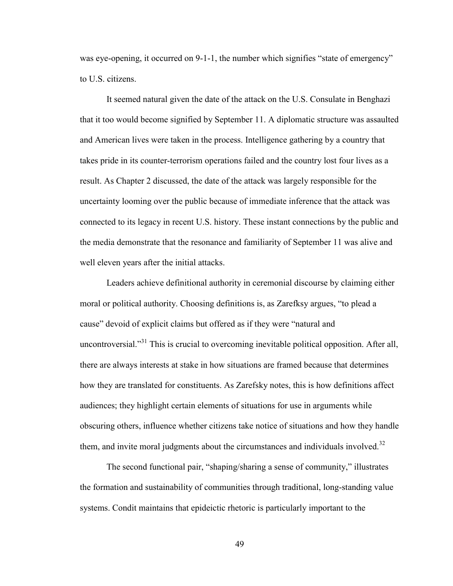was eye-opening, it occurred on 9-1-1, the number which signifies "state of emergency" to U.S. citizens.

It seemed natural given the date of the attack on the U.S. Consulate in Benghazi that it too would become signified by September 11. A diplomatic structure was assaulted and American lives were taken in the process. Intelligence gathering by a country that takes pride in its counter-terrorism operations failed and the country lost four lives as a result. As Chapter 2 discussed, the date of the attack was largely responsible for the uncertainty looming over the public because of immediate inference that the attack was connected to its legacy in recent U.S. history. These instant connections by the public and the media demonstrate that the resonance and familiarity of September 11 was alive and well eleven years after the initial attacks.

Leaders achieve definitional authority in ceremonial discourse by claiming either moral or political authority. Choosing definitions is, as Zarefksy argues, "to plead a cause" devoid of explicit claims but offered as if they were "natural and uncontroversial."<sup>31</sup> This is crucial to overcoming inevitable political opposition. After all, there are always interests at stake in how situations are framed because that determines how they are translated for constituents. As Zarefsky notes, this is how definitions affect audiences; they highlight certain elements of situations for use in arguments while obscuring others, influence whether citizens take notice of situations and how they handle them, and invite moral judgments about the circumstances and individuals involved.<sup>32</sup>

The second functional pair, "shaping/sharing a sense of community," illustrates the formation and sustainability of communities through traditional, long-standing value systems. Condit maintains that epideictic rhetoric is particularly important to the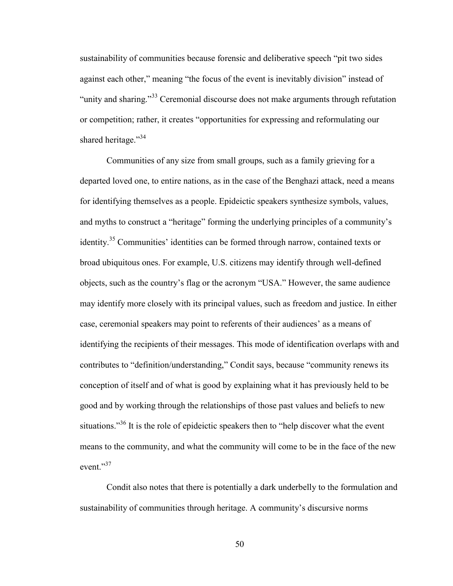sustainability of communities because forensic and deliberative speech "pit two sides against each other," meaning "the focus of the event is inevitably division" instead of "unity and sharing."<sup>33</sup> Ceremonial discourse does not make arguments through refutation or competition; rather, it creates "opportunities for expressing and reformulating our shared heritage."<sup>34</sup>

Communities of any size from small groups, such as a family grieving for a departed loved one, to entire nations, as in the case of the Benghazi attack, need a means for identifying themselves as a people. Epideictic speakers synthesize symbols, values, and myths to construct a "heritage" forming the underlying principles of a community's identity.<sup>35</sup> Communities' identities can be formed through narrow, contained texts or broad ubiquitous ones. For example, U.S. citizens may identify through well-defined objects, such as the country's flag or the acronym "USA." However, the same audience may identify more closely with its principal values, such as freedom and justice. In either case, ceremonial speakers may point to referents of their audiences' as a means of identifying the recipients of their messages. This mode of identification overlaps with and contributes to "definition/understanding," Condit says, because "community renews its conception of itself and of what is good by explaining what it has previously held to be good and by working through the relationships of those past values and beliefs to new situations."<sup>36</sup> It is the role of epideictic speakers then to "help discover what the event" means to the community, and what the community will come to be in the face of the new event."<sup>37</sup>

Condit also notes that there is potentially a dark underbelly to the formulation and sustainability of communities through heritage. A community's discursive norms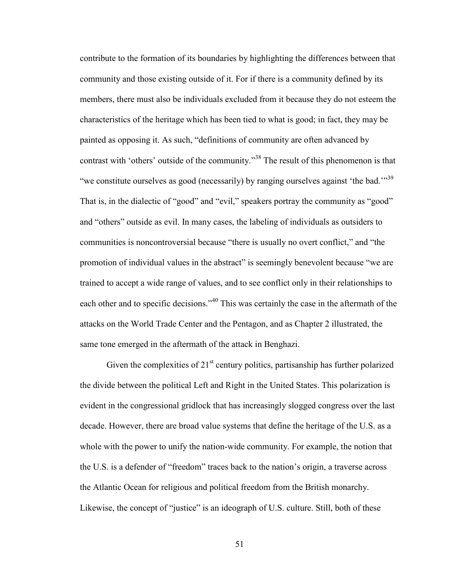contribute to the formation of its boundaries by highlighting the differences between that community and those existing outside of it. For if there is a community defined by its members, there must also be individuals excluded from it because they do not esteem the characteristics of the heritage which has been tied to what is good; in fact, they may be painted as opposing it. As such, "definitions of community are often advanced by contrast with 'others' outside of the community."<sup>38</sup> The result of this phenomenon is that "we constitute ourselves as good (necessarily) by ranging ourselves against 'the bad."<sup>39</sup> That is, in the dialectic of "good" and "evil," speakers portray the community as "good" and "others" outside as evil. In many cases, the labeling of individuals as outsiders to communities is noncontroversial because "there is usually no overt conflict," and "the promotion of individual values in the abstract" is seemingly benevolent because "we are trained to accept a wide range of values, and to see conflict only in their relationships to each other and to specific decisions."<sup>40</sup> This was certainly the case in the aftermath of the attacks on the World Trade Center and the Pentagon, and as Chapter 2 illustrated, the same tone emerged in the aftermath of the attack in Benghazi.

Given the complexities of  $21<sup>st</sup>$  century politics, partisanship has further polarized the divide between the political Left and Right in the United States. This polarization is evident in the congressional gridlock that has increasingly slogged congress over the last decade. However, there are broad value systems that define the heritage of the U.S. as a whole with the power to unify the nation-wide community. For example, the notion that the U.S. is a defender of "freedom" traces back to the nation's origin, a traverse across the Atlantic Ocean for religious and political freedom from the British monarchy. Likewise, the concept of "justice" is an ideograph of U.S. culture. Still, both of these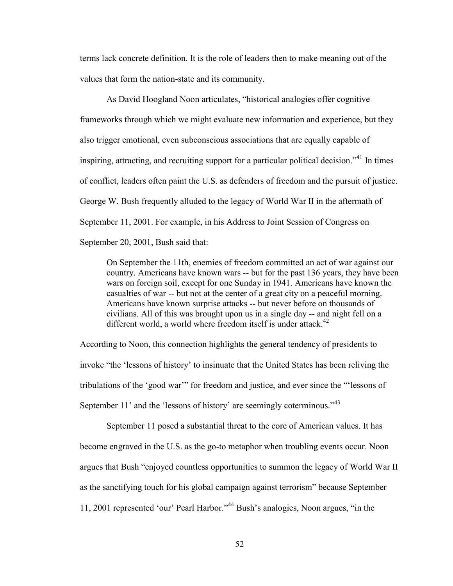terms lack concrete definition. It is the role of leaders then to make meaning out of the values that form the nation-state and its community.

As David Hoogland Noon articulates, "historical analogies offer cognitive frameworks through which we might evaluate new information and experience, but they also trigger emotional, even subconscious associations that are equally capable of inspiring, attracting, and recruiting support for a particular political decision.<sup> $341$ </sup> In times of conflict, leaders often paint the U.S. as defenders of freedom and the pursuit of justice. George W. Bush frequently alluded to the legacy of World War II in the aftermath of September 11, 2001. For example, in his Address to Joint Session of Congress on September 20, 2001, Bush said that:

On September the 11th, enemies of freedom committed an act of war against our country. Americans have known wars -- but for the past 136 years, they have been wars on foreign soil, except for one Sunday in 1941. Americans have known the casualties of war -- but not at the center of a great city on a peaceful morning. Americans have known surprise attacks -- but never before on thousands of civilians. All of this was brought upon us in a single day -- and night fell on a different world, a world where freedom itself is under attack. $42$ 

According to Noon, this connection highlights the general tendency of presidents to invoke "the 'lessons of history' to insinuate that the United States has been reliving the tribulations of the 'good war'" for freedom and justice, and ever since the "'lessons of September 11' and the 'lessons of history' are seemingly coterminous."<sup>43</sup>

September 11 posed a substantial threat to the core of American values. It has become engraved in the U.S. as the go-to metaphor when troubling events occur. Noon argues that Bush "enjoyed countless opportunities to summon the legacy of World War II as the sanctifying touch for his global campaign against terrorism" because September 11, 2001 represented 'our' Pearl Harbor."<sup>44</sup> Bush's analogies, Noon argues, "in the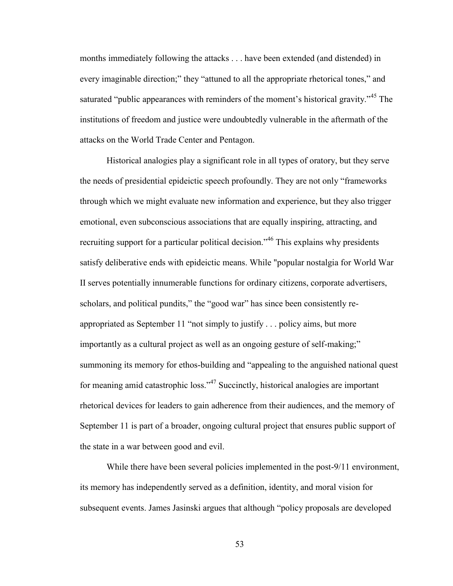months immediately following the attacks . . . have been extended (and distended) in every imaginable direction;" they "attuned to all the appropriate rhetorical tones," and saturated "public appearances with reminders of the moment's historical gravity."<sup>45</sup> The institutions of freedom and justice were undoubtedly vulnerable in the aftermath of the attacks on the World Trade Center and Pentagon.

Historical analogies play a significant role in all types of oratory, but they serve the needs of presidential epideictic speech profoundly. They are not only "frameworks through which we might evaluate new information and experience, but they also trigger emotional, even subconscious associations that are equally inspiring, attracting, and recruiting support for a particular political decision."<sup>46</sup> This explains why presidents satisfy deliberative ends with epideictic means. While "popular nostalgia for World War II serves potentially innumerable functions for ordinary citizens, corporate advertisers, scholars, and political pundits," the "good war" has since been consistently reappropriated as September 11 "not simply to justify . . . policy aims, but more importantly as a cultural project as well as an ongoing gesture of self-making;" summoning its memory for ethos-building and "appealing to the anguished national quest for meaning amid catastrophic loss."<sup>47</sup> Succinctly, historical analogies are important rhetorical devices for leaders to gain adherence from their audiences, and the memory of September 11 is part of a broader, ongoing cultural project that ensures public support of the state in a war between good and evil.

While there have been several policies implemented in the post-9/11 environment, its memory has independently served as a definition, identity, and moral vision for subsequent events. James Jasinski argues that although "policy proposals are developed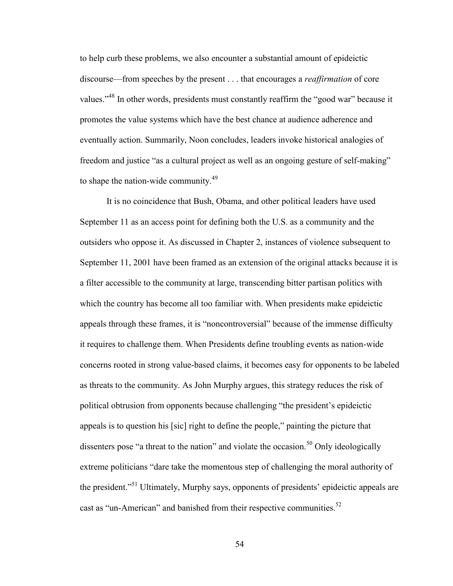to help curb these problems, we also encounter a substantial amount of epideictic discourse—from speeches by the present . . . that encourages a *reaffirmation* of core values."<sup>48</sup> In other words, presidents must constantly reaffirm the "good war" because it promotes the value systems which have the best chance at audience adherence and eventually action. Summarily, Noon concludes, leaders invoke historical analogies of freedom and justice "as a cultural project as well as an ongoing gesture of self-making" to shape the nation-wide community.<sup>49</sup>

It is no coincidence that Bush, Obama, and other political leaders have used September 11 as an access point for defining both the U.S. as a community and the outsiders who oppose it. As discussed in Chapter 2, instances of violence subsequent to September 11, 2001 have been framed as an extension of the original attacks because it is a filter accessible to the community at large, transcending bitter partisan politics with which the country has become all too familiar with. When presidents make epideictic appeals through these frames, it is "noncontroversial" because of the immense difficulty it requires to challenge them. When Presidents define troubling events as nation-wide concerns rooted in strong value-based claims, it becomes easy for opponents to be labeled as threats to the community. As John Murphy argues, this strategy reduces the risk of political obtrusion from opponents because challenging "the president's epideictic appeals is to question his [sic] right to define the people," painting the picture that dissenters pose "a threat to the nation" and violate the occasion.<sup>50</sup> Only ideologically extreme politicians "dare take the momentous step of challenging the moral authority of the president."<sup>51</sup> Ultimately, Murphy says, opponents of presidents' epideictic appeals are cast as "un-American" and banished from their respective communities. $52$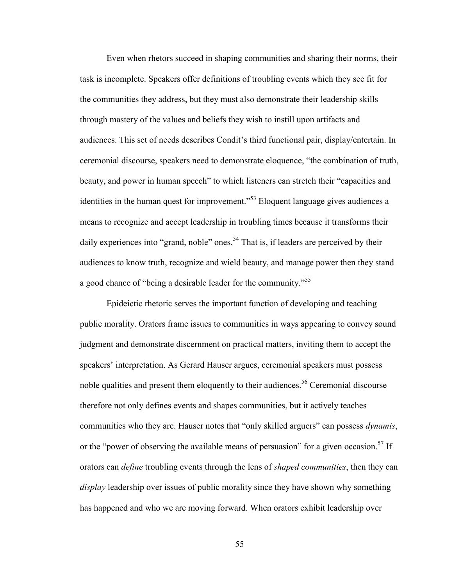Even when rhetors succeed in shaping communities and sharing their norms, their task is incomplete. Speakers offer definitions of troubling events which they see fit for the communities they address, but they must also demonstrate their leadership skills through mastery of the values and beliefs they wish to instill upon artifacts and audiences. This set of needs describes Condit's third functional pair, display/entertain. In ceremonial discourse, speakers need to demonstrate eloquence, "the combination of truth, beauty, and power in human speech" to which listeners can stretch their "capacities and identities in the human quest for improvement."<sup>53</sup> Eloquent language gives audiences a means to recognize and accept leadership in troubling times because it transforms their daily experiences into "grand, noble" ones.<sup>54</sup> That is, if leaders are perceived by their audiences to know truth, recognize and wield beauty, and manage power then they stand a good chance of "being a desirable leader for the community."<sup>55</sup>

Epideictic rhetoric serves the important function of developing and teaching public morality. Orators frame issues to communities in ways appearing to convey sound judgment and demonstrate discernment on practical matters, inviting them to accept the speakers' interpretation. As Gerard Hauser argues, ceremonial speakers must possess noble qualities and present them eloquently to their audiences.<sup>56</sup> Ceremonial discourse therefore not only defines events and shapes communities, but it actively teaches communities who they are. Hauser notes that "only skilled arguers" can possess *dynamis*, or the "power of observing the available means of persuasion" for a given occasion.<sup>57</sup> If orators can *define* troubling events through the lens of *shaped communities*, then they can *display* leadership over issues of public morality since they have shown why something has happened and who we are moving forward. When orators exhibit leadership over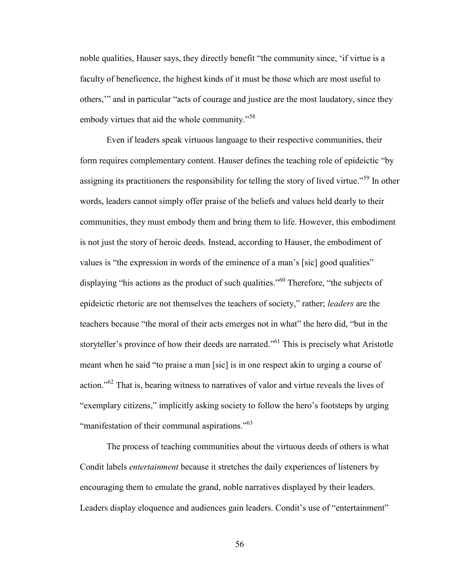noble qualities, Hauser says, they directly benefit "the community since, 'if virtue is a faculty of beneficence, the highest kinds of it must be those which are most useful to others,'" and in particular "acts of courage and justice are the most laudatory, since they embody virtues that aid the whole community."<sup>58</sup>

Even if leaders speak virtuous language to their respective communities, their form requires complementary content. Hauser defines the teaching role of epideictic "by assigning its practitioners the responsibility for telling the story of lived virtue."<sup>59</sup> In other words, leaders cannot simply offer praise of the beliefs and values held dearly to their communities, they must embody them and bring them to life. However, this embodiment is not just the story of heroic deeds. Instead, according to Hauser, the embodiment of values is "the expression in words of the eminence of a man's [sic] good qualities" displaying "his actions as the product of such qualities."<sup>60</sup> Therefore, "the subjects of epideictic rhetoric are not themselves the teachers of society," rather; *leaders* are the teachers because "the moral of their acts emerges not in what" the hero did, "but in the storyteller's province of how their deeds are narrated."<sup>61</sup> This is precisely what Aristotle meant when he said "to praise a man [sic] is in one respect akin to urging a course of action."<sup>62</sup> That is, bearing witness to narratives of valor and virtue reveals the lives of "exemplary citizens," implicitly asking society to follow the hero's footsteps by urging "manifestation of their communal aspirations."<sup>63</sup>

The process of teaching communities about the virtuous deeds of others is what Condit labels *entertainment* because it stretches the daily experiences of listeners by encouraging them to emulate the grand, noble narratives displayed by their leaders. Leaders display eloquence and audiences gain leaders. Condit's use of "entertainment"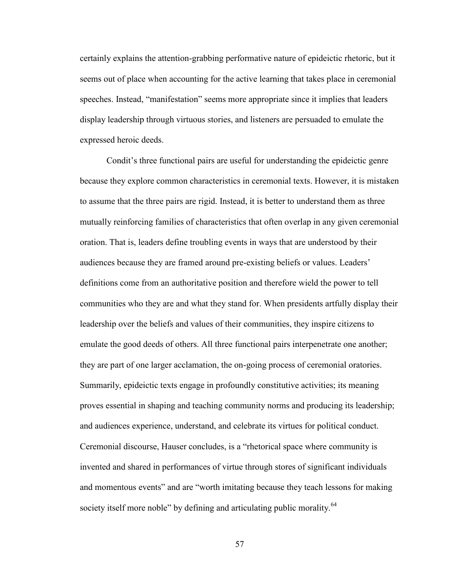certainly explains the attention-grabbing performative nature of epideictic rhetoric, but it seems out of place when accounting for the active learning that takes place in ceremonial speeches. Instead, "manifestation" seems more appropriate since it implies that leaders display leadership through virtuous stories, and listeners are persuaded to emulate the expressed heroic deeds.

Condit's three functional pairs are useful for understanding the epideictic genre because they explore common characteristics in ceremonial texts. However, it is mistaken to assume that the three pairs are rigid. Instead, it is better to understand them as three mutually reinforcing families of characteristics that often overlap in any given ceremonial oration. That is, leaders define troubling events in ways that are understood by their audiences because they are framed around pre-existing beliefs or values. Leaders' definitions come from an authoritative position and therefore wield the power to tell communities who they are and what they stand for. When presidents artfully display their leadership over the beliefs and values of their communities, they inspire citizens to emulate the good deeds of others. All three functional pairs interpenetrate one another; they are part of one larger acclamation, the on-going process of ceremonial oratories. Summarily, epideictic texts engage in profoundly constitutive activities; its meaning proves essential in shaping and teaching community norms and producing its leadership; and audiences experience, understand, and celebrate its virtues for political conduct. Ceremonial discourse, Hauser concludes, is a "rhetorical space where community is invented and shared in performances of virtue through stores of significant individuals and momentous events" and are "worth imitating because they teach lessons for making society itself more noble" by defining and articulating public morality.<sup>64</sup>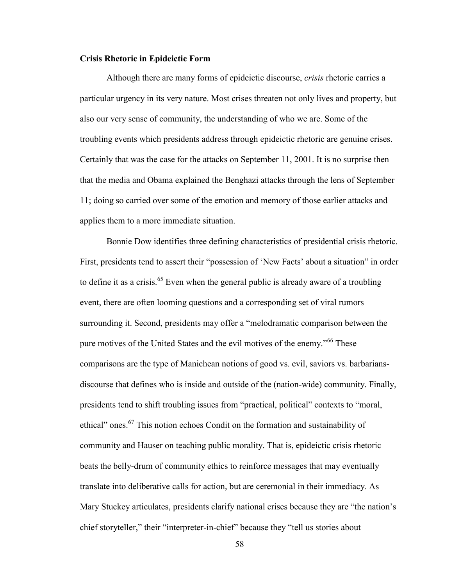## **Crisis Rhetoric in Epideictic Form**

Although there are many forms of epideictic discourse, *crisis* rhetoric carries a particular urgency in its very nature. Most crises threaten not only lives and property, but also our very sense of community, the understanding of who we are. Some of the troubling events which presidents address through epideictic rhetoric are genuine crises. Certainly that was the case for the attacks on September 11, 2001. It is no surprise then that the media and Obama explained the Benghazi attacks through the lens of September 11; doing so carried over some of the emotion and memory of those earlier attacks and applies them to a more immediate situation.

Bonnie Dow identifies three defining characteristics of presidential crisis rhetoric. First, presidents tend to assert their "possession of 'New Facts' about a situation" in order to define it as a crisis.<sup>65</sup> Even when the general public is already aware of a troubling event, there are often looming questions and a corresponding set of viral rumors surrounding it. Second, presidents may offer a "melodramatic comparison between the pure motives of the United States and the evil motives of the enemy.<sup>566</sup> These comparisons are the type of Manichean notions of good vs. evil, saviors vs. barbariansdiscourse that defines who is inside and outside of the (nation-wide) community. Finally, presidents tend to shift troubling issues from "practical, political" contexts to "moral, ethical" ones.<sup>67</sup> This notion echoes Condit on the formation and sustainability of community and Hauser on teaching public morality. That is, epideictic crisis rhetoric beats the belly-drum of community ethics to reinforce messages that may eventually translate into deliberative calls for action, but are ceremonial in their immediacy. As Mary Stuckey articulates, presidents clarify national crises because they are "the nation's chief storyteller," their "interpreter-in-chief" because they "tell us stories about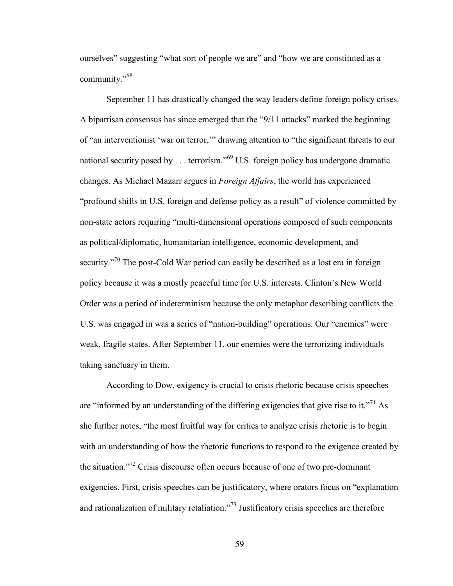ourselves" suggesting "what sort of people we are" and "how we are constituted as a community."<sup>68</sup>

September 11 has drastically changed the way leaders define foreign policy crises. A bipartisan consensus has since emerged that the "9/11 attacks" marked the beginning of "an interventionist 'war on terror,'" drawing attention to "the significant threats to our national security posed by . . . terrorism."<sup>69</sup> U.S. foreign policy has undergone dramatic changes. As Michael Mazarr argues in *Foreign Affairs*, the world has experienced "profound shifts in U.S. foreign and defense policy as a result" of violence committed by non-state actors requiring "multi-dimensional operations composed of such components as political/diplomatic, humanitarian intelligence, economic development, and security."<sup>70</sup> The post-Cold War period can easily be described as a lost era in foreign policy because it was a mostly peaceful time for U.S. interests. Clinton's New World Order was a period of indeterminism because the only metaphor describing conflicts the U.S. was engaged in was a series of "nation-building" operations. Our "enemies" were weak, fragile states. After September 11, our enemies were the terrorizing individuals taking sanctuary in them.

According to Dow, exigency is crucial to crisis rhetoric because crisis speeches are "informed by an understanding of the differing exigencies that give rise to it."<sup>71</sup> As she further notes, "the most fruitful way for critics to analyze crisis rhetoric is to begin with an understanding of how the rhetoric functions to respond to the exigence created by the situation."<sup>72</sup> Crisis discourse often occurs because of one of two pre-dominant exigencies. First, crisis speeches can be justificatory, where orators focus on "explanation and rationalization of military retaliation."<sup>73</sup> Justificatory crisis speeches are therefore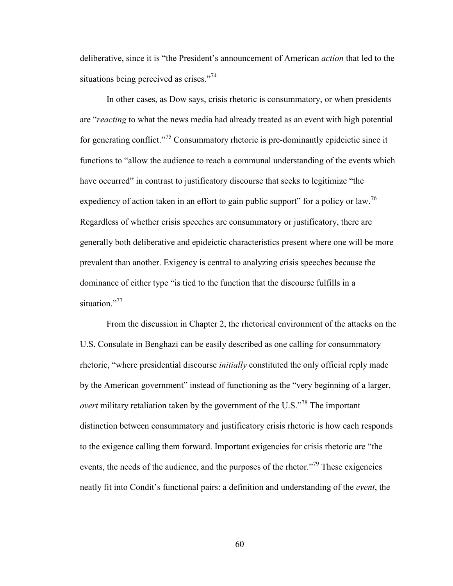deliberative, since it is "the President's announcement of American *action* that led to the situations being perceived as crises."<sup>74</sup>

In other cases, as Dow says, crisis rhetoric is consummatory, or when presidents are "*reacting* to what the news media had already treated as an event with high potential for generating conflict."<sup>75</sup> Consummatory rhetoric is pre-dominantly epideictic since it functions to "allow the audience to reach a communal understanding of the events which have occurred" in contrast to justificatory discourse that seeks to legitimize "the expediency of action taken in an effort to gain public support" for a policy or law.<sup>76</sup> Regardless of whether crisis speeches are consummatory or justificatory, there are generally both deliberative and epideictic characteristics present where one will be more prevalent than another. Exigency is central to analyzing crisis speeches because the dominance of either type "is tied to the function that the discourse fulfills in a situation<sup>"77</sup>

From the discussion in Chapter 2, the rhetorical environment of the attacks on the U.S. Consulate in Benghazi can be easily described as one calling for consummatory rhetoric, "where presidential discourse *initially* constituted the only official reply made by the American government" instead of functioning as the "very beginning of a larger, *overt* military retaliation taken by the government of the U.S."<sup>78</sup> The important distinction between consummatory and justificatory crisis rhetoric is how each responds to the exigence calling them forward. Important exigencies for crisis rhetoric are "the events, the needs of the audience, and the purposes of the rhetor.<sup>"79</sup> These exigencies neatly fit into Condit's functional pairs: a definition and understanding of the *event*, the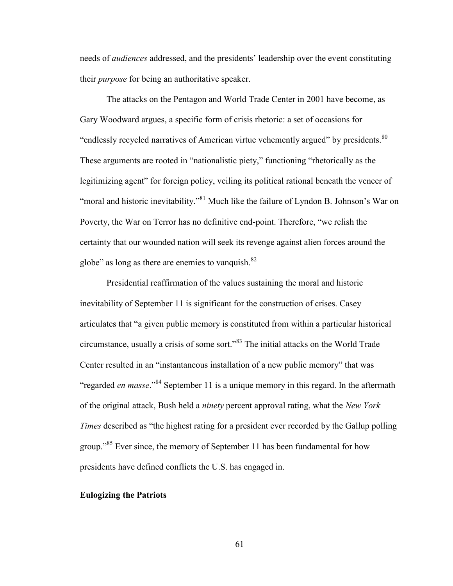needs of *audiences* addressed, and the presidents' leadership over the event constituting their *purpose* for being an authoritative speaker.

The attacks on the Pentagon and World Trade Center in 2001 have become, as Gary Woodward argues, a specific form of crisis rhetoric: a set of occasions for "endlessly recycled narratives of American virtue vehemently argued" by presidents. $80$ These arguments are rooted in "nationalistic piety," functioning "rhetorically as the legitimizing agent" for foreign policy, veiling its political rational beneath the veneer of "moral and historic inevitability."<sup>81</sup> Much like the failure of Lyndon B. Johnson's War on Poverty, the War on Terror has no definitive end-point. Therefore, "we relish the certainty that our wounded nation will seek its revenge against alien forces around the globe" as long as there are enemies to vanquish. $82$ 

Presidential reaffirmation of the values sustaining the moral and historic inevitability of September 11 is significant for the construction of crises. Casey articulates that "a given public memory is constituted from within a particular historical circumstance, usually a crisis of some sort."<sup>83</sup> The initial attacks on the World Trade Center resulted in an "instantaneous installation of a new public memory" that was "regarded *en masse*."<sup>84</sup> September 11 is a unique memory in this regard. In the aftermath of the original attack, Bush held a *ninety* percent approval rating, what the *New York Times* described as "the highest rating for a president ever recorded by the Gallup polling group."<sup>85</sup> Ever since, the memory of September 11 has been fundamental for how presidents have defined conflicts the U.S. has engaged in.

### **Eulogizing the Patriots**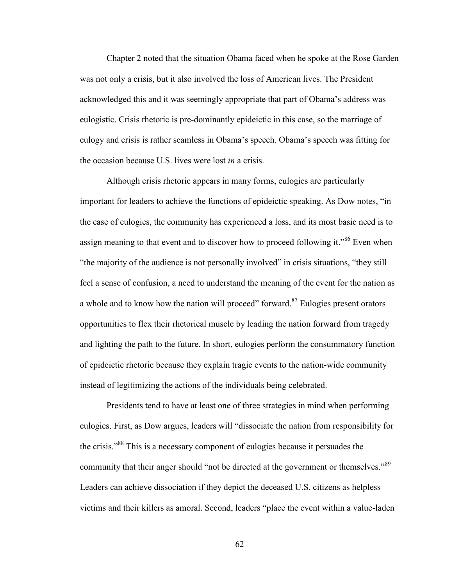Chapter 2 noted that the situation Obama faced when he spoke at the Rose Garden was not only a crisis, but it also involved the loss of American lives. The President acknowledged this and it was seemingly appropriate that part of Obama's address was eulogistic. Crisis rhetoric is pre-dominantly epideictic in this case, so the marriage of eulogy and crisis is rather seamless in Obama's speech. Obama's speech was fitting for the occasion because U.S. lives were lost *in* a crisis.

Although crisis rhetoric appears in many forms, eulogies are particularly important for leaders to achieve the functions of epideictic speaking. As Dow notes, "in the case of eulogies, the community has experienced a loss, and its most basic need is to assign meaning to that event and to discover how to proceed following it."<sup>86</sup> Even when "the majority of the audience is not personally involved" in crisis situations, "they still feel a sense of confusion, a need to understand the meaning of the event for the nation as a whole and to know how the nation will proceed" forward.<sup>87</sup> Eulogies present orators opportunities to flex their rhetorical muscle by leading the nation forward from tragedy and lighting the path to the future. In short, eulogies perform the consummatory function of epideictic rhetoric because they explain tragic events to the nation-wide community instead of legitimizing the actions of the individuals being celebrated.

Presidents tend to have at least one of three strategies in mind when performing eulogies. First, as Dow argues, leaders will "dissociate the nation from responsibility for the crisis."<sup>88</sup> This is a necessary component of eulogies because it persuades the community that their anger should "not be directed at the government or themselves."<sup>89</sup> Leaders can achieve dissociation if they depict the deceased U.S. citizens as helpless victims and their killers as amoral. Second, leaders "place the event within a value-laden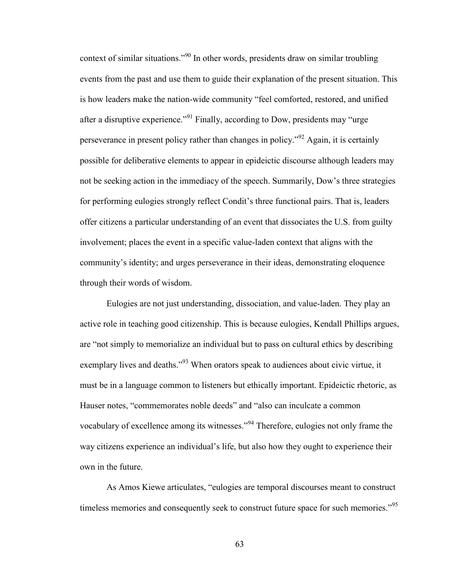context of similar situations."<sup>90</sup> In other words, presidents draw on similar troubling events from the past and use them to guide their explanation of the present situation. This is how leaders make the nation-wide community "feel comforted, restored, and unified after a disruptive experience."<sup>91</sup> Finally, according to Dow, presidents may "urge" perseverance in present policy rather than changes in policy."<sup>92</sup> Again, it is certainly possible for deliberative elements to appear in epideictic discourse although leaders may not be seeking action in the immediacy of the speech. Summarily, Dow's three strategies for performing eulogies strongly reflect Condit's three functional pairs. That is, leaders offer citizens a particular understanding of an event that dissociates the U.S. from guilty involvement; places the event in a specific value-laden context that aligns with the community's identity; and urges perseverance in their ideas, demonstrating eloquence through their words of wisdom.

Eulogies are not just understanding, dissociation, and value-laden. They play an active role in teaching good citizenship. This is because eulogies, Kendall Phillips argues, are "not simply to memorialize an individual but to pass on cultural ethics by describing exemplary lives and deaths."<sup>93</sup> When orators speak to audiences about civic virtue, it must be in a language common to listeners but ethically important. Epideictic rhetoric, as Hauser notes, "commemorates noble deeds" and "also can inculcate a common vocabulary of excellence among its witnesses."<sup>94</sup> Therefore, eulogies not only frame the way citizens experience an individual's life, but also how they ought to experience their own in the future.

As Amos Kiewe articulates, "eulogies are temporal discourses meant to construct timeless memories and consequently seek to construct future space for such memories."<sup>95</sup>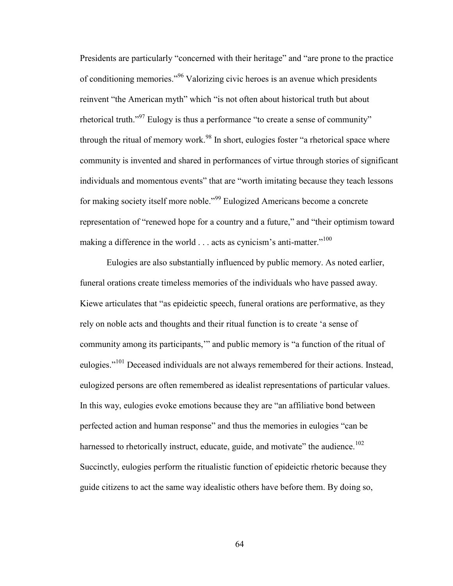Presidents are particularly "concerned with their heritage" and "are prone to the practice of conditioning memories."<sup>96</sup> Valorizing civic heroes is an avenue which presidents reinvent "the American myth" which "is not often about historical truth but about rhetorical truth."<sup>97</sup> Eulogy is thus a performance "to create a sense of community" through the ritual of memory work.<sup>98</sup> In short, eulogies foster "a rhetorical space where community is invented and shared in performances of virtue through stories of significant individuals and momentous events" that are "worth imitating because they teach lessons for making society itself more noble."<sup>99</sup> Eulogized Americans become a concrete representation of "renewed hope for a country and a future," and "their optimism toward making a difference in the world . . . acts as cynicism's anti-matter."<sup>100</sup>

Eulogies are also substantially influenced by public memory. As noted earlier, funeral orations create timeless memories of the individuals who have passed away. Kiewe articulates that "as epideictic speech, funeral orations are performative, as they rely on noble acts and thoughts and their ritual function is to create 'a sense of community among its participants,'" and public memory is "a function of the ritual of eulogies."<sup>101</sup> Deceased individuals are not always remembered for their actions. Instead, eulogized persons are often remembered as idealist representations of particular values. In this way, eulogies evoke emotions because they are "an affiliative bond between perfected action and human response" and thus the memories in eulogies "can be harnessed to rhetorically instruct, educate, guide, and motivate" the audience.<sup>102</sup> Succinctly, eulogies perform the ritualistic function of epideictic rhetoric because they guide citizens to act the same way idealistic others have before them. By doing so,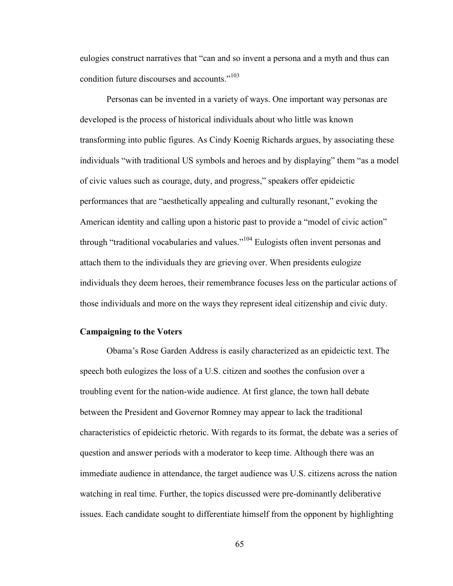eulogies construct narratives that "can and so invent a persona and a myth and thus can condition future discourses and accounts."<sup>103</sup>

Personas can be invented in a variety of ways. One important way personas are developed is the process of historical individuals about who little was known transforming into public figures. As Cindy Koenig Richards argues, by associating these individuals "with traditional US symbols and heroes and by displaying" them "as a model of civic values such as courage, duty, and progress," speakers offer epideictic performances that are "aesthetically appealing and culturally resonant," evoking the American identity and calling upon a historic past to provide a "model of civic action" through "traditional vocabularies and values."<sup>104</sup> Eulogists often invent personas and attach them to the individuals they are grieving over. When presidents eulogize individuals they deem heroes, their remembrance focuses less on the particular actions of those individuals and more on the ways they represent ideal citizenship and civic duty.

### **Campaigning to the Voters**

Obama's Rose Garden Address is easily characterized as an epideictic text. The speech both eulogizes the loss of a U.S. citizen and soothes the confusion over a troubling event for the nation-wide audience. At first glance, the town hall debate between the President and Governor Romney may appear to lack the traditional characteristics of epideictic rhetoric. With regards to its format, the debate was a series of question and answer periods with a moderator to keep time. Although there was an immediate audience in attendance, the target audience was U.S. citizens across the nation watching in real time. Further, the topics discussed were pre-dominantly deliberative issues. Each candidate sought to differentiate himself from the opponent by highlighting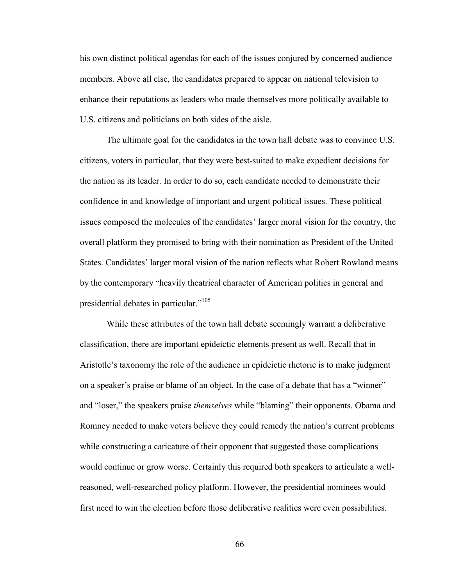his own distinct political agendas for each of the issues conjured by concerned audience members. Above all else, the candidates prepared to appear on national television to enhance their reputations as leaders who made themselves more politically available to U.S. citizens and politicians on both sides of the aisle.

The ultimate goal for the candidates in the town hall debate was to convince U.S. citizens, voters in particular, that they were best-suited to make expedient decisions for the nation as its leader. In order to do so, each candidate needed to demonstrate their confidence in and knowledge of important and urgent political issues. These political issues composed the molecules of the candidates' larger moral vision for the country, the overall platform they promised to bring with their nomination as President of the United States. Candidates' larger moral vision of the nation reflects what Robert Rowland means by the contemporary "heavily theatrical character of American politics in general and presidential debates in particular."<sup>105</sup>

While these attributes of the town hall debate seemingly warrant a deliberative classification, there are important epideictic elements present as well. Recall that in Aristotle's taxonomy the role of the audience in epideictic rhetoric is to make judgment on a speaker's praise or blame of an object. In the case of a debate that has a "winner" and "loser," the speakers praise *themselves* while "blaming" their opponents. Obama and Romney needed to make voters believe they could remedy the nation's current problems while constructing a caricature of their opponent that suggested those complications would continue or grow worse. Certainly this required both speakers to articulate a wellreasoned, well-researched policy platform. However, the presidential nominees would first need to win the election before those deliberative realities were even possibilities.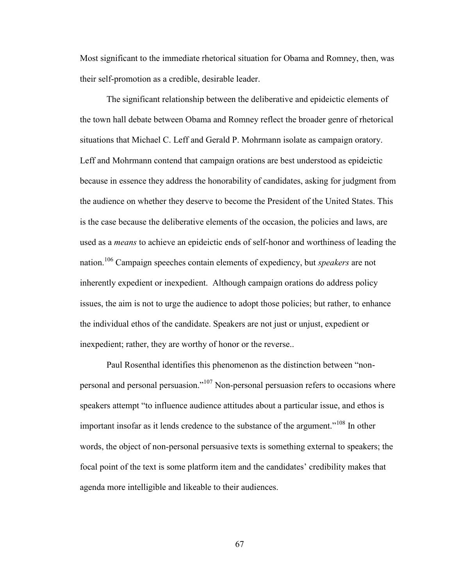Most significant to the immediate rhetorical situation for Obama and Romney, then, was their self-promotion as a credible, desirable leader.

The significant relationship between the deliberative and epideictic elements of the town hall debate between Obama and Romney reflect the broader genre of rhetorical situations that Michael C. Leff and Gerald P. Mohrmann isolate as campaign oratory. Leff and Mohrmann contend that campaign orations are best understood as epideictic because in essence they address the honorability of candidates, asking for judgment from the audience on whether they deserve to become the President of the United States. This is the case because the deliberative elements of the occasion, the policies and laws, are used as a *means* to achieve an epideictic ends of self-honor and worthiness of leading the nation.<sup>106</sup> Campaign speeches contain elements of expediency, but *speakers* are not inherently expedient or inexpedient. Although campaign orations do address policy issues, the aim is not to urge the audience to adopt those policies; but rather, to enhance the individual ethos of the candidate. Speakers are not just or unjust, expedient or inexpedient; rather, they are worthy of honor or the reverse..

Paul Rosenthal identifies this phenomenon as the distinction between "nonpersonal and personal persuasion."<sup>107</sup> Non-personal persuasion refers to occasions where speakers attempt "to influence audience attitudes about a particular issue, and ethos is important insofar as it lends credence to the substance of the argument."<sup>108</sup> In other words, the object of non-personal persuasive texts is something external to speakers; the focal point of the text is some platform item and the candidates' credibility makes that agenda more intelligible and likeable to their audiences.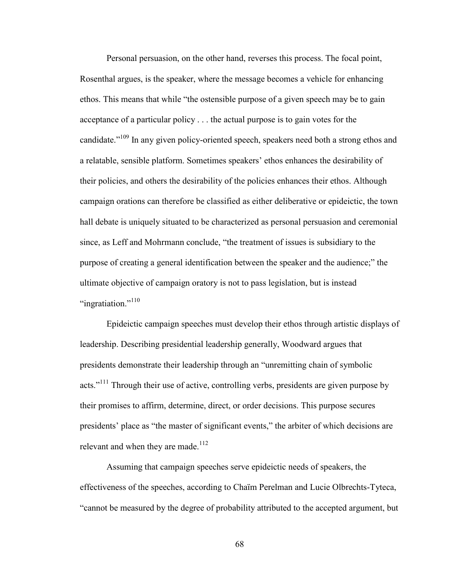Personal persuasion, on the other hand, reverses this process. The focal point, Rosenthal argues, is the speaker, where the message becomes a vehicle for enhancing ethos. This means that while "the ostensible purpose of a given speech may be to gain acceptance of a particular policy . . . the actual purpose is to gain votes for the candidate."<sup>109</sup> In any given policy-oriented speech, speakers need both a strong ethos and a relatable, sensible platform. Sometimes speakers' ethos enhances the desirability of their policies, and others the desirability of the policies enhances their ethos. Although campaign orations can therefore be classified as either deliberative or epideictic, the town hall debate is uniquely situated to be characterized as personal persuasion and ceremonial since, as Leff and Mohrmann conclude, "the treatment of issues is subsidiary to the purpose of creating a general identification between the speaker and the audience;" the ultimate objective of campaign oratory is not to pass legislation, but is instead "ingratiation."<sup>110</sup>

Epideictic campaign speeches must develop their ethos through artistic displays of leadership. Describing presidential leadership generally, Woodward argues that presidents demonstrate their leadership through an "unremitting chain of symbolic acts."<sup>111</sup> Through their use of active, controlling verbs, presidents are given purpose by their promises to affirm, determine, direct, or order decisions. This purpose secures presidents' place as "the master of significant events," the arbiter of which decisions are relevant and when they are made.<sup>112</sup>

Assuming that campaign speeches serve epideictic needs of speakers, the effectiveness of the speeches, according to Chaïm Perelman and Lucie Olbrechts-Tyteca, "cannot be measured by the degree of probability attributed to the accepted argument, but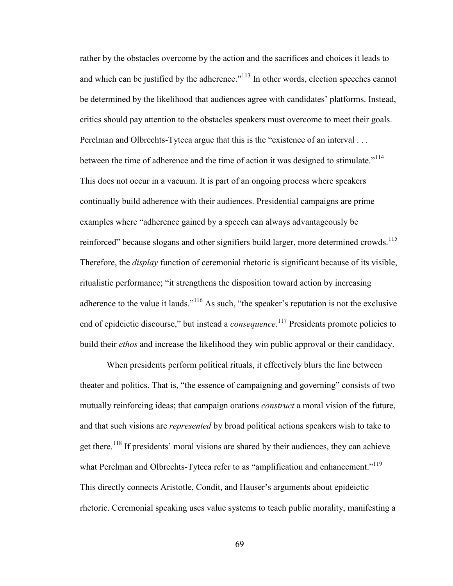rather by the obstacles overcome by the action and the sacrifices and choices it leads to and which can be justified by the adherence."<sup>113</sup> In other words, election speeches cannot be determined by the likelihood that audiences agree with candidates' platforms. Instead, critics should pay attention to the obstacles speakers must overcome to meet their goals. Perelman and Olbrechts-Tyteca argue that this is the "existence of an interval . . . between the time of adherence and the time of action it was designed to stimulate."<sup>114</sup> This does not occur in a vacuum. It is part of an ongoing process where speakers continually build adherence with their audiences. Presidential campaigns are prime examples where "adherence gained by a speech can always advantageously be reinforced" because slogans and other signifiers build larger, more determined crowds.<sup>115</sup> Therefore, the *display* function of ceremonial rhetoric is significant because of its visible, ritualistic performance; "it strengthens the disposition toward action by increasing adherence to the value it lauds."<sup>116</sup> As such, "the speaker's reputation is not the exclusive end of epideictic discourse," but instead a *consequence*.<sup>117</sup> Presidents promote policies to build their *ethos* and increase the likelihood they win public approval or their candidacy.

When presidents perform political rituals, it effectively blurs the line between theater and politics. That is, "the essence of campaigning and governing" consists of two mutually reinforcing ideas; that campaign orations *construct* a moral vision of the future, and that such visions are *represented* by broad political actions speakers wish to take to get there.<sup>118</sup> If presidents' moral visions are shared by their audiences, they can achieve what Perelman and Olbrechts-Tyteca refer to as "amplification and enhancement."<sup>119</sup> This directly connects Aristotle, Condit, and Hauser's arguments about epideictic rhetoric. Ceremonial speaking uses value systems to teach public morality, manifesting a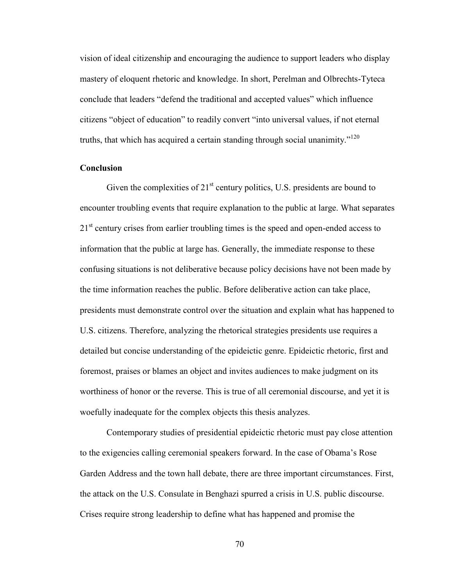vision of ideal citizenship and encouraging the audience to support leaders who display mastery of eloquent rhetoric and knowledge. In short, Perelman and Olbrechts-Tyteca conclude that leaders "defend the traditional and accepted values" which influence citizens "object of education" to readily convert "into universal values, if not eternal truths, that which has acquired a certain standing through social unanimity."<sup>120</sup>

#### **Conclusion**

Given the complexities of  $21<sup>st</sup>$  century politics, U.S. presidents are bound to encounter troubling events that require explanation to the public at large. What separates 21<sup>st</sup> century crises from earlier troubling times is the speed and open-ended access to information that the public at large has. Generally, the immediate response to these confusing situations is not deliberative because policy decisions have not been made by the time information reaches the public. Before deliberative action can take place, presidents must demonstrate control over the situation and explain what has happened to U.S. citizens. Therefore, analyzing the rhetorical strategies presidents use requires a detailed but concise understanding of the epideictic genre. Epideictic rhetoric, first and foremost, praises or blames an object and invites audiences to make judgment on its worthiness of honor or the reverse. This is true of all ceremonial discourse, and yet it is woefully inadequate for the complex objects this thesis analyzes.

Contemporary studies of presidential epideictic rhetoric must pay close attention to the exigencies calling ceremonial speakers forward. In the case of Obama's Rose Garden Address and the town hall debate, there are three important circumstances. First, the attack on the U.S. Consulate in Benghazi spurred a crisis in U.S. public discourse. Crises require strong leadership to define what has happened and promise the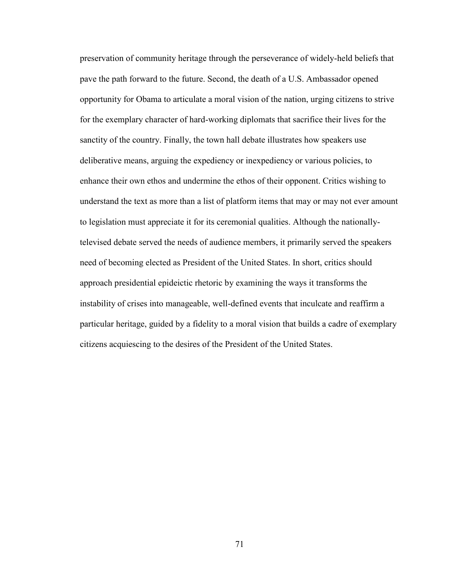preservation of community heritage through the perseverance of widely-held beliefs that pave the path forward to the future. Second, the death of a U.S. Ambassador opened opportunity for Obama to articulate a moral vision of the nation, urging citizens to strive for the exemplary character of hard-working diplomats that sacrifice their lives for the sanctity of the country. Finally, the town hall debate illustrates how speakers use deliberative means, arguing the expediency or inexpediency or various policies, to enhance their own ethos and undermine the ethos of their opponent. Critics wishing to understand the text as more than a list of platform items that may or may not ever amount to legislation must appreciate it for its ceremonial qualities. Although the nationallytelevised debate served the needs of audience members, it primarily served the speakers need of becoming elected as President of the United States. In short, critics should approach presidential epideictic rhetoric by examining the ways it transforms the instability of crises into manageable, well-defined events that inculcate and reaffirm a particular heritage, guided by a fidelity to a moral vision that builds a cadre of exemplary citizens acquiescing to the desires of the President of the United States.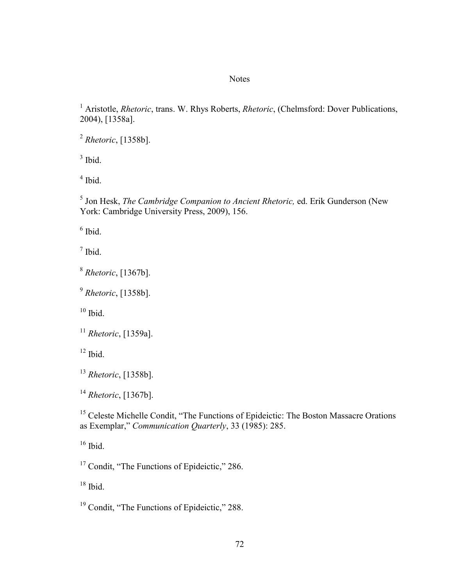## **Notes**

<sup>1</sup> Aristotle, *Rhetoric*, trans. W. Rhys Roberts, *Rhetoric*, (Chelmsford: Dover Publications, 2004), [1358a].

*Rhetoric*, [1358b].

Ibid.

Ibid.

 Jon Hesk, *The Cambridge Companion to Ancient Rhetoric,* ed. Erik Gunderson (New York: Cambridge University Press, 2009), 156.

Ibid.

 $<sup>7</sup>$  Ibid.</sup>

*Rhetoric*, [1367b].

*Rhetoric*, [1358b].

Ibid.

*Rhetoric*, [1359a].

Ibid.

*Rhetoric*, [1358b].

*Rhetoric*, [1367b].

<sup>15</sup> Celeste Michelle Condit, "The Functions of Epideictic: The Boston Massacre Orations as Exemplar," *Communication Quarterly*, 33 (1985): 285.

Ibid.

<sup>17</sup> Condit, "The Functions of Epideictic," 286.

Ibid.

<sup>19</sup> Condit, "The Functions of Epideictic," 288.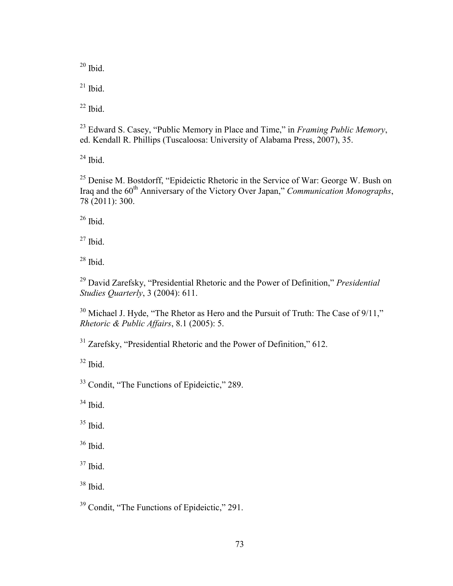Ibid.

Ibid.

Ibid.

 Edward S. Casey, "Public Memory in Place and Time," in *Framing Public Memory*, ed. Kendall R. Phillips (Tuscaloosa: University of Alabama Press, 2007), 35.

Ibid.

<sup>25</sup> Denise M. Bostdorff, "Epideictic Rhetoric in the Service of War: George W. Bush on Iraq and the 60th Anniversary of the Victory Over Japan," *Communication Monographs*, 78 (2011): 300.

Ibid.

Ibid.

Ibid.

 David Zarefsky, "Presidential Rhetoric and the Power of Definition," *Presidential Studies Quarterly*, 3 (2004): 611.

 Michael J. Hyde, "The Rhetor as Hero and the Pursuit of Truth: The Case of  $9/11$ ," *Rhetoric & Public Affairs*, 8.1 (2005): 5.

<sup>31</sup> Zarefsky, "Presidential Rhetoric and the Power of Definition," 612.

Ibid.

<sup>33</sup> Condit, "The Functions of Epideictic," 289.

Ibid.

Ibid.

Ibid.

Ibid.

Ibid.

<sup>39</sup> Condit, "The Functions of Epideictic," 291.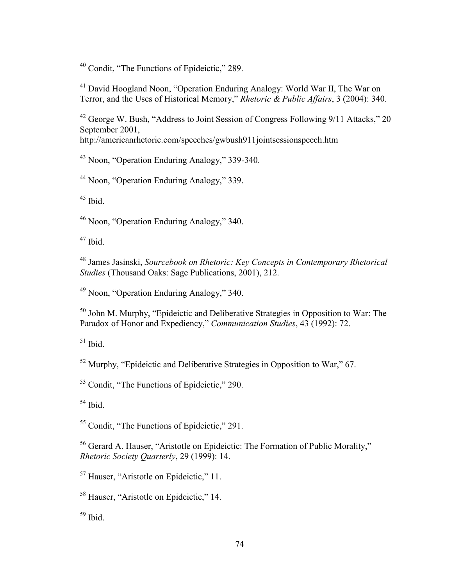Condit, "The Functions of Epideictic," 289.

 David Hoogland Noon, "Operation Enduring Analogy: World War II, The War on Terror, and the Uses of Historical Memory," *Rhetoric & Public Affairs*, 3 (2004): 340.

 George W. Bush, "Address to Joint Session of Congress Following 9/11 Attacks," 20 September 2001, <http://americanrhetoric.com/speeches/gwbush911jointsessionspeech.htm>

Noon, "Operation Enduring Analogy," 339-340.

Noon, "Operation Enduring Analogy," 339.

Ibid.

Noon, "Operation Enduring Analogy," 340.

Ibid.

 James Jasinski, *Sourcebook on Rhetoric: Key Concepts in Contemporary Rhetorical Studies* (Thousand Oaks: Sage Publications, 2001), 212.

Noon, "Operation Enduring Analogy," 340.

 John M. Murphy, "Epideictic and Deliberative Strategies in Opposition to War: The Paradox of Honor and Expediency," *Communication Studies*, 43 (1992): 72.

Ibid.

Murphy, "Epideictic and Deliberative Strategies in Opposition to War," 67.

Condit, "The Functions of Epideictic," 290.

Ibid.

Condit, "The Functions of Epideictic," 291.

 Gerard A. Hauser, "Aristotle on Epideictic: The Formation of Public Morality," *Rhetoric Society Quarterly*, 29 (1999): 14.

Hauser, "Aristotle on Epideictic," 11.

Hauser, "Aristotle on Epideictic," 14.

Ibid.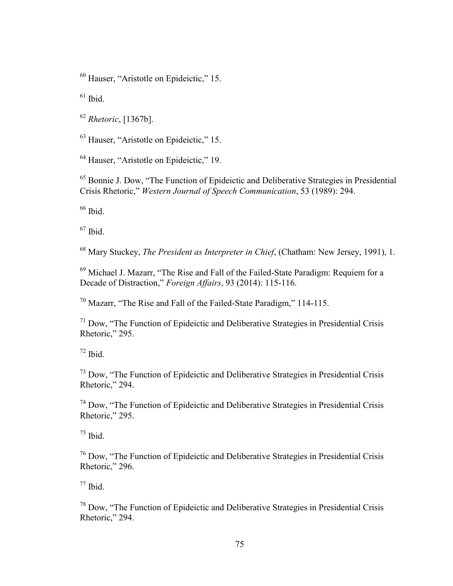Hauser, "Aristotle on Epideictic," 15.

Ibid.

*Rhetoric*, [1367b].

Hauser, "Aristotle on Epideictic," 15.

Hauser, "Aristotle on Epideictic," 19.

 Bonnie J. Dow, "The Function of Epideictic and Deliberative Strategies in Presidential Crisis Rhetoric," *Western Journal of Speech Communication*, 53 (1989): 294.

Ibid.

 $^{67}$  Ibid.

Mary Stuckey, *The President as Interpreter in Chief*, (Chatham: New Jersey, 1991), 1.

 Michael J. Mazarr, "The Rise and Fall of the Failed-State Paradigm: Requiem for a Decade of Distraction," *Foreign Affairs*, 93 (2014): 115-116.

Mazarr, "The Rise and Fall of the Failed-State Paradigm," 114-115.

 Dow, "The Function of Epideictic and Deliberative Strategies in Presidential Crisis Rhetoric," 295.

Ibid.

 Dow, "The Function of Epideictic and Deliberative Strategies in Presidential Crisis Rhetoric," 294.

 Dow, "The Function of Epideictic and Deliberative Strategies in Presidential Crisis Rhetoric," 295.

Ibid.

 Dow, "The Function of Epideictic and Deliberative Strategies in Presidential Crisis Rhetoric," 296.

Ibid.

 Dow, "The Function of Epideictic and Deliberative Strategies in Presidential Crisis Rhetoric," 294.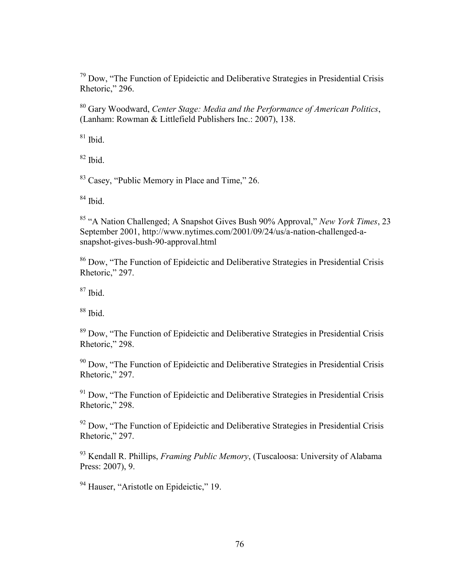$79$  Dow, "The Function of Epideictic and Deliberative Strategies in Presidential Crisis Rhetoric," 296.

<sup>80</sup> Gary Woodward, *Center Stage: Media and the Performance of American Politics*, (Lanham: Rowman & Littlefield Publishers Inc.: 2007), 138.

 $81$  Ibid.

 $82$  Ibid.

<sup>83</sup> Casey, "Public Memory in Place and Time," 26.

 $84$  Ibid.

<sup>85</sup> "A Nation Challenged; A Snapshot Gives Bush 90% Approval," *New York Times*, 23 September 2001, [http://www.nytimes.com/2001/09/24/us/a-nation-challenged-a](http://www.nytimes.com/2001/09/24/us/a-nation-challenged-a-snapshot-gives-bush-90-approval.html)[snapshot-gives-bush-90-approval.html](http://www.nytimes.com/2001/09/24/us/a-nation-challenged-a-snapshot-gives-bush-90-approval.html)

<sup>86</sup> Dow, "The Function of Epideictic and Deliberative Strategies in Presidential Crisis Rhetoric," 297.

 $87$  Ibid.

 $88$  Ibid.

<sup>89</sup> Dow, "The Function of Epideictic and Deliberative Strategies in Presidential Crisis Rhetoric," 298.

<sup>90</sup> Dow, "The Function of Epideictic and Deliberative Strategies in Presidential Crisis Rhetoric," 297.

 $91$  Dow, "The Function of Epideictic and Deliberative Strategies in Presidential Crisis Rhetoric," 298.

 $92$  Dow, "The Function of Epideictic and Deliberative Strategies in Presidential Crisis Rhetoric," 297.

<sup>93</sup> Kendall R. Phillips, *Framing Public Memory*, (Tuscaloosa: University of Alabama Press: 2007), 9.

<sup>94</sup> Hauser, "Aristotle on Epideictic," 19.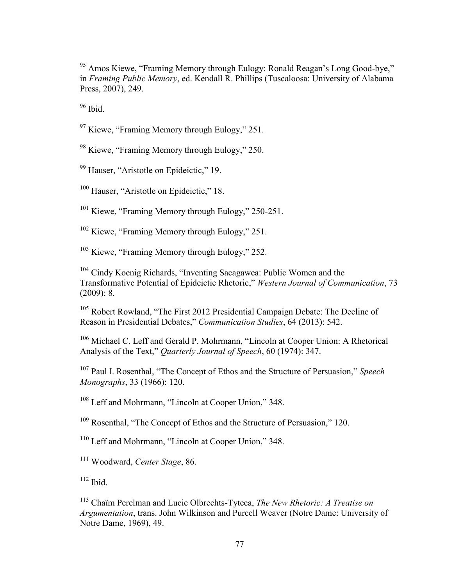<sup>95</sup> Amos Kiewe, "Framing Memory through Eulogy: Ronald Reagan's Long Good-bye," in *Framing Public Memory*, ed. Kendall R. Phillips (Tuscaloosa: University of Alabama Press, 2007), 249.

 $96$  Ibid.

<sup>97</sup> Kiewe, "Framing Memory through Eulogy," 251.

<sup>98</sup> Kiewe, "Framing Memory through Eulogy," 250.

<sup>99</sup> Hauser, "Aristotle on Epideictic," 19.

<sup>100</sup> Hauser, "Aristotle on Epideictic," 18.

<sup>101</sup> Kiewe, "Framing Memory through Eulogy," 250-251.

<sup>102</sup> Kiewe, "Framing Memory through Eulogy," 251.

<sup>103</sup> Kiewe, "Framing Memory through Eulogy," 252.

<sup>104</sup> Cindy Koenig Richards, "Inventing Sacagawea: Public Women and the Transformative Potential of Epideictic Rhetoric," *Western Journal of Communication*, 73 (2009): 8.

<sup>105</sup> Robert Rowland, "The First 2012 Presidential Campaign Debate: The Decline of Reason in Presidential Debates," *Communication Studies*, 64 (2013): 542.

<sup>106</sup> Michael C. Leff and Gerald P. Mohrmann, "Lincoln at Cooper Union: A Rhetorical Analysis of the Text," *Quarterly Journal of Speech*, 60 (1974): 347.

<sup>107</sup> Paul I. Rosenthal, "The Concept of Ethos and the Structure of Persuasion," *Speech Monographs*, 33 (1966): 120.

<sup>108</sup> Leff and Mohrmann, "Lincoln at Cooper Union," 348.

<sup>109</sup> Rosenthal, "The Concept of Ethos and the Structure of Persuasion," 120.

<sup>110</sup> Leff and Mohrmann, "Lincoln at Cooper Union," 348.

<sup>111</sup> Woodward, *Center Stage*, 86.

 $112$  Ibid.

<sup>113</sup> Chaïm Perelman and Lucie Olbrechts-Tyteca, *The New Rhetoric: A Treatise on Argumentation*, trans. John Wilkinson and Purcell Weaver (Notre Dame: University of Notre Dame, 1969), 49.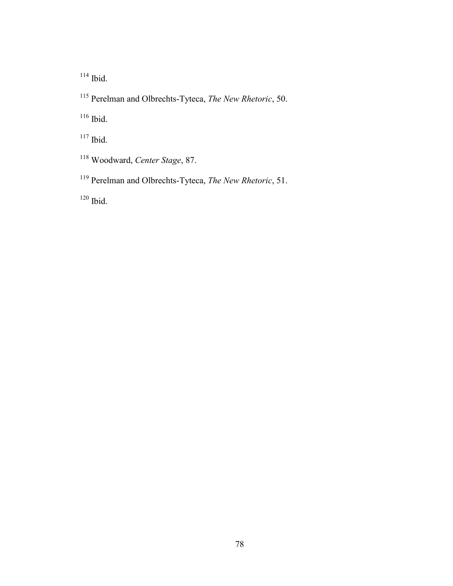Ibid.

Perelman and Olbrechts-Tyteca, *The New Rhetoric*, 50.

<sup>116</sup> Ibid.

- <sup>117</sup> Ibid.
- Woodward, *Center Stage*, 87.
- Perelman and Olbrechts-Tyteca, *The New Rhetoric*, 51.

Ibid.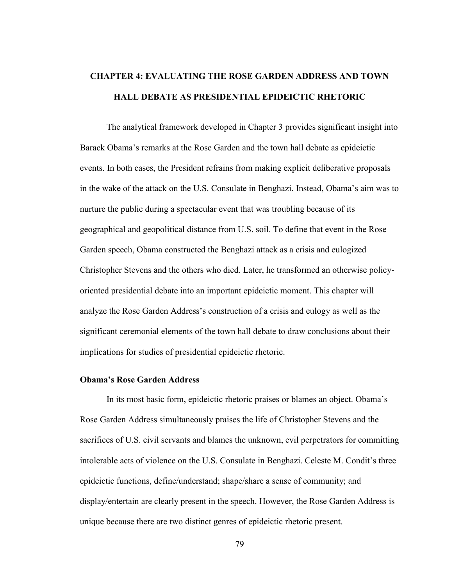# **CHAPTER 4: EVALUATING THE ROSE GARDEN ADDRESS AND TOWN HALL DEBATE AS PRESIDENTIAL EPIDEICTIC RHETORIC**

The analytical framework developed in Chapter 3 provides significant insight into Barack Obama's remarks at the Rose Garden and the town hall debate as epideictic events. In both cases, the President refrains from making explicit deliberative proposals in the wake of the attack on the U.S. Consulate in Benghazi. Instead, Obama's aim was to nurture the public during a spectacular event that was troubling because of its geographical and geopolitical distance from U.S. soil. To define that event in the Rose Garden speech, Obama constructed the Benghazi attack as a crisis and eulogized Christopher Stevens and the others who died. Later, he transformed an otherwise policyoriented presidential debate into an important epideictic moment. This chapter will analyze the Rose Garden Address's construction of a crisis and eulogy as well as the significant ceremonial elements of the town hall debate to draw conclusions about their implications for studies of presidential epideictic rhetoric.

## **Obama's Rose Garden Address**

In its most basic form, epideictic rhetoric praises or blames an object. Obama's Rose Garden Address simultaneously praises the life of Christopher Stevens and the sacrifices of U.S. civil servants and blames the unknown, evil perpetrators for committing intolerable acts of violence on the U.S. Consulate in Benghazi. Celeste M. Condit's three epideictic functions, define/understand; shape/share a sense of community; and display/entertain are clearly present in the speech. However, the Rose Garden Address is unique because there are two distinct genres of epideictic rhetoric present.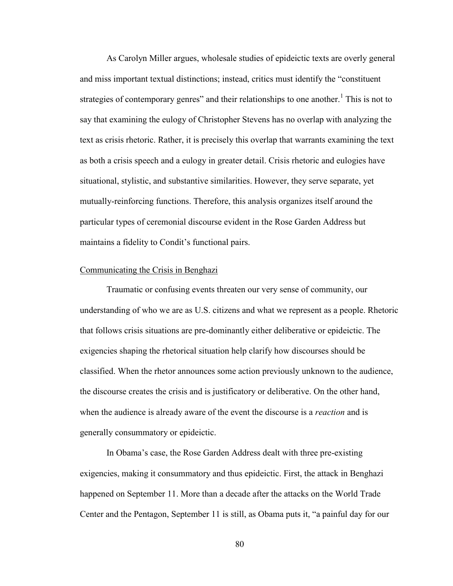As Carolyn Miller argues, wholesale studies of epideictic texts are overly general and miss important textual distinctions; instead, critics must identify the "constituent strategies of contemporary genres" and their relationships to one another.<sup>1</sup> This is not to say that examining the eulogy of Christopher Stevens has no overlap with analyzing the text as crisis rhetoric. Rather, it is precisely this overlap that warrants examining the text as both a crisis speech and a eulogy in greater detail. Crisis rhetoric and eulogies have situational, stylistic, and substantive similarities. However, they serve separate, yet mutually-reinforcing functions. Therefore, this analysis organizes itself around the particular types of ceremonial discourse evident in the Rose Garden Address but maintains a fidelity to Condit's functional pairs.

### Communicating the Crisis in Benghazi

Traumatic or confusing events threaten our very sense of community, our understanding of who we are as U.S. citizens and what we represent as a people. Rhetoric that follows crisis situations are pre-dominantly either deliberative or epideictic. The exigencies shaping the rhetorical situation help clarify how discourses should be classified. When the rhetor announces some action previously unknown to the audience, the discourse creates the crisis and is justificatory or deliberative. On the other hand, when the audience is already aware of the event the discourse is a *reaction* and is generally consummatory or epideictic.

In Obama's case, the Rose Garden Address dealt with three pre-existing exigencies, making it consummatory and thus epideictic. First, the attack in Benghazi happened on September 11. More than a decade after the attacks on the World Trade Center and the Pentagon, September 11 is still, as Obama puts it, "a painful day for our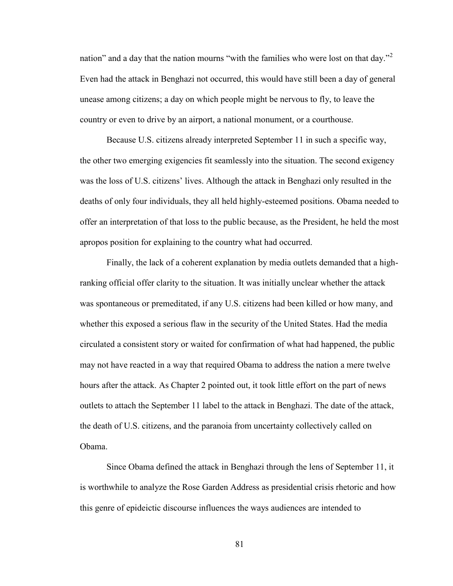nation" and a day that the nation mourns "with the families who were lost on that day."<sup>2</sup> Even had the attack in Benghazi not occurred, this would have still been a day of general unease among citizens; a day on which people might be nervous to fly, to leave the country or even to drive by an airport, a national monument, or a courthouse.

Because U.S. citizens already interpreted September 11 in such a specific way, the other two emerging exigencies fit seamlessly into the situation. The second exigency was the loss of U.S. citizens' lives. Although the attack in Benghazi only resulted in the deaths of only four individuals, they all held highly-esteemed positions. Obama needed to offer an interpretation of that loss to the public because, as the President, he held the most apropos position for explaining to the country what had occurred.

Finally, the lack of a coherent explanation by media outlets demanded that a highranking official offer clarity to the situation. It was initially unclear whether the attack was spontaneous or premeditated, if any U.S. citizens had been killed or how many, and whether this exposed a serious flaw in the security of the United States. Had the media circulated a consistent story or waited for confirmation of what had happened, the public may not have reacted in a way that required Obama to address the nation a mere twelve hours after the attack. As Chapter 2 pointed out, it took little effort on the part of news outlets to attach the September 11 label to the attack in Benghazi. The date of the attack, the death of U.S. citizens, and the paranoia from uncertainty collectively called on Obama.

Since Obama defined the attack in Benghazi through the lens of September 11, it is worthwhile to analyze the Rose Garden Address as presidential crisis rhetoric and how this genre of epideictic discourse influences the ways audiences are intended to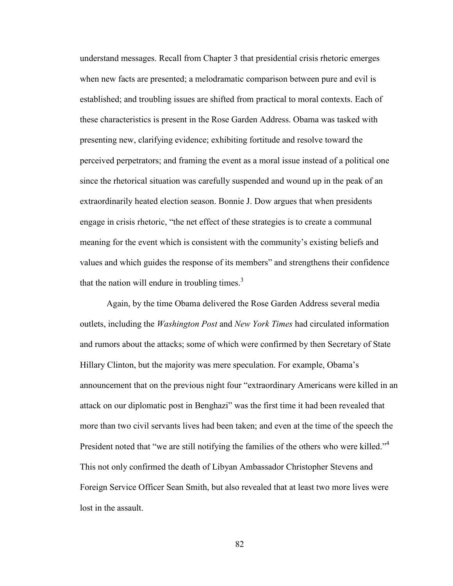understand messages. Recall from Chapter 3 that presidential crisis rhetoric emerges when new facts are presented; a melodramatic comparison between pure and evil is established; and troubling issues are shifted from practical to moral contexts. Each of these characteristics is present in the Rose Garden Address. Obama was tasked with presenting new, clarifying evidence; exhibiting fortitude and resolve toward the perceived perpetrators; and framing the event as a moral issue instead of a political one since the rhetorical situation was carefully suspended and wound up in the peak of an extraordinarily heated election season. Bonnie J. Dow argues that when presidents engage in crisis rhetoric, "the net effect of these strategies is to create a communal meaning for the event which is consistent with the community's existing beliefs and values and which guides the response of its members" and strengthens their confidence that the nation will endure in troubling times. $3$ 

Again, by the time Obama delivered the Rose Garden Address several media outlets, including the *Washington Post* and *New York Times* had circulated information and rumors about the attacks; some of which were confirmed by then Secretary of State Hillary Clinton, but the majority was mere speculation. For example, Obama's announcement that on the previous night four "extraordinary Americans were killed in an attack on our diplomatic post in Benghazi" was the first time it had been revealed that more than two civil servants lives had been taken; and even at the time of the speech the President noted that "we are still notifying the families of the others who were killed."<sup>4</sup> This not only confirmed the death of Libyan Ambassador Christopher Stevens and Foreign Service Officer Sean Smith, but also revealed that at least two more lives were lost in the assault.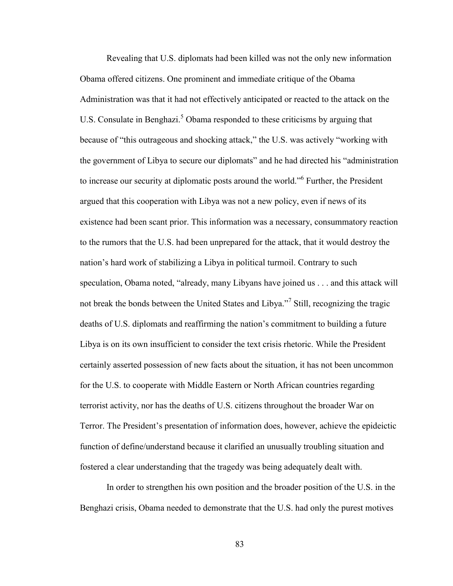Revealing that U.S. diplomats had been killed was not the only new information Obama offered citizens. One prominent and immediate critique of the Obama Administration was that it had not effectively anticipated or reacted to the attack on the U.S. Consulate in Benghazi.<sup>5</sup> Obama responded to these criticisms by arguing that because of "this outrageous and shocking attack," the U.S. was actively "working with the government of Libya to secure our diplomats" and he had directed his "administration to increase our security at diplomatic posts around the world."<sup>6</sup> Further, the President argued that this cooperation with Libya was not a new policy, even if news of its existence had been scant prior. This information was a necessary, consummatory reaction to the rumors that the U.S. had been unprepared for the attack, that it would destroy the nation's hard work of stabilizing a Libya in political turmoil. Contrary to such speculation, Obama noted, "already, many Libyans have joined us . . . and this attack will not break the bonds between the United States and Libya."<sup>7</sup> Still, recognizing the tragic deaths of U.S. diplomats and reaffirming the nation's commitment to building a future Libya is on its own insufficient to consider the text crisis rhetoric. While the President certainly asserted possession of new facts about the situation, it has not been uncommon for the U.S. to cooperate with Middle Eastern or North African countries regarding terrorist activity, nor has the deaths of U.S. citizens throughout the broader War on Terror. The President's presentation of information does, however, achieve the epideictic function of define/understand because it clarified an unusually troubling situation and fostered a clear understanding that the tragedy was being adequately dealt with.

In order to strengthen his own position and the broader position of the U.S. in the Benghazi crisis, Obama needed to demonstrate that the U.S. had only the purest motives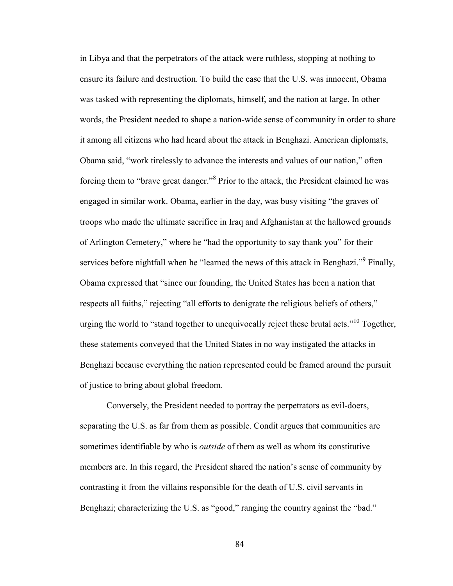in Libya and that the perpetrators of the attack were ruthless, stopping at nothing to ensure its failure and destruction. To build the case that the U.S. was innocent, Obama was tasked with representing the diplomats, himself, and the nation at large. In other words, the President needed to shape a nation-wide sense of community in order to share it among all citizens who had heard about the attack in Benghazi. American diplomats, Obama said, "work tirelessly to advance the interests and values of our nation," often forcing them to "brave great danger."<sup>8</sup> Prior to the attack, the President claimed he was engaged in similar work. Obama, earlier in the day, was busy visiting "the graves of troops who made the ultimate sacrifice in Iraq and Afghanistan at the hallowed grounds of Arlington Cemetery," where he "had the opportunity to say thank you" for their services before nightfall when he "learned the news of this attack in Benghazi."<sup>9</sup> Finally, Obama expressed that "since our founding, the United States has been a nation that respects all faiths," rejecting "all efforts to denigrate the religious beliefs of others," urging the world to "stand together to unequivocally reject these brutal acts."<sup>10</sup> Together, these statements conveyed that the United States in no way instigated the attacks in Benghazi because everything the nation represented could be framed around the pursuit of justice to bring about global freedom.

Conversely, the President needed to portray the perpetrators as evil-doers, separating the U.S. as far from them as possible. Condit argues that communities are sometimes identifiable by who is *outside* of them as well as whom its constitutive members are. In this regard, the President shared the nation's sense of community by contrasting it from the villains responsible for the death of U.S. civil servants in Benghazi; characterizing the U.S. as "good," ranging the country against the "bad."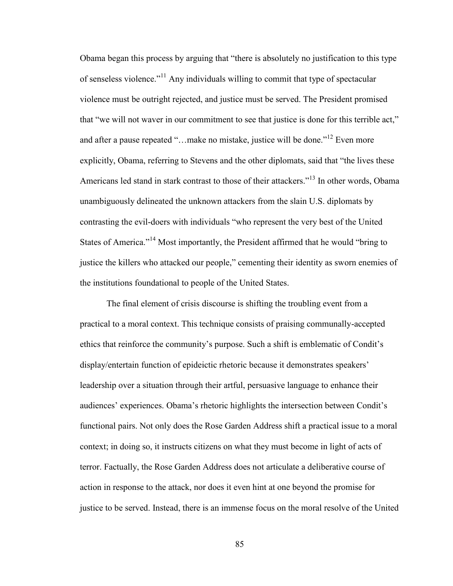Obama began this process by arguing that "there is absolutely no justification to this type of senseless violence."<sup>11</sup> Any individuals willing to commit that type of spectacular violence must be outright rejected, and justice must be served. The President promised that "we will not waver in our commitment to see that justice is done for this terrible act," and after a pause repeated "...make no mistake, justice will be done."<sup>12</sup> Even more explicitly, Obama, referring to Stevens and the other diplomats, said that "the lives these Americans led stand in stark contrast to those of their attackers."<sup>13</sup> In other words, Obama unambiguously delineated the unknown attackers from the slain U.S. diplomats by contrasting the evil-doers with individuals "who represent the very best of the United States of America."<sup>14</sup> Most importantly, the President affirmed that he would "bring to justice the killers who attacked our people," cementing their identity as sworn enemies of the institutions foundational to people of the United States.

The final element of crisis discourse is shifting the troubling event from a practical to a moral context. This technique consists of praising communally-accepted ethics that reinforce the community's purpose. Such a shift is emblematic of Condit's display/entertain function of epideictic rhetoric because it demonstrates speakers' leadership over a situation through their artful, persuasive language to enhance their audiences' experiences. Obama's rhetoric highlights the intersection between Condit's functional pairs. Not only does the Rose Garden Address shift a practical issue to a moral context; in doing so, it instructs citizens on what they must become in light of acts of terror. Factually, the Rose Garden Address does not articulate a deliberative course of action in response to the attack, nor does it even hint at one beyond the promise for justice to be served. Instead, there is an immense focus on the moral resolve of the United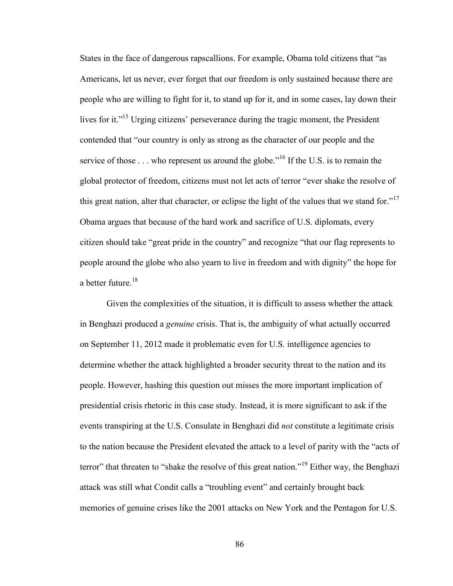States in the face of dangerous rapscallions. For example, Obama told citizens that "as Americans, let us never, ever forget that our freedom is only sustained because there are people who are willing to fight for it, to stand up for it, and in some cases, lay down their lives for it."<sup>15</sup> Urging citizens' perseverance during the tragic moment, the President contended that "our country is only as strong as the character of our people and the service of those  $\dots$  who represent us around the globe."<sup>16</sup> If the U.S. is to remain the global protector of freedom, citizens must not let acts of terror "ever shake the resolve of this great nation, alter that character, or eclipse the light of the values that we stand for." $17$ Obama argues that because of the hard work and sacrifice of U.S. diplomats, every citizen should take "great pride in the country" and recognize "that our flag represents to people around the globe who also yearn to live in freedom and with dignity" the hope for a better future.<sup>18</sup>

Given the complexities of the situation, it is difficult to assess whether the attack in Benghazi produced a *genuine* crisis. That is, the ambiguity of what actually occurred on September 11, 2012 made it problematic even for U.S. intelligence agencies to determine whether the attack highlighted a broader security threat to the nation and its people. However, hashing this question out misses the more important implication of presidential crisis rhetoric in this case study. Instead, it is more significant to ask if the events transpiring at the U.S. Consulate in Benghazi did *not* constitute a legitimate crisis to the nation because the President elevated the attack to a level of parity with the "acts of terror" that threaten to "shake the resolve of this great nation."<sup>19</sup> Either way, the Benghazi attack was still what Condit calls a "troubling event" and certainly brought back memories of genuine crises like the 2001 attacks on New York and the Pentagon for U.S.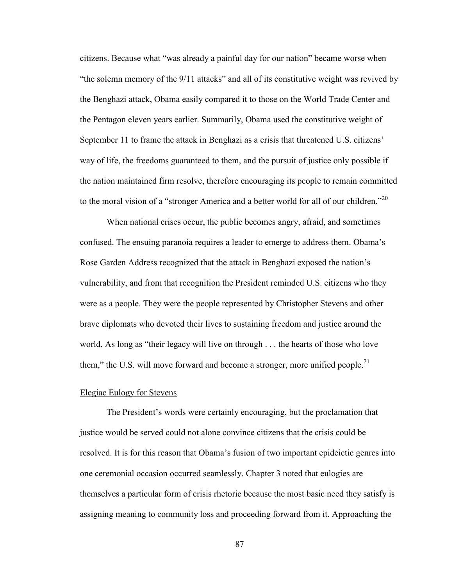citizens. Because what "was already a painful day for our nation" became worse when "the solemn memory of the 9/11 attacks" and all of its constitutive weight was revived by the Benghazi attack, Obama easily compared it to those on the World Trade Center and the Pentagon eleven years earlier. Summarily, Obama used the constitutive weight of September 11 to frame the attack in Benghazi as a crisis that threatened U.S. citizens' way of life, the freedoms guaranteed to them, and the pursuit of justice only possible if the nation maintained firm resolve, therefore encouraging its people to remain committed to the moral vision of a "stronger America and a better world for all of our children."

When national crises occur, the public becomes angry, afraid, and sometimes confused. The ensuing paranoia requires a leader to emerge to address them. Obama's Rose Garden Address recognized that the attack in Benghazi exposed the nation's vulnerability, and from that recognition the President reminded U.S. citizens who they were as a people. They were the people represented by Christopher Stevens and other brave diplomats who devoted their lives to sustaining freedom and justice around the world. As long as "their legacy will live on through . . . the hearts of those who love them," the U.S. will move forward and become a stronger, more unified people.<sup>21</sup>

### Elegiac Eulogy for Stevens

The President's words were certainly encouraging, but the proclamation that justice would be served could not alone convince citizens that the crisis could be resolved. It is for this reason that Obama's fusion of two important epideictic genres into one ceremonial occasion occurred seamlessly. Chapter 3 noted that eulogies are themselves a particular form of crisis rhetoric because the most basic need they satisfy is assigning meaning to community loss and proceeding forward from it. Approaching the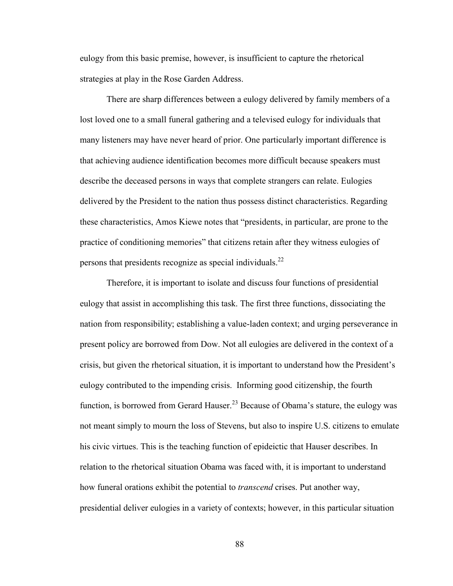eulogy from this basic premise, however, is insufficient to capture the rhetorical strategies at play in the Rose Garden Address.

There are sharp differences between a eulogy delivered by family members of a lost loved one to a small funeral gathering and a televised eulogy for individuals that many listeners may have never heard of prior. One particularly important difference is that achieving audience identification becomes more difficult because speakers must describe the deceased persons in ways that complete strangers can relate. Eulogies delivered by the President to the nation thus possess distinct characteristics. Regarding these characteristics, Amos Kiewe notes that "presidents, in particular, are prone to the practice of conditioning memories" that citizens retain after they witness eulogies of persons that presidents recognize as special individuals.<sup>22</sup>

Therefore, it is important to isolate and discuss four functions of presidential eulogy that assist in accomplishing this task. The first three functions, dissociating the nation from responsibility; establishing a value-laden context; and urging perseverance in present policy are borrowed from Dow. Not all eulogies are delivered in the context of a crisis, but given the rhetorical situation, it is important to understand how the President's eulogy contributed to the impending crisis. Informing good citizenship, the fourth function, is borrowed from Gerard Hauser.<sup>23</sup> Because of Obama's stature, the eulogy was not meant simply to mourn the loss of Stevens, but also to inspire U.S. citizens to emulate his civic virtues. This is the teaching function of epideictic that Hauser describes. In relation to the rhetorical situation Obama was faced with, it is important to understand how funeral orations exhibit the potential to *transcend* crises. Put another way, presidential deliver eulogies in a variety of contexts; however, in this particular situation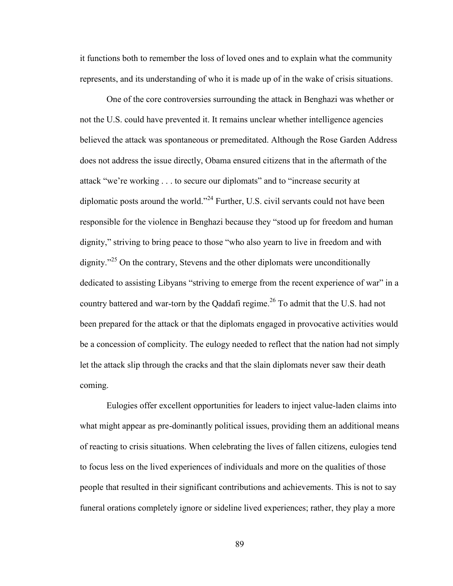it functions both to remember the loss of loved ones and to explain what the community represents, and its understanding of who it is made up of in the wake of crisis situations.

One of the core controversies surrounding the attack in Benghazi was whether or not the U.S. could have prevented it. It remains unclear whether intelligence agencies believed the attack was spontaneous or premeditated. Although the Rose Garden Address does not address the issue directly, Obama ensured citizens that in the aftermath of the attack "we're working . . . to secure our diplomats" and to "increase security at diplomatic posts around the world."<sup>24</sup> Further, U.S. civil servants could not have been responsible for the violence in Benghazi because they "stood up for freedom and human dignity," striving to bring peace to those "who also yearn to live in freedom and with dignity."<sup>25</sup> On the contrary, Stevens and the other diplomats were unconditionally dedicated to assisting Libyans "striving to emerge from the recent experience of war" in a country battered and war-torn by the Qaddafi regime.<sup>26</sup> To admit that the U.S. had not been prepared for the attack or that the diplomats engaged in provocative activities would be a concession of complicity. The eulogy needed to reflect that the nation had not simply let the attack slip through the cracks and that the slain diplomats never saw their death coming.

Eulogies offer excellent opportunities for leaders to inject value-laden claims into what might appear as pre-dominantly political issues, providing them an additional means of reacting to crisis situations. When celebrating the lives of fallen citizens, eulogies tend to focus less on the lived experiences of individuals and more on the qualities of those people that resulted in their significant contributions and achievements. This is not to say funeral orations completely ignore or sideline lived experiences; rather, they play a more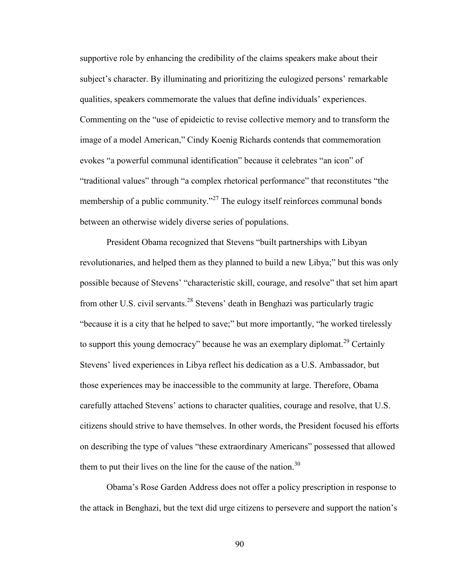supportive role by enhancing the credibility of the claims speakers make about their subject's character. By illuminating and prioritizing the eulogized persons' remarkable qualities, speakers commemorate the values that define individuals' experiences. Commenting on the "use of epideictic to revise collective memory and to transform the image of a model American," Cindy Koenig Richards contends that commemoration evokes "a powerful communal identification" because it celebrates "an icon" of "traditional values" through "a complex rhetorical performance" that reconstitutes "the membership of a public community."<sup>27</sup> The eulogy itself reinforces communal bonds between an otherwise widely diverse series of populations.

President Obama recognized that Stevens "built partnerships with Libyan revolutionaries, and helped them as they planned to build a new Libya;" but this was only possible because of Stevens' "characteristic skill, courage, and resolve" that set him apart from other U.S. civil servants.<sup>28</sup> Stevens' death in Benghazi was particularly tragic "because it is a city that he helped to save;" but more importantly, "he worked tirelessly to support this young democracy" because he was an exemplary diplomat.<sup>29</sup> Certainly Stevens' lived experiences in Libya reflect his dedication as a U.S. Ambassador, but those experiences may be inaccessible to the community at large. Therefore, Obama carefully attached Stevens' actions to character qualities, courage and resolve, that U.S. citizens should strive to have themselves. In other words, the President focused his efforts on describing the type of values "these extraordinary Americans" possessed that allowed them to put their lives on the line for the cause of the nation.<sup>30</sup>

Obama's Rose Garden Address does not offer a policy prescription in response to the attack in Benghazi, but the text did urge citizens to persevere and support the nation's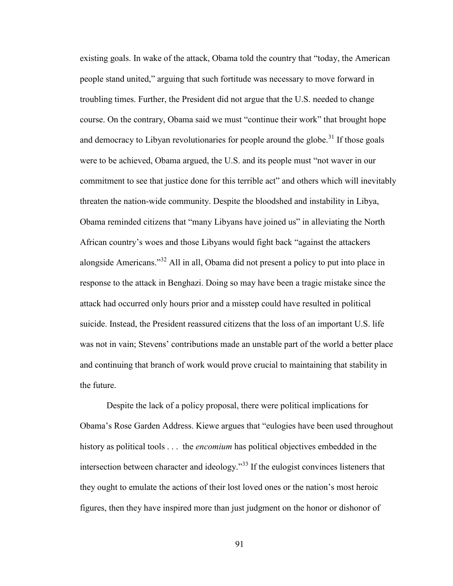existing goals. In wake of the attack, Obama told the country that "today, the American people stand united," arguing that such fortitude was necessary to move forward in troubling times. Further, the President did not argue that the U.S. needed to change course. On the contrary, Obama said we must "continue their work" that brought hope and democracy to Libyan revolutionaries for people around the globe.<sup>31</sup> If those goals were to be achieved, Obama argued, the U.S. and its people must "not waver in our commitment to see that justice done for this terrible act" and others which will inevitably threaten the nation-wide community. Despite the bloodshed and instability in Libya, Obama reminded citizens that "many Libyans have joined us" in alleviating the North African country's woes and those Libyans would fight back "against the attackers alongside Americans."<sup>32</sup> All in all, Obama did not present a policy to put into place in response to the attack in Benghazi. Doing so may have been a tragic mistake since the attack had occurred only hours prior and a misstep could have resulted in political suicide. Instead, the President reassured citizens that the loss of an important U.S. life was not in vain; Stevens' contributions made an unstable part of the world a better place and continuing that branch of work would prove crucial to maintaining that stability in the future.

Despite the lack of a policy proposal, there were political implications for Obama's Rose Garden Address. Kiewe argues that "eulogies have been used throughout history as political tools . . . the *encomium* has political objectives embedded in the intersection between character and ideology.<sup> $33$ </sup> If the eulogist convinces listeners that they ought to emulate the actions of their lost loved ones or the nation's most heroic figures, then they have inspired more than just judgment on the honor or dishonor of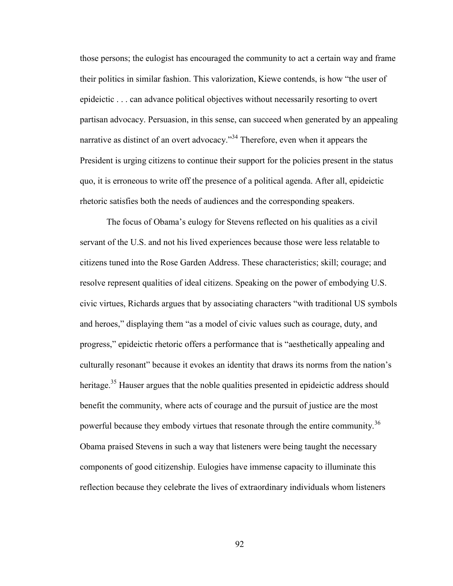those persons; the eulogist has encouraged the community to act a certain way and frame their politics in similar fashion. This valorization, Kiewe contends, is how "the user of epideictic . . . can advance political objectives without necessarily resorting to overt partisan advocacy. Persuasion, in this sense, can succeed when generated by an appealing narrative as distinct of an overt advocacy."<sup>34</sup> Therefore, even when it appears the President is urging citizens to continue their support for the policies present in the status quo, it is erroneous to write off the presence of a political agenda. After all, epideictic rhetoric satisfies both the needs of audiences and the corresponding speakers.

The focus of Obama's eulogy for Stevens reflected on his qualities as a civil servant of the U.S. and not his lived experiences because those were less relatable to citizens tuned into the Rose Garden Address. These characteristics; skill; courage; and resolve represent qualities of ideal citizens. Speaking on the power of embodying U.S. civic virtues, Richards argues that by associating characters "with traditional US symbols and heroes," displaying them "as a model of civic values such as courage, duty, and progress," epideictic rhetoric offers a performance that is "aesthetically appealing and culturally resonant" because it evokes an identity that draws its norms from the nation's heritage.<sup>35</sup> Hauser argues that the noble qualities presented in epideictic address should benefit the community, where acts of courage and the pursuit of justice are the most powerful because they embody virtues that resonate through the entire community.<sup>36</sup> Obama praised Stevens in such a way that listeners were being taught the necessary components of good citizenship. Eulogies have immense capacity to illuminate this reflection because they celebrate the lives of extraordinary individuals whom listeners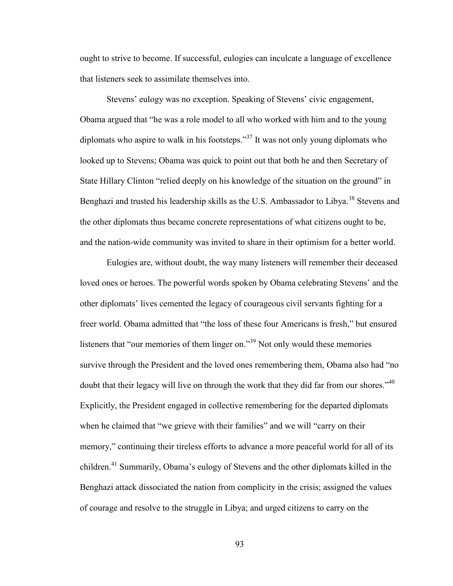ought to strive to become. If successful, eulogies can inculcate a language of excellence that listeners seek to assimilate themselves into.

Stevens' eulogy was no exception. Speaking of Stevens' civic engagement, Obama argued that "he was a role model to all who worked with him and to the young diplomats who aspire to walk in his footsteps."<sup>37</sup> It was not only young diplomats who looked up to Stevens; Obama was quick to point out that both he and then Secretary of State Hillary Clinton "relied deeply on his knowledge of the situation on the ground" in Benghazi and trusted his leadership skills as the U.S. Ambassador to Libya.<sup>38</sup> Stevens and the other diplomats thus became concrete representations of what citizens ought to be, and the nation-wide community was invited to share in their optimism for a better world.

Eulogies are, without doubt, the way many listeners will remember their deceased loved ones or heroes. The powerful words spoken by Obama celebrating Stevens' and the other diplomats' lives cemented the legacy of courageous civil servants fighting for a freer world. Obama admitted that "the loss of these four Americans is fresh," but ensured listeners that "our memories of them linger on."<sup>39</sup> Not only would these memories survive through the President and the loved ones remembering them, Obama also had "no doubt that their legacy will live on through the work that they did far from our shores."<sup>40</sup> Explicitly, the President engaged in collective remembering for the departed diplomats when he claimed that "we grieve with their families" and we will "carry on their memory," continuing their tireless efforts to advance a more peaceful world for all of its children.<sup>41</sup> Summarily, Obama's eulogy of Stevens and the other diplomats killed in the Benghazi attack dissociated the nation from complicity in the crisis; assigned the values of courage and resolve to the struggle in Libya; and urged citizens to carry on the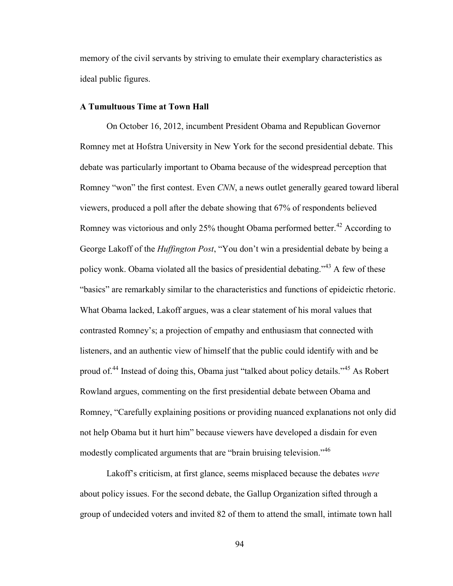memory of the civil servants by striving to emulate their exemplary characteristics as ideal public figures.

### **A Tumultuous Time at Town Hall**

On October 16, 2012, incumbent President Obama and Republican Governor Romney met at Hofstra University in New York for the second presidential debate. This debate was particularly important to Obama because of the widespread perception that Romney "won" the first contest. Even *CNN*, a news outlet generally geared toward liberal viewers, produced a poll after the debate showing that 67% of respondents believed Romney was victorious and only 25% thought Obama performed better.<sup>42</sup> According to George Lakoff of the *Huffington Post*, "You don't win a presidential debate by being a policy wonk. Obama violated all the basics of presidential debating.<sup>343</sup> A few of these "basics" are remarkably similar to the characteristics and functions of epideictic rhetoric. What Obama lacked, Lakoff argues, was a clear statement of his moral values that contrasted Romney's; a projection of empathy and enthusiasm that connected with listeners, and an authentic view of himself that the public could identify with and be proud of.<sup>44</sup> Instead of doing this, Obama just "talked about policy details."<sup>45</sup> As Robert Rowland argues, commenting on the first presidential debate between Obama and Romney, "Carefully explaining positions or providing nuanced explanations not only did not help Obama but it hurt him" because viewers have developed a disdain for even modestly complicated arguments that are "brain bruising television."<sup>46</sup>

Lakoff's criticism, at first glance, seems misplaced because the debates *were* about policy issues. For the second debate, the Gallup Organization sifted through a group of undecided voters and invited 82 of them to attend the small, intimate town hall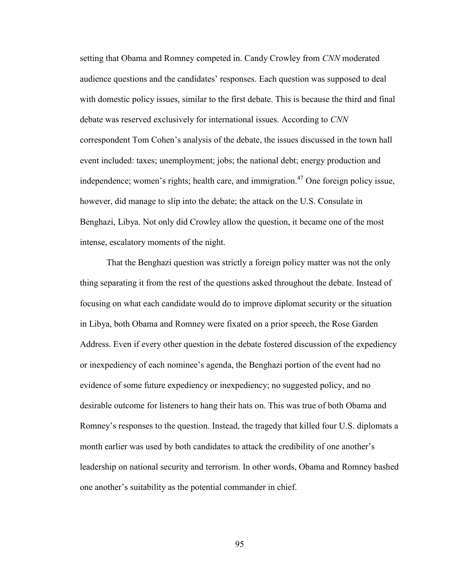setting that Obama and Romney competed in. Candy Crowley from *CNN* moderated audience questions and the candidates' responses. Each question was supposed to deal with domestic policy issues, similar to the first debate. This is because the third and final debate was reserved exclusively for international issues. According to *CNN* correspondent Tom Cohen's analysis of the debate, the issues discussed in the town hall event included: taxes; unemployment; jobs; the national debt; energy production and independence; women's rights; health care, and immigration.<sup>47</sup> One foreign policy issue, however, did manage to slip into the debate; the attack on the U.S. Consulate in Benghazi, Libya. Not only did Crowley allow the question, it became one of the most intense, escalatory moments of the night.

That the Benghazi question was strictly a foreign policy matter was not the only thing separating it from the rest of the questions asked throughout the debate. Instead of focusing on what each candidate would do to improve diplomat security or the situation in Libya, both Obama and Romney were fixated on a prior speech, the Rose Garden Address. Even if every other question in the debate fostered discussion of the expediency or inexpediency of each nominee's agenda, the Benghazi portion of the event had no evidence of some future expediency or inexpediency; no suggested policy, and no desirable outcome for listeners to hang their hats on. This was true of both Obama and Romney's responses to the question. Instead, the tragedy that killed four U.S. diplomats a month earlier was used by both candidates to attack the credibility of one another's leadership on national security and terrorism. In other words, Obama and Romney bashed one another's suitability as the potential commander in chief.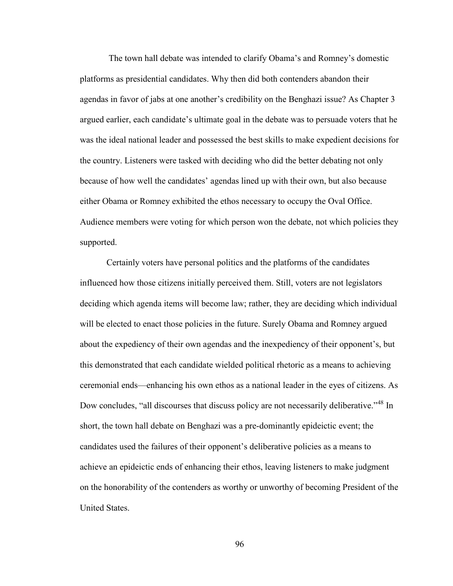The town hall debate was intended to clarify Obama's and Romney's domestic platforms as presidential candidates. Why then did both contenders abandon their agendas in favor of jabs at one another's credibility on the Benghazi issue? As Chapter 3 argued earlier, each candidate's ultimate goal in the debate was to persuade voters that he was the ideal national leader and possessed the best skills to make expedient decisions for the country. Listeners were tasked with deciding who did the better debating not only because of how well the candidates' agendas lined up with their own, but also because either Obama or Romney exhibited the ethos necessary to occupy the Oval Office. Audience members were voting for which person won the debate, not which policies they supported.

Certainly voters have personal politics and the platforms of the candidates influenced how those citizens initially perceived them. Still, voters are not legislators deciding which agenda items will become law; rather, they are deciding which individual will be elected to enact those policies in the future. Surely Obama and Romney argued about the expediency of their own agendas and the inexpediency of their opponent's, but this demonstrated that each candidate wielded political rhetoric as a means to achieving ceremonial ends—enhancing his own ethos as a national leader in the eyes of citizens. As Dow concludes, "all discourses that discuss policy are not necessarily deliberative."<sup>48</sup> In short, the town hall debate on Benghazi was a pre-dominantly epideictic event; the candidates used the failures of their opponent's deliberative policies as a means to achieve an epideictic ends of enhancing their ethos, leaving listeners to make judgment on the honorability of the contenders as worthy or unworthy of becoming President of the United States.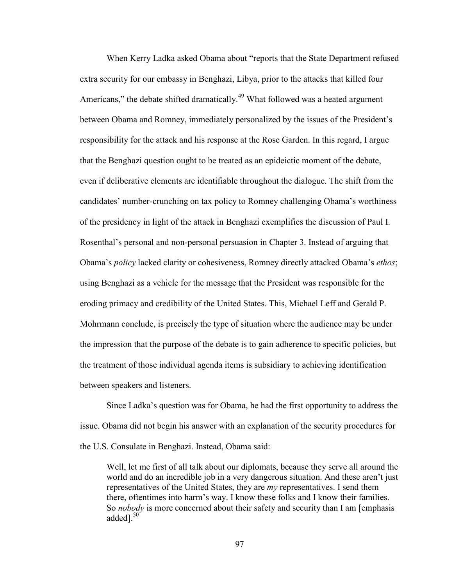When Kerry Ladka asked Obama about "reports that the State Department refused extra security for our embassy in Benghazi, Libya, prior to the attacks that killed four Americans," the debate shifted dramatically.<sup>49</sup> What followed was a heated argument between Obama and Romney, immediately personalized by the issues of the President's responsibility for the attack and his response at the Rose Garden. In this regard, I argue that the Benghazi question ought to be treated as an epideictic moment of the debate, even if deliberative elements are identifiable throughout the dialogue. The shift from the candidates' number-crunching on tax policy to Romney challenging Obama's worthiness of the presidency in light of the attack in Benghazi exemplifies the discussion of Paul I. Rosenthal's personal and non-personal persuasion in Chapter 3. Instead of arguing that Obama's *policy* lacked clarity or cohesiveness, Romney directly attacked Obama's *ethos*; using Benghazi as a vehicle for the message that the President was responsible for the eroding primacy and credibility of the United States. This, Michael Leff and Gerald P. Mohrmann conclude, is precisely the type of situation where the audience may be under the impression that the purpose of the debate is to gain adherence to specific policies, but the treatment of those individual agenda items is subsidiary to achieving identification between speakers and listeners.

Since Ladka's question was for Obama, he had the first opportunity to address the issue. Obama did not begin his answer with an explanation of the security procedures for the U.S. Consulate in Benghazi. Instead, Obama said:

Well, let me first of all talk about our diplomats, because they serve all around the world and do an incredible job in a very dangerous situation. And these aren't just representatives of the United States, they are *my* representatives. I send them there, oftentimes into harm's way. I know these folks and I know their families. So *nobody* is more concerned about their safety and security than I am [emphasis added $1.50$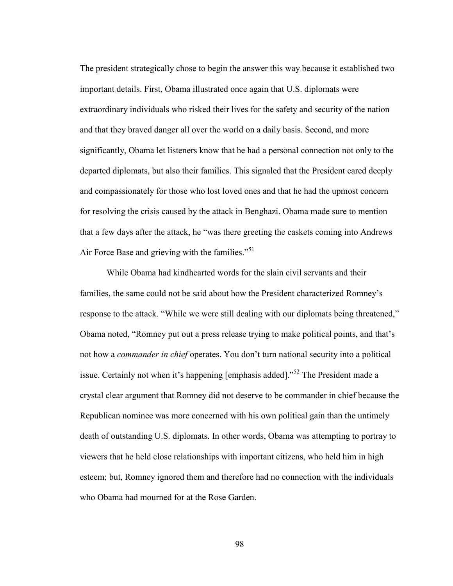The president strategically chose to begin the answer this way because it established two important details. First, Obama illustrated once again that U.S. diplomats were extraordinary individuals who risked their lives for the safety and security of the nation and that they braved danger all over the world on a daily basis. Second, and more significantly, Obama let listeners know that he had a personal connection not only to the departed diplomats, but also their families. This signaled that the President cared deeply and compassionately for those who lost loved ones and that he had the upmost concern for resolving the crisis caused by the attack in Benghazi. Obama made sure to mention that a few days after the attack, he "was there greeting the caskets coming into Andrews Air Force Base and grieving with the families."<sup>51</sup>

While Obama had kindhearted words for the slain civil servants and their families, the same could not be said about how the President characterized Romney's response to the attack. "While we were still dealing with our diplomats being threatened," Obama noted, "Romney put out a press release trying to make political points, and that's not how a *commander in chief* operates. You don't turn national security into a political issue. Certainly not when it's happening [emphasis added]."<sup>52</sup> The President made a crystal clear argument that Romney did not deserve to be commander in chief because the Republican nominee was more concerned with his own political gain than the untimely death of outstanding U.S. diplomats. In other words, Obama was attempting to portray to viewers that he held close relationships with important citizens, who held him in high esteem; but, Romney ignored them and therefore had no connection with the individuals who Obama had mourned for at the Rose Garden.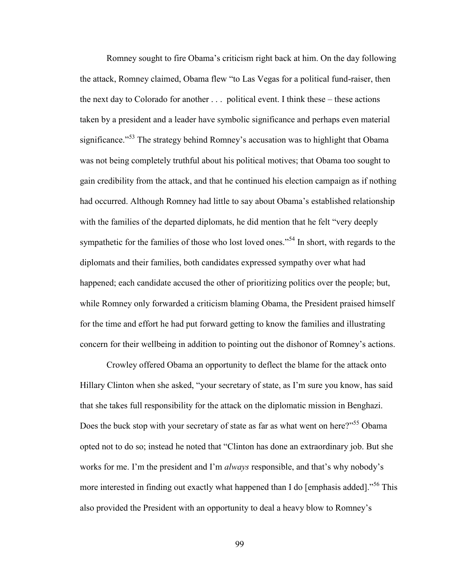Romney sought to fire Obama's criticism right back at him. On the day following the attack, Romney claimed, Obama flew "to Las Vegas for a political fund-raiser, then the next day to Colorado for another . . . political event. I think these – these actions taken by a president and a leader have symbolic significance and perhaps even material significance."<sup>53</sup> The strategy behind Romney's accusation was to highlight that Obama was not being completely truthful about his political motives; that Obama too sought to gain credibility from the attack, and that he continued his election campaign as if nothing had occurred. Although Romney had little to say about Obama's established relationship with the families of the departed diplomats, he did mention that he felt "very deeply sympathetic for the families of those who lost loved ones."<sup>54</sup> In short, with regards to the diplomats and their families, both candidates expressed sympathy over what had happened; each candidate accused the other of prioritizing politics over the people; but, while Romney only forwarded a criticism blaming Obama, the President praised himself for the time and effort he had put forward getting to know the families and illustrating concern for their wellbeing in addition to pointing out the dishonor of Romney's actions.

Crowley offered Obama an opportunity to deflect the blame for the attack onto Hillary Clinton when she asked, "your secretary of state, as I'm sure you know, has said that she takes full responsibility for the attack on the diplomatic mission in Benghazi. Does the buck stop with your secretary of state as far as what went on here?"<sup>55</sup> Obama opted not to do so; instead he noted that "Clinton has done an extraordinary job. But she works for me. I'm the president and I'm *always* responsible, and that's why nobody's more interested in finding out exactly what happened than I do [emphasis added]."<sup>56</sup> This also provided the President with an opportunity to deal a heavy blow to Romney's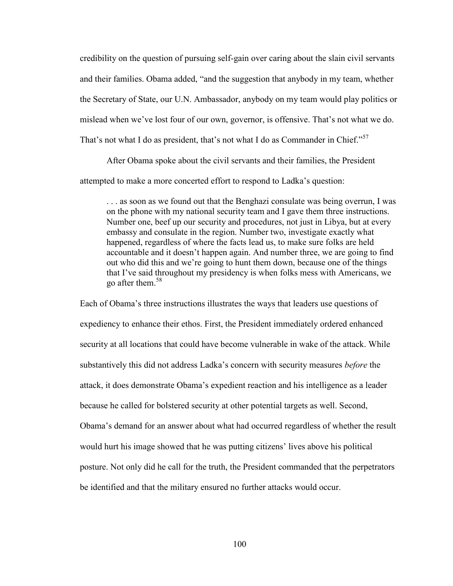credibility on the question of pursuing self-gain over caring about the slain civil servants and their families. Obama added, "and the suggestion that anybody in my team, whether the Secretary of State, our U.N. Ambassador, anybody on my team would play politics or mislead when we've lost four of our own, governor, is offensive. That's not what we do. That's not what I do as president, that's not what I do as Commander in Chief."<sup>57</sup>

After Obama spoke about the civil servants and their families, the President

attempted to make a more concerted effort to respond to Ladka's question:

. . . as soon as we found out that the Benghazi consulate was being overrun, I was on the phone with my national security team and I gave them three instructions. Number one, beef up our security and procedures, not just in Libya, but at every embassy and consulate in the region. Number two, investigate exactly what happened, regardless of where the facts lead us, to make sure folks are held accountable and it doesn't happen again. And number three, we are going to find out who did this and we're going to hunt them down, because one of the things that I've said throughout my presidency is when folks mess with Americans, we go after them.<sup>58</sup>

Each of Obama's three instructions illustrates the ways that leaders use questions of expediency to enhance their ethos. First, the President immediately ordered enhanced security at all locations that could have become vulnerable in wake of the attack. While substantively this did not address Ladka's concern with security measures *before* the attack, it does demonstrate Obama's expedient reaction and his intelligence as a leader because he called for bolstered security at other potential targets as well. Second, Obama's demand for an answer about what had occurred regardless of whether the result would hurt his image showed that he was putting citizens' lives above his political posture. Not only did he call for the truth, the President commanded that the perpetrators be identified and that the military ensured no further attacks would occur.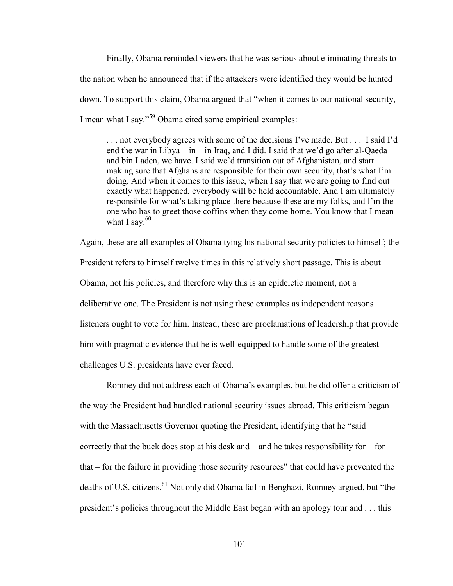Finally, Obama reminded viewers that he was serious about eliminating threats to the nation when he announced that if the attackers were identified they would be hunted down. To support this claim, Obama argued that "when it comes to our national security, I mean what I say."<sup>59</sup> Obama cited some empirical examples:

. . . not everybody agrees with some of the decisions I've made. But . . . I said I'd end the war in Libya – in – in Iraq, and I did. I said that we'd go after al-Qaeda and bin Laden, we have. I said we'd transition out of Afghanistan, and start making sure that Afghans are responsible for their own security, that's what I'm doing. And when it comes to this issue, when I say that we are going to find out exactly what happened, everybody will be held accountable. And I am ultimately responsible for what's taking place there because these are my folks, and I'm the one who has to greet those coffins when they come home. You know that I mean what I say. $60$ 

Again, these are all examples of Obama tying his national security policies to himself; the President refers to himself twelve times in this relatively short passage. This is about Obama, not his policies, and therefore why this is an epideictic moment, not a deliberative one. The President is not using these examples as independent reasons listeners ought to vote for him. Instead, these are proclamations of leadership that provide him with pragmatic evidence that he is well-equipped to handle some of the greatest challenges U.S. presidents have ever faced.

Romney did not address each of Obama's examples, but he did offer a criticism of the way the President had handled national security issues abroad. This criticism began with the Massachusetts Governor quoting the President, identifying that he "said" correctly that the buck does stop at his desk and – and he takes responsibility for – for that – for the failure in providing those security resources" that could have prevented the deaths of U.S. citizens.<sup>61</sup> Not only did Obama fail in Benghazi, Romney argued, but "the president's policies throughout the Middle East began with an apology tour and . . . this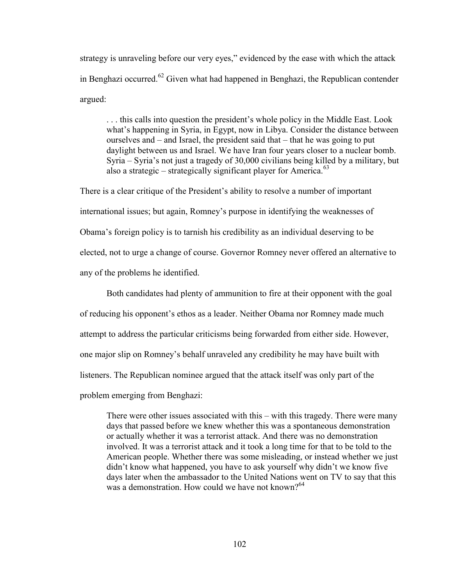strategy is unraveling before our very eyes," evidenced by the ease with which the attack in Benghazi occurred.<sup>62</sup> Given what had happened in Benghazi, the Republican contender argued:

. . . this calls into question the president's whole policy in the Middle East. Look what's happening in Syria, in Egypt, now in Libya. Consider the distance between ourselves and – and Israel, the president said that – that he was going to put daylight between us and Israel. We have Iran four years closer to a nuclear bomb. Syria – Syria's not just a tragedy of 30,000 civilians being killed by a military, but also a strategic – strategically significant player for America.<sup>63</sup>

There is a clear critique of the President's ability to resolve a number of important international issues; but again, Romney's purpose in identifying the weaknesses of Obama's foreign policy is to tarnish his credibility as an individual deserving to be elected, not to urge a change of course. Governor Romney never offered an alternative to any of the problems he identified.

Both candidates had plenty of ammunition to fire at their opponent with the goal of reducing his opponent's ethos as a leader. Neither Obama nor Romney made much attempt to address the particular criticisms being forwarded from either side. However, one major slip on Romney's behalf unraveled any credibility he may have built with listeners. The Republican nominee argued that the attack itself was only part of the problem emerging from Benghazi:

There were other issues associated with this – with this tragedy. There were many days that passed before we knew whether this was a spontaneous demonstration or actually whether it was a terrorist attack. And there was no demonstration involved. It was a terrorist attack and it took a long time for that to be told to the American people. Whether there was some misleading, or instead whether we just didn't know what happened, you have to ask yourself why didn't we know five days later when the ambassador to the United Nations went on TV to say that this was a demonstration. How could we have not known?<sup>64</sup>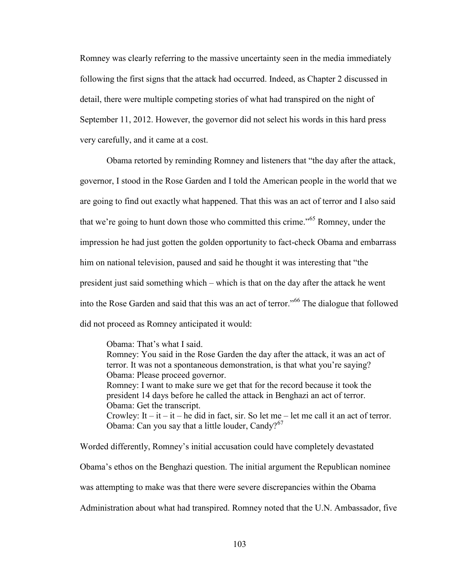Romney was clearly referring to the massive uncertainty seen in the media immediately following the first signs that the attack had occurred. Indeed, as Chapter 2 discussed in detail, there were multiple competing stories of what had transpired on the night of September 11, 2012. However, the governor did not select his words in this hard press very carefully, and it came at a cost.

Obama retorted by reminding Romney and listeners that "the day after the attack, governor, I stood in the Rose Garden and I told the American people in the world that we are going to find out exactly what happened. That this was an act of terror and I also said that we're going to hunt down those who committed this crime.<sup>565</sup> Romney, under the impression he had just gotten the golden opportunity to fact-check Obama and embarrass him on national television, paused and said he thought it was interesting that "the president just said something which – which is that on the day after the attack he went into the Rose Garden and said that this was an act of terror."<sup>66</sup> The dialogue that followed did not proceed as Romney anticipated it would:

Obama: That's what I said. Romney: You said in the Rose Garden the day after the attack, it was an act of terror. It was not a spontaneous demonstration, is that what you're saying? Obama: Please proceed governor. Romney: I want to make sure we get that for the record because it took the president 14 days before he called the attack in Benghazi an act of terror. Obama: Get the transcript. Crowley: It – it – it – he did in fact, sir. So let me – let me call it an act of terror. Obama: Can you say that a little louder, Candy? $67$ 

Worded differently, Romney's initial accusation could have completely devastated Obama's ethos on the Benghazi question. The initial argument the Republican nominee was attempting to make was that there were severe discrepancies within the Obama Administration about what had transpired. Romney noted that the U.N. Ambassador, five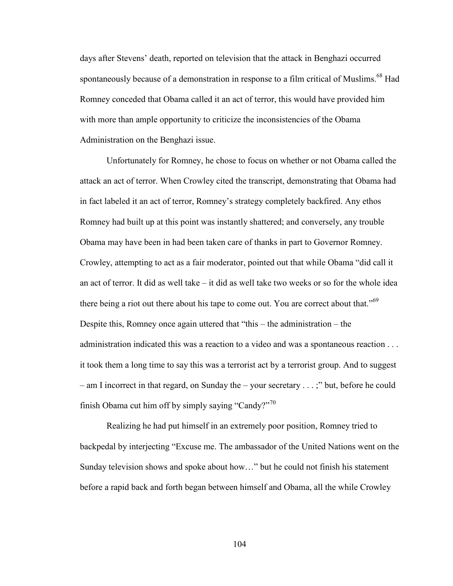days after Stevens' death, reported on television that the attack in Benghazi occurred spontaneously because of a demonstration in response to a film critical of Muslims.<sup>68</sup> Had Romney conceded that Obama called it an act of terror, this would have provided him with more than ample opportunity to criticize the inconsistencies of the Obama Administration on the Benghazi issue.

Unfortunately for Romney, he chose to focus on whether or not Obama called the attack an act of terror. When Crowley cited the transcript, demonstrating that Obama had in fact labeled it an act of terror, Romney's strategy completely backfired. Any ethos Romney had built up at this point was instantly shattered; and conversely, any trouble Obama may have been in had been taken care of thanks in part to Governor Romney. Crowley, attempting to act as a fair moderator, pointed out that while Obama "did call it an act of terror. It did as well take – it did as well take two weeks or so for the whole idea there being a riot out there about his tape to come out. You are correct about that."<sup>69</sup> Despite this, Romney once again uttered that "this – the administration – the administration indicated this was a reaction to a video and was a spontaneous reaction . . . it took them a long time to say this was a terrorist act by a terrorist group. And to suggest – am I incorrect in that regard, on Sunday the – your secretary . . . ;" but, before he could finish Obama cut him off by simply saying "Candy?"<sup>70</sup>

Realizing he had put himself in an extremely poor position, Romney tried to backpedal by interjecting "Excuse me. The ambassador of the United Nations went on the Sunday television shows and spoke about how…" but he could not finish his statement before a rapid back and forth began between himself and Obama, all the while Crowley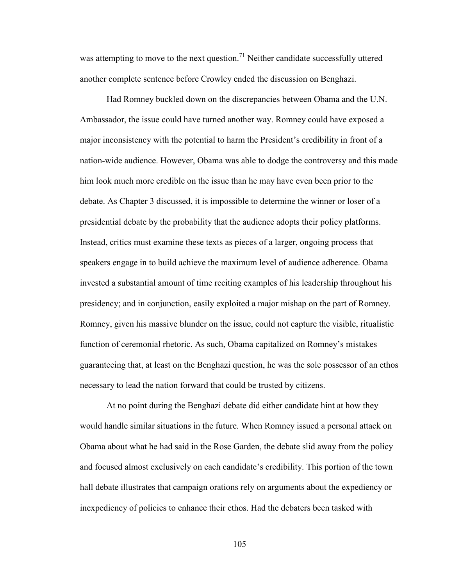was attempting to move to the next question.<sup>71</sup> Neither candidate successfully uttered another complete sentence before Crowley ended the discussion on Benghazi.

Had Romney buckled down on the discrepancies between Obama and the U.N. Ambassador, the issue could have turned another way. Romney could have exposed a major inconsistency with the potential to harm the President's credibility in front of a nation-wide audience. However, Obama was able to dodge the controversy and this made him look much more credible on the issue than he may have even been prior to the debate. As Chapter 3 discussed, it is impossible to determine the winner or loser of a presidential debate by the probability that the audience adopts their policy platforms. Instead, critics must examine these texts as pieces of a larger, ongoing process that speakers engage in to build achieve the maximum level of audience adherence. Obama invested a substantial amount of time reciting examples of his leadership throughout his presidency; and in conjunction, easily exploited a major mishap on the part of Romney. Romney, given his massive blunder on the issue, could not capture the visible, ritualistic function of ceremonial rhetoric. As such, Obama capitalized on Romney's mistakes guaranteeing that, at least on the Benghazi question, he was the sole possessor of an ethos necessary to lead the nation forward that could be trusted by citizens.

At no point during the Benghazi debate did either candidate hint at how they would handle similar situations in the future. When Romney issued a personal attack on Obama about what he had said in the Rose Garden, the debate slid away from the policy and focused almost exclusively on each candidate's credibility. This portion of the town hall debate illustrates that campaign orations rely on arguments about the expediency or inexpediency of policies to enhance their ethos. Had the debaters been tasked with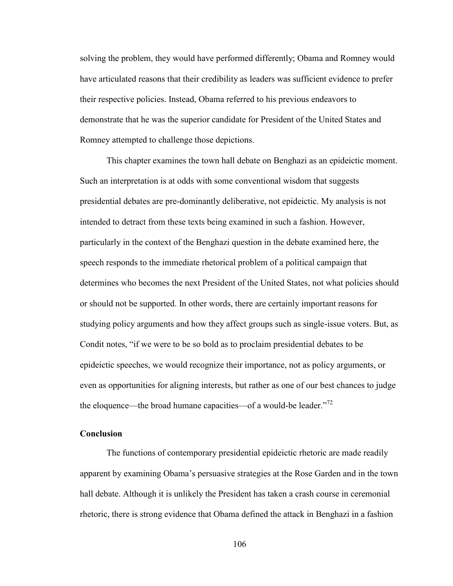solving the problem, they would have performed differently; Obama and Romney would have articulated reasons that their credibility as leaders was sufficient evidence to prefer their respective policies. Instead, Obama referred to his previous endeavors to demonstrate that he was the superior candidate for President of the United States and Romney attempted to challenge those depictions.

This chapter examines the town hall debate on Benghazi as an epideictic moment. Such an interpretation is at odds with some conventional wisdom that suggests presidential debates are pre-dominantly deliberative, not epideictic. My analysis is not intended to detract from these texts being examined in such a fashion. However, particularly in the context of the Benghazi question in the debate examined here, the speech responds to the immediate rhetorical problem of a political campaign that determines who becomes the next President of the United States, not what policies should or should not be supported. In other words, there are certainly important reasons for studying policy arguments and how they affect groups such as single-issue voters. But, as Condit notes, "if we were to be so bold as to proclaim presidential debates to be epideictic speeches, we would recognize their importance, not as policy arguments, or even as opportunities for aligning interests, but rather as one of our best chances to judge the eloquence—the broad humane capacities—of a would-be leader.<sup> $n^2$ </sup>

## **Conclusion**

The functions of contemporary presidential epideictic rhetoric are made readily apparent by examining Obama's persuasive strategies at the Rose Garden and in the town hall debate. Although it is unlikely the President has taken a crash course in ceremonial rhetoric, there is strong evidence that Obama defined the attack in Benghazi in a fashion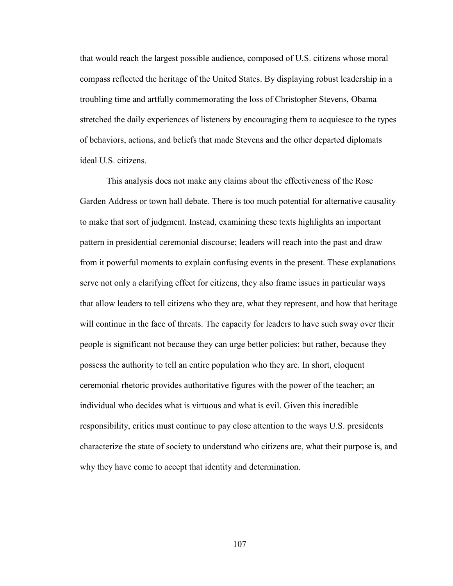that would reach the largest possible audience, composed of U.S. citizens whose moral compass reflected the heritage of the United States. By displaying robust leadership in a troubling time and artfully commemorating the loss of Christopher Stevens, Obama stretched the daily experiences of listeners by encouraging them to acquiesce to the types of behaviors, actions, and beliefs that made Stevens and the other departed diplomats ideal U.S. citizens.

This analysis does not make any claims about the effectiveness of the Rose Garden Address or town hall debate. There is too much potential for alternative causality to make that sort of judgment. Instead, examining these texts highlights an important pattern in presidential ceremonial discourse; leaders will reach into the past and draw from it powerful moments to explain confusing events in the present. These explanations serve not only a clarifying effect for citizens, they also frame issues in particular ways that allow leaders to tell citizens who they are, what they represent, and how that heritage will continue in the face of threats. The capacity for leaders to have such sway over their people is significant not because they can urge better policies; but rather, because they possess the authority to tell an entire population who they are. In short, eloquent ceremonial rhetoric provides authoritative figures with the power of the teacher; an individual who decides what is virtuous and what is evil. Given this incredible responsibility, critics must continue to pay close attention to the ways U.S. presidents characterize the state of society to understand who citizens are, what their purpose is, and why they have come to accept that identity and determination.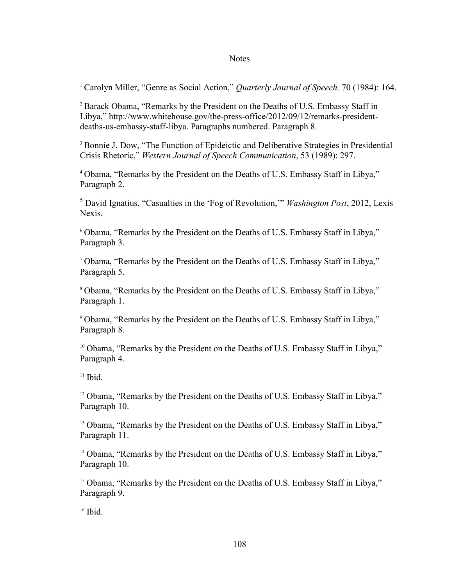### **Notes**

<sup>1</sup> Carolyn Miller, "Genre as Social Action," *Quarterly Journal of Speech,* 70 (1984): 164.

<sup>2</sup> Barack Obama, "Remarks by the President on the Deaths of U.S. Embassy Staff in Libya," [http://www.whitehouse.gov/the-press-office/2012/09/12/remarks-president](http://www.whitehouse.gov/the-press-office/2012/09/12/remarks-president-deaths-us-embassy-staff-libya)[deaths-us-embassy-staff-libya.](http://www.whitehouse.gov/the-press-office/2012/09/12/remarks-president-deaths-us-embassy-staff-libya) Paragraphs numbered. Paragraph 8.

<sup>3</sup> Bonnie J. Dow, "The Function of Epideictic and Deliberative Strategies in Presidential Crisis Rhetoric," *Western Journal of Speech Communication*, 53 (1989): 297.

<sup>4</sup> Obama, "Remarks by the President on the Deaths of U.S. Embassy Staff in Libya," Paragraph 2.

<sup>5</sup> David Ignatius, "Casualties in the 'Fog of Revolution,'" *Washington Post*, 2012, Lexis Nexis.

<sup>6</sup> Obama, "Remarks by the President on the Deaths of U.S. Embassy Staff in Libya," Paragraph 3.

<sup>7</sup> Obama, "Remarks by the President on the Deaths of U.S. Embassy Staff in Libya," Paragraph 5.

<sup>8</sup> Obama, "Remarks by the President on the Deaths of U.S. Embassy Staff in Libya," Paragraph 1.

<sup>9</sup> Obama, "Remarks by the President on the Deaths of U.S. Embassy Staff in Libya," Paragraph 8.

<sup>10</sup> Obama, "Remarks by the President on the Deaths of U.S. Embassy Staff in Libya," Paragraph 4.

 $11$  Ibid.

 $12$  Obama, "Remarks by the President on the Deaths of U.S. Embassy Staff in Libya," Paragraph 10.

<sup>13</sup> Obama, "Remarks by the President on the Deaths of U.S. Embassy Staff in Libya," Paragraph 11.

<sup>14</sup> Obama, "Remarks by the President on the Deaths of U.S. Embassy Staff in Libya," Paragraph 10.

<sup>15</sup> Obama, "Remarks by the President on the Deaths of U.S. Embassy Staff in Libya," Paragraph 9.

 $16$  Ibid.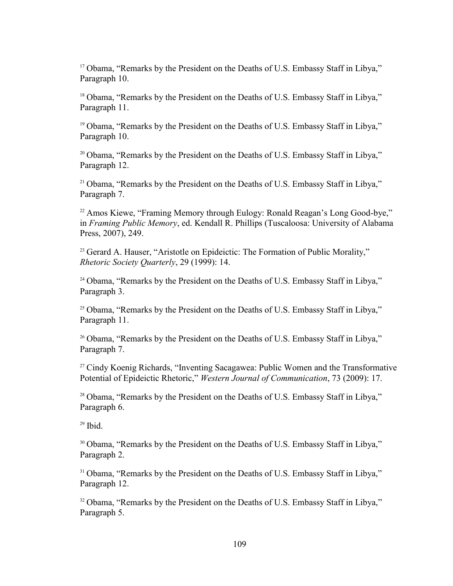<sup>17</sup> Obama, "Remarks by the President on the Deaths of U.S. Embassy Staff in Libya," Paragraph 10.

<sup>18</sup> Obama, "Remarks by the President on the Deaths of U.S. Embassy Staff in Libya," Paragraph 11.

<sup>19</sup> Obama, "Remarks by the President on the Deaths of U.S. Embassy Staff in Libya," Paragraph 10.

<sup>20</sup> Obama, "Remarks by the President on the Deaths of U.S. Embassy Staff in Libya," Paragraph 12.

<sup>21</sup> Obama, "Remarks by the President on the Deaths of U.S. Embassy Staff in Libya," Paragraph 7.

<sup>22</sup> Amos Kiewe, "Framing Memory through Eulogy: Ronald Reagan's Long Good-bye," in *Framing Public Memory*, ed. Kendall R. Phillips (Tuscaloosa: University of Alabama Press, 2007), 249.

<sup>23</sup> Gerard A. Hauser, "Aristotle on Epideictic: The Formation of Public Morality," *Rhetoric Society Quarterly*, 29 (1999): 14.

<sup>24</sup> Obama, "Remarks by the President on the Deaths of U.S. Embassy Staff in Libya," Paragraph 3.

<sup>25</sup> Obama, "Remarks by the President on the Deaths of U.S. Embassy Staff in Libya," Paragraph 11.

<sup>26</sup> Obama, "Remarks by the President on the Deaths of U.S. Embassy Staff in Libya," Paragraph 7.

<sup>27</sup> Cindy Koenig Richards, "Inventing Sacagawea: Public Women and the Transformative Potential of Epideictic Rhetoric," *Western Journal of Communication*, 73 (2009): 17.

<sup>28</sup> Obama, "Remarks by the President on the Deaths of U.S. Embassy Staff in Libya," Paragraph 6.

 $29$  Ibid.

<sup>30</sup> Obama, "Remarks by the President on the Deaths of U.S. Embassy Staff in Libya," Paragraph 2.

<sup>31</sup> Obama, "Remarks by the President on the Deaths of U.S. Embassy Staff in Libya," Paragraph 12.

<sup>32</sup> Obama, "Remarks by the President on the Deaths of U.S. Embassy Staff in Libya," Paragraph 5.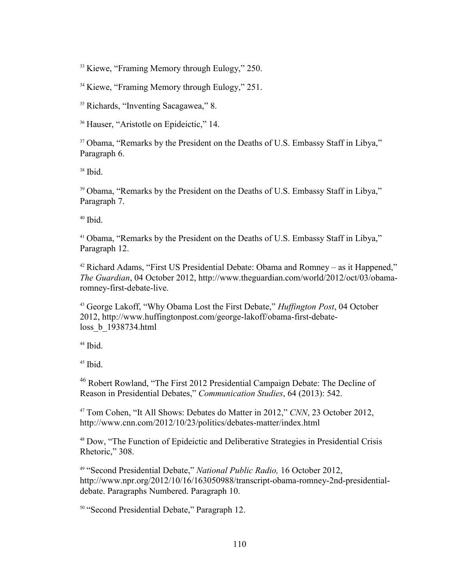<sup>33</sup> Kiewe, "Framing Memory through Eulogy," 250.

<sup>34</sup> Kiewe, "Framing Memory through Eulogy," 251.

<sup>35</sup> Richards, "Inventing Sacagawea," 8.

<sup>36</sup> Hauser, "Aristotle on Epideictic," 14.

<sup>37</sup> Obama, "Remarks by the President on the Deaths of U.S. Embassy Staff in Libya," Paragraph 6.

 $38$  Ibid.

<sup>39</sup> Obama, "Remarks by the President on the Deaths of U.S. Embassy Staff in Libya," Paragraph 7.

 $40$  Ibid.

<sup>41</sup> Obama, "Remarks by the President on the Deaths of U.S. Embassy Staff in Libya," Paragraph 12.

<sup>42</sup> Richard Adams, "First US Presidential Debate: Obama and Romney – as it Happened," *The Guardian*, 04 October 2012, [http://www.theguardian.com/world/2012/oct/03/obama](http://www.theguardian.com/world/2012/oct/03/obama-romney-first-debate-live)[romney-first-debate-live.](http://www.theguardian.com/world/2012/oct/03/obama-romney-first-debate-live)

<sup>43</sup> George Lakoff, "Why Obama Lost the First Debate," *Huffington Post*, 04 October 2012, [http://www.huffingtonpost.com/george-lakoff/obama-first-debate](http://www.huffingtonpost.com/george-lakoff/obama-first-debate-loss_b_1938734.html)[loss\\_b\\_1938734.html](http://www.huffingtonpost.com/george-lakoff/obama-first-debate-loss_b_1938734.html)

 $44$  Ibid.

 $45$  Ibid.

<sup>46</sup> Robert Rowland, "The First 2012 Presidential Campaign Debate: The Decline of Reason in Presidential Debates," *Communication Studies*, 64 (2013): 542.

<sup>47</sup> Tom Cohen, "It All Shows: Debates do Matter in 2012," *CNN*, 23 October 2012, <http://www.cnn.com/2012/10/23/politics/debates-matter/index.html>

<sup>48</sup> Dow, "The Function of Epideictic and Deliberative Strategies in Presidential Crisis Rhetoric," 308.

<sup>49</sup> "Second Presidential Debate," *National Public Radio,* 16 October 2012, [http://www.npr.org/2012/10/16/163050988/transcript-obama-romney-2nd-presidential](http://www.npr.org/2012/10/16/163050988/transcript-obama-romney-2nd-presidential-debate.%20Paragraphs%20Numbered.%20Paragraph%2010)[debate. Paragraphs Numbered. Paragraph 10.](http://www.npr.org/2012/10/16/163050988/transcript-obama-romney-2nd-presidential-debate.%20Paragraphs%20Numbered.%20Paragraph%2010)

<sup>50</sup> "Second Presidential Debate," Paragraph 12.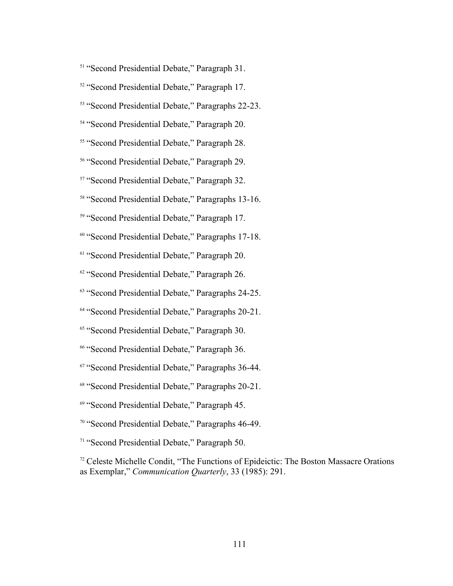- <sup>51</sup> "Second Presidential Debate," Paragraph 31.
- <sup>52</sup> "Second Presidential Debate," Paragraph 17.
- <sup>53</sup> "Second Presidential Debate," Paragraphs 22-23.
- <sup>54</sup> "Second Presidential Debate," Paragraph 20.
- <sup>55</sup> "Second Presidential Debate," Paragraph 28.
- <sup>56</sup> "Second Presidential Debate," Paragraph 29.
- <sup>57</sup> "Second Presidential Debate," Paragraph 32.
- <sup>58</sup> "Second Presidential Debate," Paragraphs 13-16.
- <sup>59</sup> "Second Presidential Debate," Paragraph 17.
- <sup>60</sup> "Second Presidential Debate," Paragraphs 17-18.
- <sup>61</sup> "Second Presidential Debate," Paragraph 20.
- <sup>62</sup> "Second Presidential Debate," Paragraph 26.
- <sup>63</sup> "Second Presidential Debate," Paragraphs 24-25.
- <sup>64</sup> "Second Presidential Debate," Paragraphs 20-21.
- <sup>65</sup> "Second Presidential Debate," Paragraph 30.
- <sup>66</sup> "Second Presidential Debate," Paragraph 36.
- <sup>67</sup> "Second Presidential Debate," Paragraphs 36-44.
- <sup>68</sup> "Second Presidential Debate," Paragraphs 20-21.
- <sup>69</sup> "Second Presidential Debate," Paragraph 45.
- <sup>70</sup> "Second Presidential Debate," Paragraphs 46-49.
- <sup>71</sup> "Second Presidential Debate," Paragraph 50.

<sup>72</sup> Celeste Michelle Condit, "The Functions of Epideictic: The Boston Massacre Orations as Exemplar," *Communication Quarterly*, 33 (1985): 291.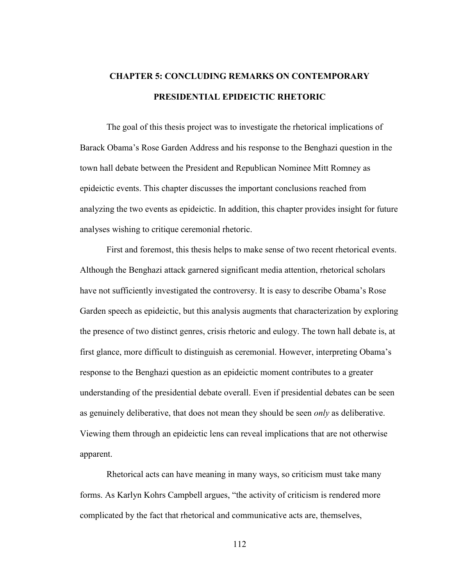# **CHAPTER 5: CONCLUDING REMARKS ON CONTEMPORARY PRESIDENTIAL EPIDEICTIC RHETORIC**

The goal of this thesis project was to investigate the rhetorical implications of Barack Obama's Rose Garden Address and his response to the Benghazi question in the town hall debate between the President and Republican Nominee Mitt Romney as epideictic events. This chapter discusses the important conclusions reached from analyzing the two events as epideictic. In addition, this chapter provides insight for future analyses wishing to critique ceremonial rhetoric.

First and foremost, this thesis helps to make sense of two recent rhetorical events. Although the Benghazi attack garnered significant media attention, rhetorical scholars have not sufficiently investigated the controversy. It is easy to describe Obama's Rose Garden speech as epideictic, but this analysis augments that characterization by exploring the presence of two distinct genres, crisis rhetoric and eulogy. The town hall debate is, at first glance, more difficult to distinguish as ceremonial. However, interpreting Obama's response to the Benghazi question as an epideictic moment contributes to a greater understanding of the presidential debate overall. Even if presidential debates can be seen as genuinely deliberative, that does not mean they should be seen *only* as deliberative. Viewing them through an epideictic lens can reveal implications that are not otherwise apparent.

Rhetorical acts can have meaning in many ways, so criticism must take many forms. As Karlyn Kohrs Campbell argues, "the activity of criticism is rendered more complicated by the fact that rhetorical and communicative acts are, themselves,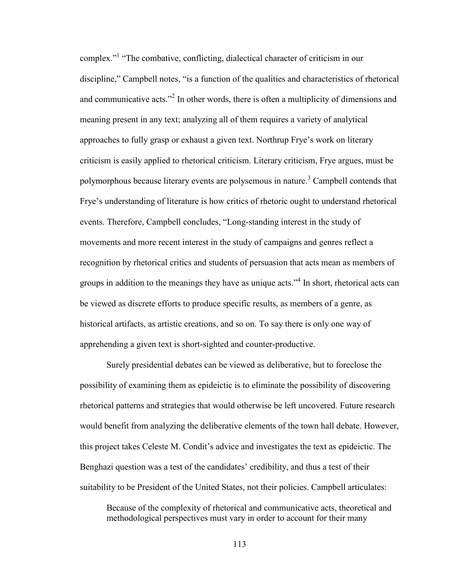complex."<sup>1</sup> "The combative, conflicting, dialectical character of criticism in our discipline," Campbell notes, "is a function of the qualities and characteristics of rhetorical and communicative acts."<sup>2</sup> In other words, there is often a multiplicity of dimensions and meaning present in any text; analyzing all of them requires a variety of analytical approaches to fully grasp or exhaust a given text. Northrup Frye's work on literary criticism is easily applied to rhetorical criticism. Literary criticism, Frye argues, must be polymorphous because literary events are polysemous in nature.<sup>3</sup> Campbell contends that Frye's understanding of literature is how critics of rhetoric ought to understand rhetorical events. Therefore, Campbell concludes, "Long-standing interest in the study of movements and more recent interest in the study of campaigns and genres reflect a recognition by rhetorical critics and students of persuasion that acts mean as members of groups in addition to the meanings they have as unique acts."<sup>4</sup> In short, rhetorical acts can be viewed as discrete efforts to produce specific results, as members of a genre, as historical artifacts, as artistic creations, and so on. To say there is only one way of apprehending a given text is short-sighted and counter-productive.

Surely presidential debates can be viewed as deliberative, but to foreclose the possibility of examining them as epideictic is to eliminate the possibility of discovering rhetorical patterns and strategies that would otherwise be left uncovered. Future research would benefit from analyzing the deliberative elements of the town hall debate. However, this project takes Celeste M. Condit's advice and investigates the text as epideictic. The Benghazi question was a test of the candidates' credibility, and thus a test of their suitability to be President of the United States, not their policies. Campbell articulates:

Because of the complexity of rhetorical and communicative acts, theoretical and methodological perspectives must vary in order to account for their many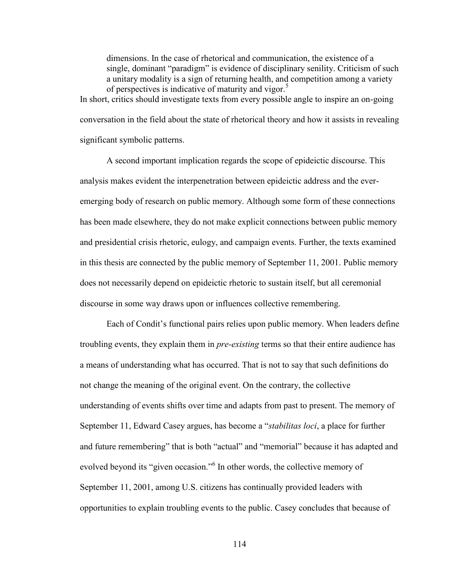dimensions. In the case of rhetorical and communication, the existence of a single, dominant "paradigm" is evidence of disciplinary senility. Criticism of such a unitary modality is a sign of returning health, and competition among a variety of perspectives is indicative of maturity and vigor.<sup>5</sup> In short, critics should investigate texts from every possible angle to inspire an on-going

conversation in the field about the state of rhetorical theory and how it assists in revealing significant symbolic patterns.

A second important implication regards the scope of epideictic discourse. This analysis makes evident the interpenetration between epideictic address and the everemerging body of research on public memory. Although some form of these connections has been made elsewhere, they do not make explicit connections between public memory and presidential crisis rhetoric, eulogy, and campaign events. Further, the texts examined in this thesis are connected by the public memory of September 11, 2001. Public memory does not necessarily depend on epideictic rhetoric to sustain itself, but all ceremonial discourse in some way draws upon or influences collective remembering.

Each of Condit's functional pairs relies upon public memory. When leaders define troubling events, they explain them in *pre-existing* terms so that their entire audience has a means of understanding what has occurred. That is not to say that such definitions do not change the meaning of the original event. On the contrary, the collective understanding of events shifts over time and adapts from past to present. The memory of September 11, Edward Casey argues, has become a "*stabilitas loci*, a place for further and future remembering" that is both "actual" and "memorial" because it has adapted and evolved beyond its "given occasion."<sup>6</sup> In other words, the collective memory of September 11, 2001, among U.S. citizens has continually provided leaders with opportunities to explain troubling events to the public. Casey concludes that because of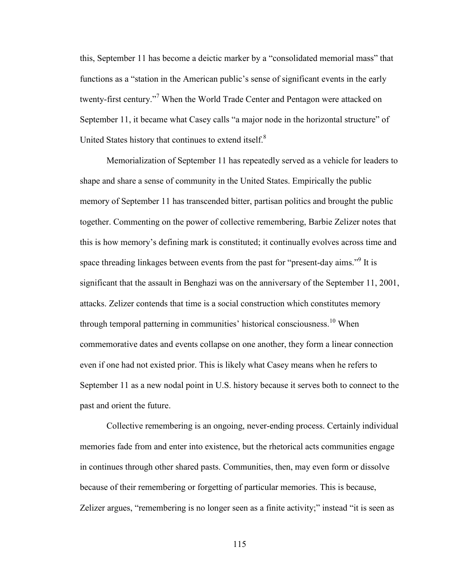this, September 11 has become a deictic marker by a "consolidated memorial mass" that functions as a "station in the American public's sense of significant events in the early twenty-first century."<sup>7</sup> When the World Trade Center and Pentagon were attacked on September 11, it became what Casey calls "a major node in the horizontal structure" of United States history that continues to extend itself.<sup>8</sup>

Memorialization of September 11 has repeatedly served as a vehicle for leaders to shape and share a sense of community in the United States. Empirically the public memory of September 11 has transcended bitter, partisan politics and brought the public together. Commenting on the power of collective remembering, Barbie Zelizer notes that this is how memory's defining mark is constituted; it continually evolves across time and space threading linkages between events from the past for "present-day aims."<sup>9</sup> It is significant that the assault in Benghazi was on the anniversary of the September 11, 2001, attacks. Zelizer contends that time is a social construction which constitutes memory through temporal patterning in communities' historical consciousness.<sup>10</sup> When commemorative dates and events collapse on one another, they form a linear connection even if one had not existed prior. This is likely what Casey means when he refers to September 11 as a new nodal point in U.S. history because it serves both to connect to the past and orient the future.

Collective remembering is an ongoing, never-ending process. Certainly individual memories fade from and enter into existence, but the rhetorical acts communities engage in continues through other shared pasts. Communities, then, may even form or dissolve because of their remembering or forgetting of particular memories. This is because, Zelizer argues, "remembering is no longer seen as a finite activity;" instead "it is seen as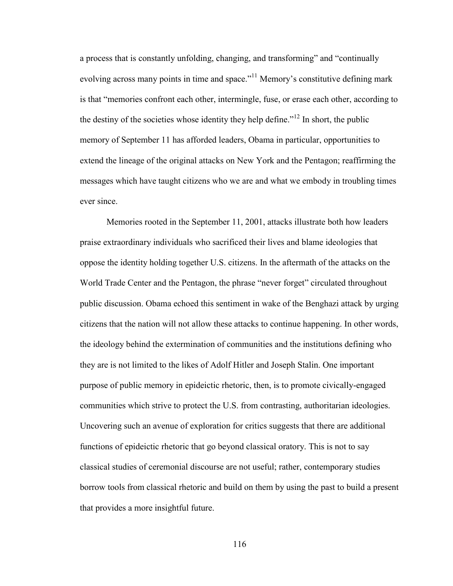a process that is constantly unfolding, changing, and transforming" and "continually evolving across many points in time and space."<sup>11</sup> Memory's constitutive defining mark is that "memories confront each other, intermingle, fuse, or erase each other, according to the destiny of the societies whose identity they help define.<sup> $12$ </sup> In short, the public memory of September 11 has afforded leaders, Obama in particular, opportunities to extend the lineage of the original attacks on New York and the Pentagon; reaffirming the messages which have taught citizens who we are and what we embody in troubling times ever since.

Memories rooted in the September 11, 2001, attacks illustrate both how leaders praise extraordinary individuals who sacrificed their lives and blame ideologies that oppose the identity holding together U.S. citizens. In the aftermath of the attacks on the World Trade Center and the Pentagon, the phrase "never forget" circulated throughout public discussion. Obama echoed this sentiment in wake of the Benghazi attack by urging citizens that the nation will not allow these attacks to continue happening. In other words, the ideology behind the extermination of communities and the institutions defining who they are is not limited to the likes of Adolf Hitler and Joseph Stalin. One important purpose of public memory in epideictic rhetoric, then, is to promote civically-engaged communities which strive to protect the U.S. from contrasting, authoritarian ideologies. Uncovering such an avenue of exploration for critics suggests that there are additional functions of epideictic rhetoric that go beyond classical oratory. This is not to say classical studies of ceremonial discourse are not useful; rather, contemporary studies borrow tools from classical rhetoric and build on them by using the past to build a present that provides a more insightful future.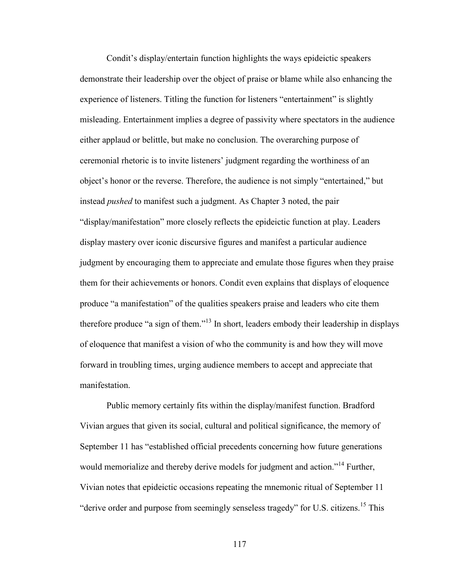Condit's display/entertain function highlights the ways epideictic speakers demonstrate their leadership over the object of praise or blame while also enhancing the experience of listeners. Titling the function for listeners "entertainment" is slightly misleading. Entertainment implies a degree of passivity where spectators in the audience either applaud or belittle, but make no conclusion. The overarching purpose of ceremonial rhetoric is to invite listeners' judgment regarding the worthiness of an object's honor or the reverse. Therefore, the audience is not simply "entertained," but instead *pushed* to manifest such a judgment. As Chapter 3 noted, the pair "display/manifestation" more closely reflects the epideictic function at play. Leaders display mastery over iconic discursive figures and manifest a particular audience judgment by encouraging them to appreciate and emulate those figures when they praise them for their achievements or honors. Condit even explains that displays of eloquence produce "a manifestation" of the qualities speakers praise and leaders who cite them therefore produce "a sign of them."<sup>13</sup> In short, leaders embody their leadership in displays of eloquence that manifest a vision of who the community is and how they will move forward in troubling times, urging audience members to accept and appreciate that manifestation.

Public memory certainly fits within the display/manifest function. Bradford Vivian argues that given its social, cultural and political significance, the memory of September 11 has "established official precedents concerning how future generations would memorialize and thereby derive models for judgment and action."<sup>14</sup> Further, Vivian notes that epideictic occasions repeating the mnemonic ritual of September 11 "derive order and purpose from seemingly senseless tragedy" for U.S. citizens.<sup>15</sup> This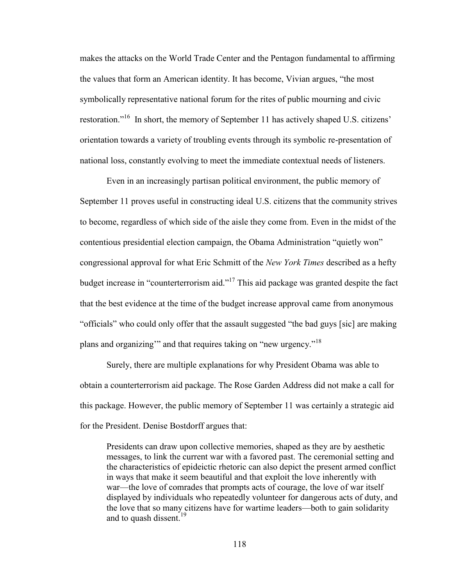makes the attacks on the World Trade Center and the Pentagon fundamental to affirming the values that form an American identity. It has become, Vivian argues, "the most symbolically representative national forum for the rites of public mourning and civic restoration."<sup>16</sup> In short, the memory of September 11 has actively shaped U.S. citizens' orientation towards a variety of troubling events through its symbolic re-presentation of national loss, constantly evolving to meet the immediate contextual needs of listeners.

Even in an increasingly partisan political environment, the public memory of September 11 proves useful in constructing ideal U.S. citizens that the community strives to become, regardless of which side of the aisle they come from. Even in the midst of the contentious presidential election campaign, the Obama Administration "quietly won" congressional approval for what Eric Schmitt of the *New York Times* described as a hefty budget increase in "counterterrorism aid."<sup>17</sup> This aid package was granted despite the fact that the best evidence at the time of the budget increase approval came from anonymous "officials" who could only offer that the assault suggested "the bad guys [sic] are making plans and organizing'" and that requires taking on "new urgency."<sup>18</sup>

Surely, there are multiple explanations for why President Obama was able to obtain a counterterrorism aid package. The Rose Garden Address did not make a call for this package. However, the public memory of September 11 was certainly a strategic aid for the President. Denise Bostdorff argues that:

Presidents can draw upon collective memories, shaped as they are by aesthetic messages, to link the current war with a favored past. The ceremonial setting and the characteristics of epideictic rhetoric can also depict the present armed conflict in ways that make it seem beautiful and that exploit the love inherently with war—the love of comrades that prompts acts of courage, the love of war itself displayed by individuals who repeatedly volunteer for dangerous acts of duty, and the love that so many citizens have for wartime leaders—both to gain solidarity and to quash dissent.<sup>19</sup>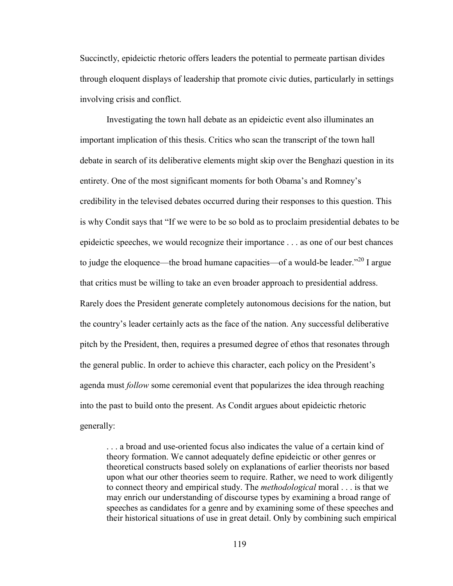Succinctly, epideictic rhetoric offers leaders the potential to permeate partisan divides through eloquent displays of leadership that promote civic duties, particularly in settings involving crisis and conflict.

Investigating the town hall debate as an epideictic event also illuminates an important implication of this thesis. Critics who scan the transcript of the town hall debate in search of its deliberative elements might skip over the Benghazi question in its entirety. One of the most significant moments for both Obama's and Romney's credibility in the televised debates occurred during their responses to this question. This is why Condit says that "If we were to be so bold as to proclaim presidential debates to be epideictic speeches, we would recognize their importance . . . as one of our best chances to judge the eloquence—the broad humane capacities—of a would-be leader. $"^{20}$  I argue that critics must be willing to take an even broader approach to presidential address. Rarely does the President generate completely autonomous decisions for the nation, but the country's leader certainly acts as the face of the nation. Any successful deliberative pitch by the President, then, requires a presumed degree of ethos that resonates through the general public. In order to achieve this character, each policy on the President's agenda must *follow* some ceremonial event that popularizes the idea through reaching into the past to build onto the present. As Condit argues about epideictic rhetoric generally:

. . . a broad and use-oriented focus also indicates the value of a certain kind of theory formation. We cannot adequately define epideictic or other genres or theoretical constructs based solely on explanations of earlier theorists nor based upon what our other theories seem to require. Rather, we need to work diligently to connect theory and empirical study. The *methodological* moral . . . is that we may enrich our understanding of discourse types by examining a broad range of speeches as candidates for a genre and by examining some of these speeches and their historical situations of use in great detail. Only by combining such empirical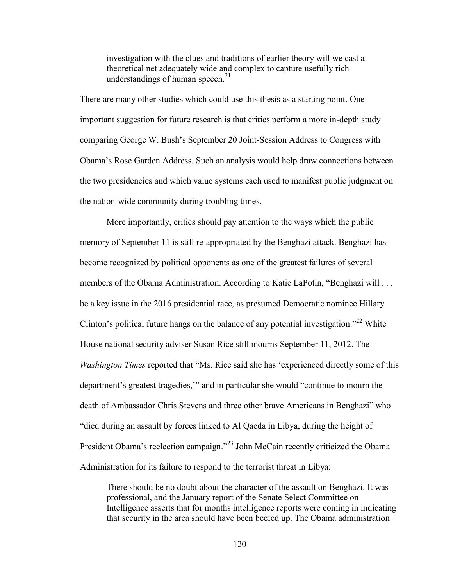investigation with the clues and traditions of earlier theory will we cast a theoretical net adequately wide and complex to capture usefully rich understandings of human speech.<sup>21</sup>

There are many other studies which could use this thesis as a starting point. One important suggestion for future research is that critics perform a more in-depth study comparing George W. Bush's September 20 Joint-Session Address to Congress with Obama's Rose Garden Address. Such an analysis would help draw connections between the two presidencies and which value systems each used to manifest public judgment on the nation-wide community during troubling times.

More importantly, critics should pay attention to the ways which the public memory of September 11 is still re-appropriated by the Benghazi attack. Benghazi has become recognized by political opponents as one of the greatest failures of several members of the Obama Administration. According to Katie LaPotin, "Benghazi will ... be a key issue in the 2016 presidential race, as presumed Democratic nominee Hillary Clinton's political future hangs on the balance of any potential investigation.<sup> $22$ </sup> White House national security adviser Susan Rice still mourns September 11, 2012. The *Washington Times* reported that "Ms. Rice said she has 'experienced directly some of this department's greatest tragedies,'" and in particular she would "continue to mourn the death of Ambassador Chris Stevens and three other brave Americans in Benghazi" who "died during an assault by forces linked to Al Qaeda in Libya, during the height of President Obama's reelection campaign."<sup>23</sup> John McCain recently criticized the Obama Administration for its failure to respond to the terrorist threat in Libya:

There should be no doubt about the character of the assault on Benghazi. It was professional, and the January report of the Senate Select Committee on Intelligence asserts that for months intelligence reports were coming in indicating that security in the area should have been beefed up. The Obama administration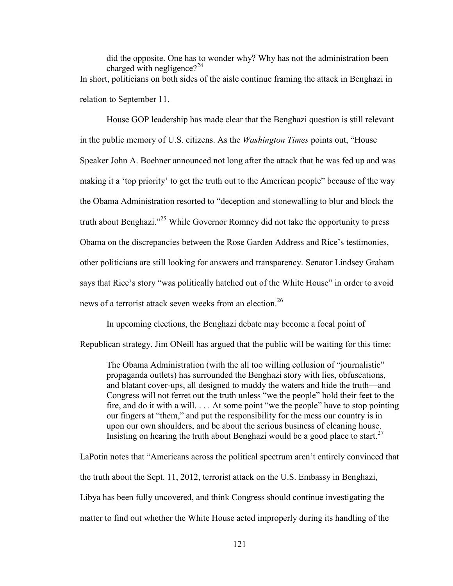did the opposite. One has to wonder why? Why has not the administration been charged with negligence?<sup>24</sup> In short, politicians on both sides of the aisle continue framing the attack in Benghazi in relation to September 11.

House GOP leadership has made clear that the Benghazi question is still relevant in the public memory of U.S. citizens. As the *Washington Times* points out, "House Speaker John A. Boehner announced not long after the attack that he was fed up and was making it a 'top priority' to get the truth out to the American people" because of the way the Obama Administration resorted to "deception and stonewalling to blur and block the truth about Benghazi."<sup>25</sup> While Governor Romney did not take the opportunity to press Obama on the discrepancies between the Rose Garden Address and Rice's testimonies, other politicians are still looking for answers and transparency. Senator Lindsey Graham says that Rice's story "was politically hatched out of the White House" in order to avoid news of a terrorist attack seven weeks from an election.<sup>26</sup>

In upcoming elections, the Benghazi debate may become a focal point of

Republican strategy. Jim ONeill has argued that the public will be waiting for this time:

The Obama Administration (with the all too willing collusion of "journalistic" propaganda outlets) has surrounded the Benghazi story with lies, obfuscations, and blatant cover-ups, all designed to muddy the waters and hide the truth—and Congress will not ferret out the truth unless "we the people" hold their feet to the fire, and do it with a will. . . . At some point "we the people" have to stop pointing our fingers at "them," and put the responsibility for the mess our country is in upon our own shoulders, and be about the serious business of cleaning house. Insisting on hearing the truth about Benghazi would be a good place to start.<sup>27</sup>

LaPotin notes that "Americans across the political spectrum aren't entirely convinced that the truth about the Sept. 11, 2012, terrorist attack on the U.S. Embassy in Benghazi, Libya has been fully uncovered, and think Congress should continue investigating the matter to find out whether the White House acted improperly during its handling of the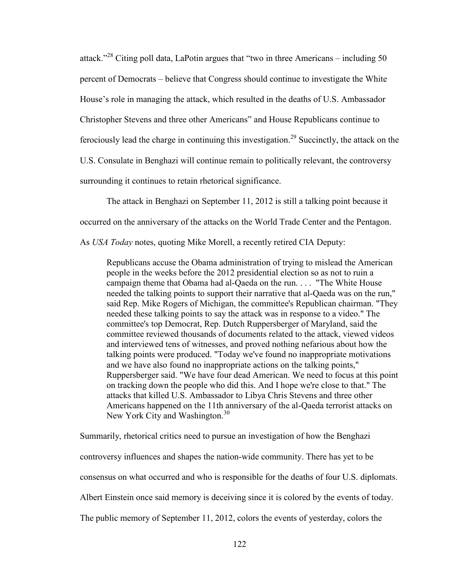attack."<sup>28</sup> Citing poll data, LaPotin argues that "two in three Americans – including 50 percent of Democrats – believe that Congress should continue to investigate the White House's role in managing the attack, which resulted in the deaths of U.S. Ambassador Christopher Stevens and three other Americans" and House Republicans continue to ferociously lead the charge in continuing this investigation.<sup>29</sup> Succinctly, the attack on the U.S. Consulate in Benghazi will continue remain to politically relevant, the controversy surrounding it continues to retain rhetorical significance.

The attack in Benghazi on September 11, 2012 is still a talking point because it

occurred on the anniversary of the attacks on the World Trade Center and the Pentagon.

As *USA Today* notes, quoting Mike Morell, a recently retired CIA Deputy:

Republicans accuse the Obama administration of trying to mislead the American people in the weeks before the 2012 presidential election so as not to ruin a campaign theme that Obama had al-Qaeda on the run. . . . "The White House needed the talking points to support their narrative that al-Qaeda was on the run," said Rep. Mike Rogers of Michigan, the committee's Republican chairman. "They needed these talking points to say the attack was in response to a video." The committee's top Democrat, Rep. Dutch Ruppersberger of Maryland, said the committee reviewed thousands of documents related to the attack, viewed videos and interviewed tens of witnesses, and proved nothing nefarious about how the talking points were produced. "Today we've found no inappropriate motivations and we have also found no inappropriate actions on the talking points," Ruppersberger said. "We have four dead American. We need to focus at this point on tracking down the people who did this. And I hope we're close to that." The attacks that killed U.S. Ambassador to Libya Chris Stevens and three other Americans happened on the 11th anniversary of the al-Qaeda terrorist attacks on New York City and Washington.<sup>30</sup>

Summarily, rhetorical critics need to pursue an investigation of how the Benghazi

controversy influences and shapes the nation-wide community. There has yet to be

consensus on what occurred and who is responsible for the deaths of four U.S. diplomats.

Albert Einstein once said memory is deceiving since it is colored by the events of today.

The public memory of September 11, 2012, colors the events of yesterday, colors the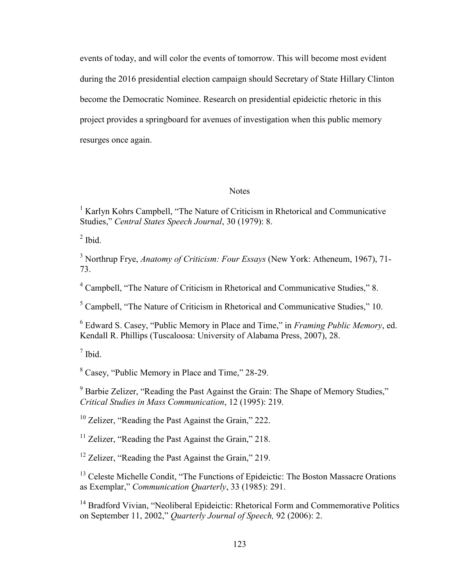events of today, and will color the events of tomorrow. This will become most evident during the 2016 presidential election campaign should Secretary of State Hillary Clinton become the Democratic Nominee. Research on presidential epideictic rhetoric in this project provides a springboard for avenues of investigation when this public memory resurges once again.

### **Notes**

<sup>1</sup> Karlyn Kohrs Campbell, "The Nature of Criticism in Rhetorical and Communicative Studies," *Central States Speech Journal*, 30 (1979): 8.

 $<sup>2</sup>$  Ibid.</sup>

<sup>3</sup> Northrup Frye, *Anatomy of Criticism: Four Essays* (New York: Atheneum, 1967), 71- 73.

<sup>4</sup> Campbell, "The Nature of Criticism in Rhetorical and Communicative Studies," 8.

<sup>5</sup> Campbell, "The Nature of Criticism in Rhetorical and Communicative Studies," 10.

6 Edward S. Casey, "Public Memory in Place and Time," in *Framing Public Memory*, ed. Kendall R. Phillips (Tuscaloosa: University of Alabama Press, 2007), 28.

7 Ibid.

<sup>8</sup> Casey, "Public Memory in Place and Time," 28-29.

<sup>9</sup> Barbie Zelizer, "Reading the Past Against the Grain: The Shape of Memory Studies," *Critical Studies in Mass Communication*, 12 (1995): 219.

<sup>10</sup> Zelizer, "Reading the Past Against the Grain," 222.

 $11$  Zelizer, "Reading the Past Against the Grain," 218.

<sup>12</sup> Zelizer, "Reading the Past Against the Grain," 219.

<sup>13</sup> Celeste Michelle Condit, "The Functions of Epideictic: The Boston Massacre Orations as Exemplar," *Communication Quarterly*, 33 (1985): 291.

<sup>14</sup> Bradford Vivian, "Neoliberal Epideictic: Rhetorical Form and Commemorative Politics on September 11, 2002," *Quarterly Journal of Speech,* 92 (2006): 2.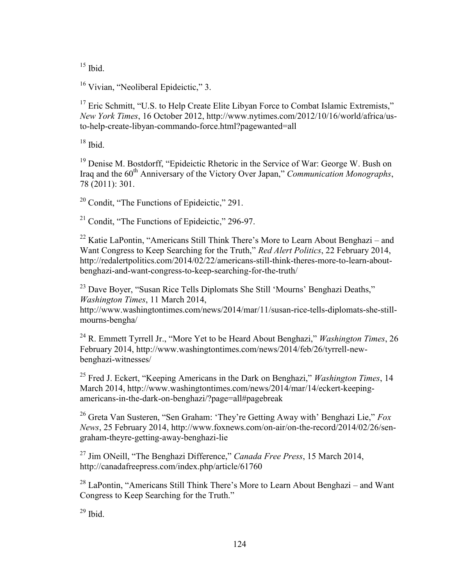$15$  Ibid.

<sup>16</sup> Vivian, "Neoliberal Epideictic," 3.

<sup>17</sup> Eric Schmitt, "U.S. to Help Create Elite Libyan Force to Combat Islamic Extremists," *New York Times*, 16 October 2012, [http://www.nytimes.com/2012/10/16/world/africa/us](http://www.nytimes.com/2012/10/16/world/africa/us-to-help-create-libyan-commando-force.html?pagewanted=all)[to-help-create-libyan-commando-force.html?pagewanted=all](http://www.nytimes.com/2012/10/16/world/africa/us-to-help-create-libyan-commando-force.html?pagewanted=all)

 $18$  Ibid.

<sup>19</sup> Denise M. Bostdorff, "Epideictic Rhetoric in the Service of War: George W. Bush on Iraq and the 60<sup>th</sup> Anniversary of the Victory Over Japan," *Communication Monographs*, 78 (2011): 301.

<sup>20</sup> Condit, "The Functions of Epideictic," 291.

<sup>21</sup> Condit, "The Functions of Epideictic," 296-97.

 $22$  Katie LaPontin, "Americans Still Think There's More to Learn About Benghazi – and Want Congress to Keep Searching for the Truth," *Red Alert Politics*, 22 February 2014, [http://redalertpolitics.com/2014/02/22/americans-still-think-theres-more-to-learn-about](http://redalertpolitics.com/2014/02/22/americans-still-think-theres-more-to-learn-about-benghazi-and-want-congress-to-keep-searching-for-the-truth/)[benghazi-and-want-congress-to-keep-searching-for-the-truth/](http://redalertpolitics.com/2014/02/22/americans-still-think-theres-more-to-learn-about-benghazi-and-want-congress-to-keep-searching-for-the-truth/)

<sup>23</sup> Dave Boyer, "Susan Rice Tells Diplomats She Still 'Mourns' Benghazi Deaths," *Washington Times*, 11 March 2014,

[http://www.washingtontimes.com/news/2014/mar/11/susan-rice-tells-diplomats-she-still](http://www.washingtontimes.com/news/2014/mar/11/susan-rice-tells-diplomats-she-still-mourns-bengha/)[mourns-bengha/](http://www.washingtontimes.com/news/2014/mar/11/susan-rice-tells-diplomats-she-still-mourns-bengha/)

<sup>24</sup> R. Emmett Tyrrell Jr., "More Yet to be Heard About Benghazi," *Washington Times*, 26 February 2014, [http://www.washingtontimes.com/news/2014/feb/26/tyrrell-new](http://www.washingtontimes.com/news/2014/feb/26/tyrrell-new-benghazi-witnesses/)[benghazi-witnesses/](http://www.washingtontimes.com/news/2014/feb/26/tyrrell-new-benghazi-witnesses/)

<sup>25</sup> Fred J. Eckert, "Keeping Americans in the Dark on Benghazi," *Washington Times*, 14 March 2014, [http://www.washingtontimes.com/news/2014/mar/14/eckert-keeping](http://www.washingtontimes.com/news/2014/mar/14/eckert-keeping-americans-in-the-dark-on-benghazi/?page=all#pagebreak)[americans-in-the-dark-on-benghazi/?page=all#pagebreak](http://www.washingtontimes.com/news/2014/mar/14/eckert-keeping-americans-in-the-dark-on-benghazi/?page=all#pagebreak)

<sup>26</sup> Greta Van Susteren, "Sen Graham: 'They're Getting Away with' Benghazi Lie," *Fox News*, 25 February 2014, [http://www.foxnews.com/on-air/on-the-record/2014/02/26/sen](http://www.foxnews.com/on-air/on-the-record/2014/02/26/sen-graham-theyre-getting-away-benghazi-lie)[graham-theyre-getting-away-benghazi-lie](http://www.foxnews.com/on-air/on-the-record/2014/02/26/sen-graham-theyre-getting-away-benghazi-lie)

<sup>27</sup> Jim ONeill, "The Benghazi Difference," *Canada Free Press*, 15 March 2014, <http://canadafreepress.com/index.php/article/61760>

 $^{28}$  LaPontin, "Americans Still Think There's More to Learn About Benghazi – and Want Congress to Keep Searching for the Truth."

 $29$  Ibid.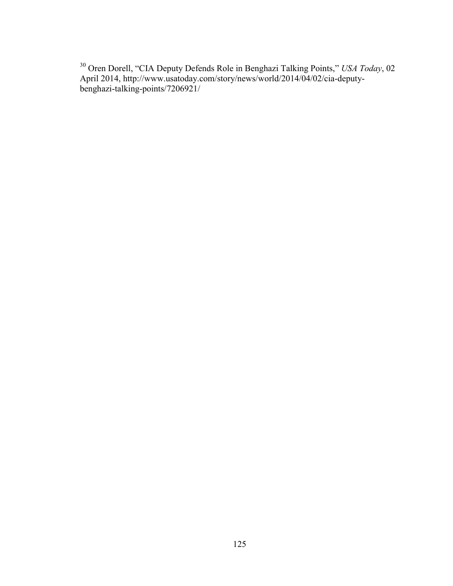<sup>30</sup> Oren Dorell, "CIA Deputy Defends Role in Benghazi Talking Points," *USA Today*, 02 April 2014, [http://www.usatoday.com/story/news/world/2014/04/02/cia-deputy](http://www.usatoday.com/story/news/world/2014/04/02/cia-deputy-benghazi-talking-points/7206921/)[benghazi-talking-points/7206921/](http://www.usatoday.com/story/news/world/2014/04/02/cia-deputy-benghazi-talking-points/7206921/)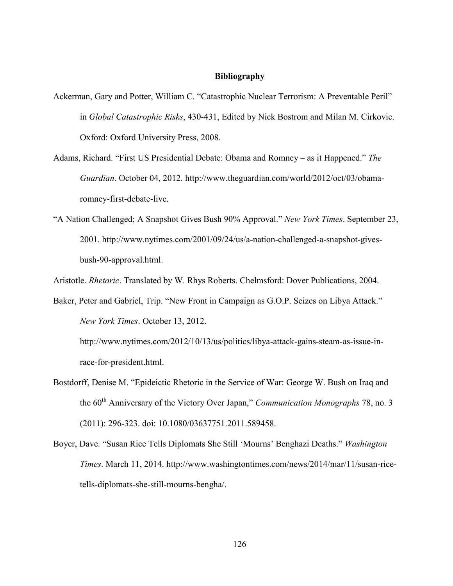#### **Bibliography**

- Ackerman, Gary and Potter, William C. "Catastrophic Nuclear Terrorism: A Preventable Peril" in *Global Catastrophic Risks*, 430-431, Edited by Nick Bostrom and Milan M. Cirkovic. Oxford: Oxford University Press, 2008.
- Adams, Richard. "First US Presidential Debate: Obama and Romney as it Happened." *The Guardian*. October 04, 2012. [http://www.theguardian.com/world/2012/oct/03/obama](http://www.theguardian.com/world/2012/oct/03/obama-romney-first-debate-live)[romney-first-debate-live.](http://www.theguardian.com/world/2012/oct/03/obama-romney-first-debate-live)
- "A Nation Challenged; A Snapshot Gives Bush 90% Approval." *New York Times*. September 23, 2001. [http://www.nytimes.com/2001/09/24/us/a-nation-challenged-a-snapshot-gives](http://www.nytimes.com/2001/09/24/us/a-nation-challenged-a-snapshot-gives-bush-90-approval.html)[bush-90-approval.html.](http://www.nytimes.com/2001/09/24/us/a-nation-challenged-a-snapshot-gives-bush-90-approval.html)

Aristotle. *Rhetoric*. Translated by W. Rhys Roberts. Chelmsford: Dover Publications, 2004.

Baker, Peter and Gabriel, Trip. "New Front in Campaign as G.O.P. Seizes on Libya Attack." *New York Times*. October 13, 2012.

[http://www.nytimes.com/2012/10/13/us/politics/libya-attack-gains-steam-as-issue-in](http://www.nytimes.com/2012/10/13/us/politics/libya-attack-gains-steam-as-issue-in-race-for-president.html)[race-for-president.html.](http://www.nytimes.com/2012/10/13/us/politics/libya-attack-gains-steam-as-issue-in-race-for-president.html)

- Bostdorff, Denise M. "Epideictic Rhetoric in the Service of War: George W. Bush on Iraq and the 60<sup>th</sup> Anniversary of the Victory Over Japan," *Communication Monographs* 78, no. 3 (2011): 296-323. doi: 10.1080/03637751.2011.589458.
- Boyer, Dave. "Susan Rice Tells Diplomats She Still 'Mourns' Benghazi Deaths." *Washington Times*. March 11, 2014. [http://www.washingtontimes.com/news/2014/mar/11/susan-rice](http://www.washingtontimes.com/news/2014/mar/11/susan-rice-tells-diplomats-she-still-mourns-bengha/)[tells-diplomats-she-still-mourns-bengha/.](http://www.washingtontimes.com/news/2014/mar/11/susan-rice-tells-diplomats-she-still-mourns-bengha/)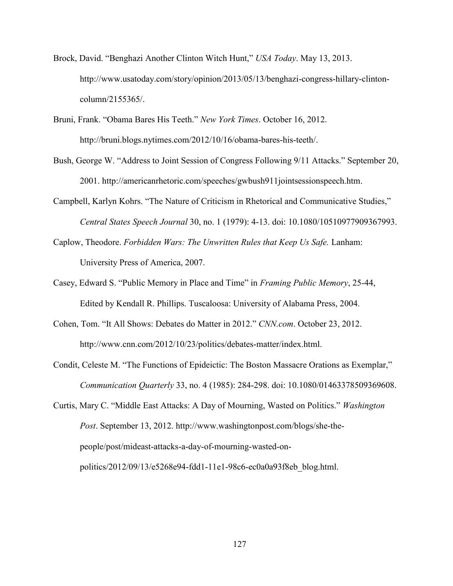- Brock, David. "Benghazi Another Clinton Witch Hunt," *USA Today*. May 13, 2013. [http://www.usatoday.com/story/opinion/2013/05/13/benghazi-congress-hillary-clinton](http://www.usatoday.com/story/opinion/2013/05/13/benghazi-congress-hillary-clinton-column/2155365/)[column/2155365/.](http://www.usatoday.com/story/opinion/2013/05/13/benghazi-congress-hillary-clinton-column/2155365/)
- Bruni, Frank. "Obama Bares His Teeth." *New York Times*. October 16, 2012. [http://bruni.blogs.nytimes.com/2012/10/16/obama-bares-his-teeth/.](http://bruni.blogs.nytimes.com/2012/10/16/obama-bares-his-teeth/)
- Bush, George W. "Address to Joint Session of Congress Following 9/11 Attacks." September 20, 2001. [http://americanrhetoric.com/speeches/gwbush911jointsessionspeech.htm.](http://americanrhetoric.com/speeches/gwbush911jointsessionspeech.htm)
- Campbell, Karlyn Kohrs. "The Nature of Criticism in Rhetorical and Communicative Studies," *Central States Speech Journal* 30, no. 1 (1979): 4-13. doi: 10.1080/10510977909367993.
- Caplow, Theodore. *Forbidden Wars: The Unwritten Rules that Keep Us Safe.* Lanham: University Press of America, 2007.
- Casey, Edward S. "Public Memory in Place and Time" in *Framing Public Memory*, 25-44, Edited by Kendall R. Phillips. Tuscaloosa: University of Alabama Press, 2004.
- Cohen, Tom. "It All Shows: Debates do Matter in 2012." *CNN.com*. October 23, 2012. [http://www.cnn.com/2012/10/23/politics/debates-matter/index.html.](http://www.cnn.com/2012/10/23/politics/debates-matter/index.html)
- Condit, Celeste M. "The Functions of Epideictic: The Boston Massacre Orations as Exemplar," *Communication Quarterly* 33, no. 4 (1985): 284-298. doi: 10.1080/01463378509369608.
- Curtis, Mary C. "Middle East Attacks: A Day of Mourning, Wasted on Politics." *Washington Post*. September 13, 2012. [http://www.washingtonpost.com/blogs/she-the](http://www.washingtonpost.com/blogs/she-the-people/post/mideast-attacks-a-day-of-mourning-wasted-on-politics/2012/09/13/e5268e94-fdd1-11e1-98c6-ec0a0a93f8eb_blog.html)[people/post/mideast-attacks-a-day-of-mourning-wasted-on](http://www.washingtonpost.com/blogs/she-the-people/post/mideast-attacks-a-day-of-mourning-wasted-on-politics/2012/09/13/e5268e94-fdd1-11e1-98c6-ec0a0a93f8eb_blog.html)[politics/2012/09/13/e5268e94-fdd1-11e1-98c6-ec0a0a93f8eb\\_blog.html.](http://www.washingtonpost.com/blogs/she-the-people/post/mideast-attacks-a-day-of-mourning-wasted-on-politics/2012/09/13/e5268e94-fdd1-11e1-98c6-ec0a0a93f8eb_blog.html)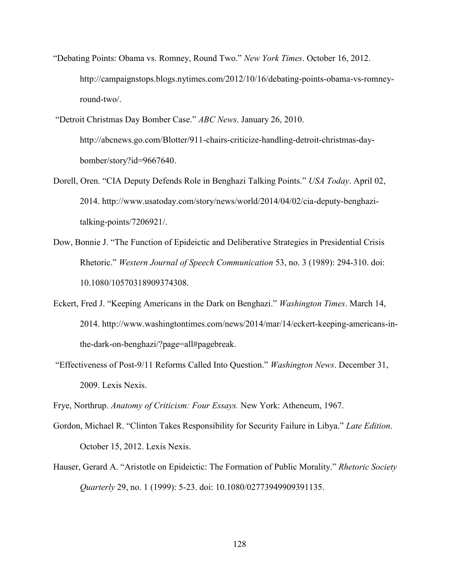- "Debating Points: Obama vs. Romney, Round Two." *New York Times*. October 16, 2012. http://campaignstops.blogs.nytimes.com/2012/10/16/debating-points-obama-vs-romneyround-two/.
- "Detroit Christmas Day Bomber Case." *ABC News*. January 26, 2010. [http://abcnews.go.com/Blotter/911-chairs-criticize-handling-detroit-christmas-day](http://abcnews.go.com/Blotter/911-chairs-criticize-handling-detroit-christmas-day-bomber/story?id=9667640)[bomber/story?id=9667640.](http://abcnews.go.com/Blotter/911-chairs-criticize-handling-detroit-christmas-day-bomber/story?id=9667640)
- Dorell, Oren. "CIA Deputy Defends Role in Benghazi Talking Points." *USA Today*. April 02, 2014. [http://www.usatoday.com/story/news/world/2014/04/02/cia-deputy-benghazi](http://www.usatoday.com/story/news/world/2014/04/02/cia-deputy-benghazi-talking-points/7206921/)[talking-points/7206921/.](http://www.usatoday.com/story/news/world/2014/04/02/cia-deputy-benghazi-talking-points/7206921/)
- Dow, Bonnie J. "The Function of Epideictic and Deliberative Strategies in Presidential Crisis Rhetoric." *Western Journal of Speech Communication* 53, no. 3 (1989): 294-310. doi: 10.1080/10570318909374308.
- Eckert, Fred J. "Keeping Americans in the Dark on Benghazi." *Washington Times*. March 14, 2014. [http://www.washingtontimes.com/news/2014/mar/14/eckert-keeping-americans-in](http://www.washingtontimes.com/news/2014/mar/14/eckert-keeping-americans-in-the-dark-on-benghazi/?page=all#pagebreak)[the-dark-on-benghazi/?page=all#pagebreak.](http://www.washingtontimes.com/news/2014/mar/14/eckert-keeping-americans-in-the-dark-on-benghazi/?page=all#pagebreak)
- "Effectiveness of Post-9/11 Reforms Called Into Question." *Washington News*. December 31, 2009. Lexis Nexis.
- Frye, Northrup. *Anatomy of Criticism: Four Essays.* New York: Atheneum, 1967.
- Gordon, Michael R. "Clinton Takes Responsibility for Security Failure in Libya." *Late Edition*. October 15, 2012. Lexis Nexis.
- Hauser, Gerard A. "Aristotle on Epideictic: The Formation of Public Morality." *Rhetoric Society Quarterly* 29, no. 1 (1999): 5-23. doi: 10.1080/02773949909391135.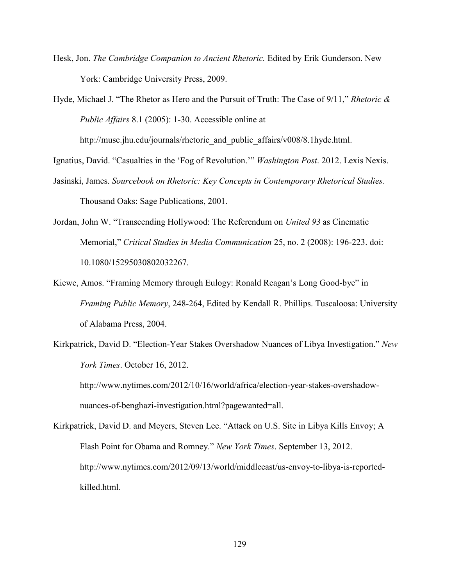- Hesk, Jon. *The Cambridge Companion to Ancient Rhetoric.* Edited by Erik Gunderson. New York: Cambridge University Press, 2009.
- Hyde, Michael J. "The Rhetor as Hero and the Pursuit of Truth: The Case of 9/11," *Rhetoric & Public Affairs* 8.1 (2005): 1-30. Accessible online at

http://muse.jhu.edu/journals/rhetoric and public affairs/v008/8.1hyde.html.

Ignatius, David. "Casualties in the 'Fog of Revolution.'" *Washington Post*. 2012. Lexis Nexis.

- Jasinski, James. *Sourcebook on Rhetoric: Key Concepts in Contemporary Rhetorical Studies.*  Thousand Oaks: Sage Publications, 2001.
- Jordan, John W. "Transcending Hollywood: The Referendum on *United 93* as Cinematic Memorial," *Critical Studies in Media Communication* 25, no. 2 (2008): 196-223. doi: 10.1080/15295030802032267.
- Kiewe, Amos. "Framing Memory through Eulogy: Ronald Reagan's Long Good-bye" in *Framing Public Memory*, 248-264, Edited by Kendall R. Phillips. Tuscaloosa: University of Alabama Press, 2004.
- Kirkpatrick, David D. "Election-Year Stakes Overshadow Nuances of Libya Investigation." *New York Times*. October 16, 2012.

http://www.nytimes.com/2012/10/16/world/africa/election-year-stakes-overshadownuances-of-benghazi-investigation.html?pagewanted=all.

Kirkpatrick, David D. and Meyers, Steven Lee. "Attack on U.S. Site in Libya Kills Envoy; A Flash Point for Obama and Romney." *New York Times*. September 13, 2012. [http://www.nytimes.com/2012/09/13/world/middleeast/us-envoy-to-libya-is-reported](http://www.nytimes.com/2012/09/13/world/middleeast/us-envoy-to-libya-is-reported-killed.html)[killed.html.](http://www.nytimes.com/2012/09/13/world/middleeast/us-envoy-to-libya-is-reported-killed.html)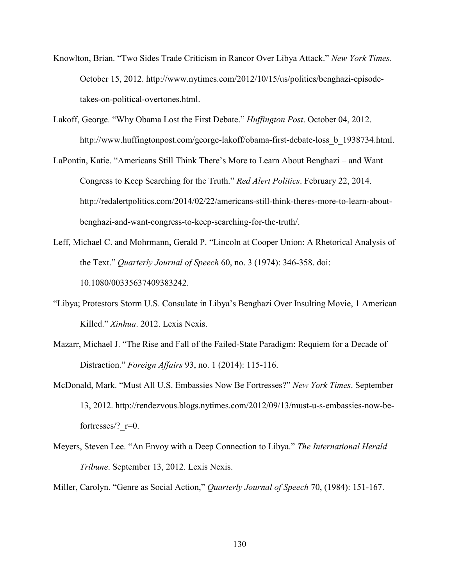- Knowlton, Brian. "Two Sides Trade Criticism in Rancor Over Libya Attack." *New York Times*. October 15, 2012. [http://www.nytimes.com/2012/10/15/us/politics/benghazi-episode](http://www.nytimes.com/2012/10/15/us/politics/benghazi-episode-takes-on-political-overtones.html)[takes-on-political-overtones.html.](http://www.nytimes.com/2012/10/15/us/politics/benghazi-episode-takes-on-political-overtones.html)
- Lakoff, George. "Why Obama Lost the First Debate." *Huffington Post*. October 04, 2012. [http://www.huffingtonpost.com/george-lakoff/obama-first-debate-loss\\_b\\_1938734.html.](http://www.huffingtonpost.com/george-lakoff/obama-first-debate-loss_b_1938734.html)
- LaPontin, Katie. "Americans Still Think There's More to Learn About Benghazi and Want Congress to Keep Searching for the Truth." *Red Alert Politics*. February 22, 2014. [http://redalertpolitics.com/2014/02/22/americans-still-think-theres-more-to-learn-about](http://redalertpolitics.com/2014/02/22/americans-still-think-theres-more-to-learn-about-benghazi-and-want-congress-to-keep-searching-for-the-truth/)[benghazi-and-want-congress-to-keep-searching-for-the-truth/.](http://redalertpolitics.com/2014/02/22/americans-still-think-theres-more-to-learn-about-benghazi-and-want-congress-to-keep-searching-for-the-truth/)
- Leff, Michael C. and Mohrmann, Gerald P. "Lincoln at Cooper Union: A Rhetorical Analysis of the Text." *Quarterly Journal of Speech* 60, no. 3 (1974): 346-358. doi: 10.1080/00335637409383242.
- "Libya; Protestors Storm U.S. Consulate in Libya's Benghazi Over Insulting Movie, 1 American Killed." *Xinhua*. 2012. Lexis Nexis.
- Mazarr, Michael J. "The Rise and Fall of the Failed-State Paradigm: Requiem for a Decade of Distraction." *Foreign Affairs* 93, no. 1 (2014): 115-116.
- McDonald, Mark. "Must All U.S. Embassies Now Be Fortresses?" *New York Times*. September 13, 2012. [http://rendezvous.blogs.nytimes.com/2012/09/13/must-u-s-embassies-now-be](http://rendezvous.blogs.nytimes.com/2012/09/13/must-u-s-embassies-now-be-fortresses/?_r=0)fortresses/? $r=0$ .
- Meyers, Steven Lee. "An Envoy with a Deep Connection to Libya." *The International Herald Tribune*. September 13, 2012. Lexis Nexis.
- Miller, Carolyn. "Genre as Social Action," *Quarterly Journal of Speech* 70, (1984): 151-167.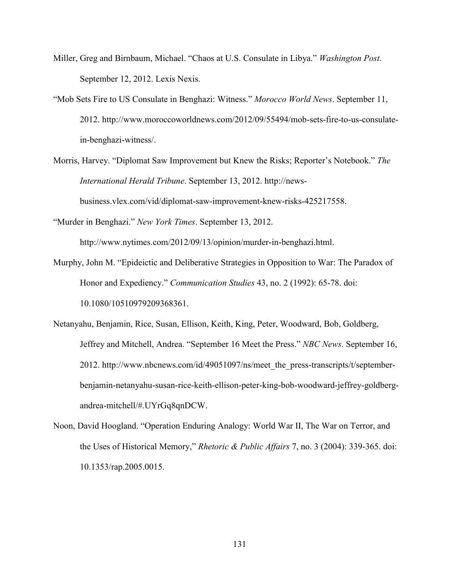- Miller, Greg and Birnbaum, Michael. "Chaos at U.S. Consulate in Libya." *Washington Post*. September 12, 2012. Lexis Nexis.
- "Mob Sets Fire to US Consulate in Benghazi: Witness." *Morocco World News*. September 11, 2012. [http://www.moroccoworldnews.com/2012/09/55494/mob-sets-fire-to-us-consulate](http://www.moroccoworldnews.com/2012/09/55494/mob-sets-fire-to-us-consulate-in-benghazi-witness/)[in-benghazi-witness/.](http://www.moroccoworldnews.com/2012/09/55494/mob-sets-fire-to-us-consulate-in-benghazi-witness/)
- Morris, Harvey. "Diplomat Saw Improvement but Knew the Risks; Reporter's Notebook." *The International Herald Tribune*. September 13, 2012. http://newsbusiness.vlex.com/vid/diplomat-saw-improvement-knew-risks-425217558.

"Murder in Benghazi." *New York Times*. September 13, 2012.

[http://www.nytimes.com/2012/09/13/opinion/murder-in-benghazi.html.](http://www.nytimes.com/2012/09/13/opinion/murder-in-benghazi.html)

- Murphy, John M. "Epideictic and Deliberative Strategies in Opposition to War: The Paradox of Honor and Expediency." *Communication Studies* 43, no. 2 (1992): 65-78. doi: 10.1080/10510979209368361.
- Netanyahu, Benjamin, Rice, Susan, Ellison, Keith, King, Peter, Woodward, Bob, Goldberg, Jeffrey and Mitchell, Andrea. "September 16 Meet the Press." *NBC News*. September 16, 2012. http://www.nbcnews.com/id/49051097/ns/meet the press-transcripts/t/september[benjamin-netanyahu-susan-rice-keith-ellison-peter-king-bob-woodward-jeffrey-goldberg](http://www.nbcnews.com/id/49051097/ns/meet_the_press-transcripts/t/september-benjamin-netanyahu-susan-rice-keith-ellison-peter-king-bob-woodward-jeffrey-goldberg-andrea-mitchell/#.UYrGq8qnDCW)[andrea-mitchell/#.UYrGq8qnDCW.](http://www.nbcnews.com/id/49051097/ns/meet_the_press-transcripts/t/september-benjamin-netanyahu-susan-rice-keith-ellison-peter-king-bob-woodward-jeffrey-goldberg-andrea-mitchell/#.UYrGq8qnDCW)
- Noon, David Hoogland. "Operation Enduring Analogy: World War II, The War on Terror, and the Uses of Historical Memory," *Rhetoric & Public Affairs* 7, no. 3 (2004): 339-365. doi: 10.1353/rap.2005.0015.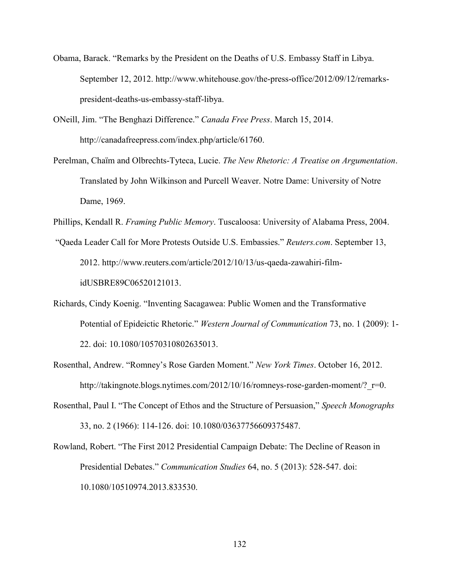- Obama, Barack. "Remarks by the President on the Deaths of U.S. Embassy Staff in Libya. September 12, 2012. [http://www.whitehouse.gov/the-press-office/2012/09/12/remarks](http://www.whitehouse.gov/the-press-office/2012/09/12/remarks-president-deaths-us-embassy-staff-libya)[president-deaths-us-embassy-staff-libya.](http://www.whitehouse.gov/the-press-office/2012/09/12/remarks-president-deaths-us-embassy-staff-libya)
- ONeill, Jim. "The Benghazi Difference." *Canada Free Press*. March 15, 2014. [http://canadafreepress.com/index.php/article/61760.](http://canadafreepress.com/index.php/article/61760)
- Perelman, Chaïm and Olbrechts-Tyteca, Lucie. *The New Rhetoric: A Treatise on Argumentation*. Translated by John Wilkinson and Purcell Weaver. Notre Dame: University of Notre Dame, 1969.
- Phillips, Kendall R. *Framing Public Memory*. Tuscaloosa: University of Alabama Press, 2004.
- "Qaeda Leader Call for More Protests Outside U.S. Embassies." *Reuters.com*. September 13, 2012. [http://www.reuters.com/article/2012/10/13/us-qaeda-zawahiri-film](http://www.reuters.com/article/2012/10/13/us-qaeda-zawahiri-film-idUSBRE89C06520121013)[idUSBRE89C06520121013.](http://www.reuters.com/article/2012/10/13/us-qaeda-zawahiri-film-idUSBRE89C06520121013)
- Richards, Cindy Koenig. "Inventing Sacagawea: Public Women and the Transformative Potential of Epideictic Rhetoric." *Western Journal of Communication* 73, no. 1 (2009): 1- 22. doi: 10.1080/10570310802635013.
- Rosenthal, Andrew. "Romney's Rose Garden Moment." *New York Times*. October 16, 2012. http://takingnote.blogs.nytimes.com/2012/10/16/romneys-rose-garden-moment/? r=0.
- Rosenthal, Paul I. "The Concept of Ethos and the Structure of Persuasion," *Speech Monographs* 33, no. 2 (1966): 114-126. doi: 10.1080/03637756609375487.
- Rowland, Robert. "The First 2012 Presidential Campaign Debate: The Decline of Reason in Presidential Debates." *Communication Studies* 64, no. 5 (2013): 528-547. doi: 10.1080/10510974.2013.833530.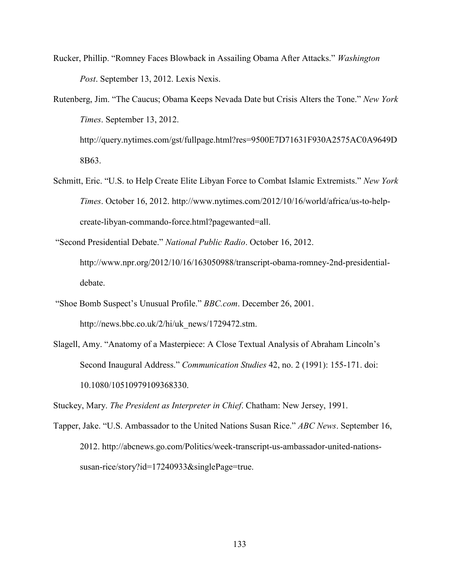- Rucker, Phillip. "Romney Faces Blowback in Assailing Obama After Attacks." *Washington Post*. September 13, 2012. Lexis Nexis.
- Rutenberg, Jim. "The Caucus; Obama Keeps Nevada Date but Crisis Alters the Tone." *New York Times*. September 13, 2012. [http://query.nytimes.com/gst/fullpage.html?res=9500E7D71631F930A2575AC0A9649D](http://query.nytimes.com/gst/fullpage.html?res=9500E7D71631F930A2575AC0A9649D8B63)

[8B63.](http://query.nytimes.com/gst/fullpage.html?res=9500E7D71631F930A2575AC0A9649D8B63)

- Schmitt, Eric. "U.S. to Help Create Elite Libyan Force to Combat Islamic Extremists." *New York Times*. October 16, 2012. http://www.nytimes.com/2012/10/16/world/africa/us-to-helpcreate-libyan-commando-force.html?pagewanted=all.
- "Second Presidential Debate." *National Public Radio*. October 16, 2012. [http://www.npr.org/2012/10/16/163050988/transcript-obama-romney-2nd-presidential](http://www.npr.org/2012/10/16/163050988/transcript-obama-romney-2nd-presidential-debate)[debate.](http://www.npr.org/2012/10/16/163050988/transcript-obama-romney-2nd-presidential-debate)
- "Shoe Bomb Suspect's Unusual Profile." *BBC.com*. December 26, 2001. http://news.bbc.co.uk/2/hi/uk\_news/1729472.stm.
- Slagell, Amy. "Anatomy of a Masterpiece: A Close Textual Analysis of Abraham Lincoln's Second Inaugural Address." *Communication Studies* 42, no. 2 (1991): 155-171. doi: 10.1080/10510979109368330.

Stuckey, Mary. *The President as Interpreter in Chief*. Chatham: New Jersey, 1991.

Tapper, Jake. "U.S. Ambassador to the United Nations Susan Rice." *ABC News*. September 16, 2012. [http://abcnews.go.com/Politics/week-transcript-us-ambassador-united-nations](http://abcnews.go.com/Politics/week-transcript-us-ambassador-united-nations-susan-rice/story?id=17240933&singlePage=true)[susan-rice/story?id=17240933&singlePage=true.](http://abcnews.go.com/Politics/week-transcript-us-ambassador-united-nations-susan-rice/story?id=17240933&singlePage=true)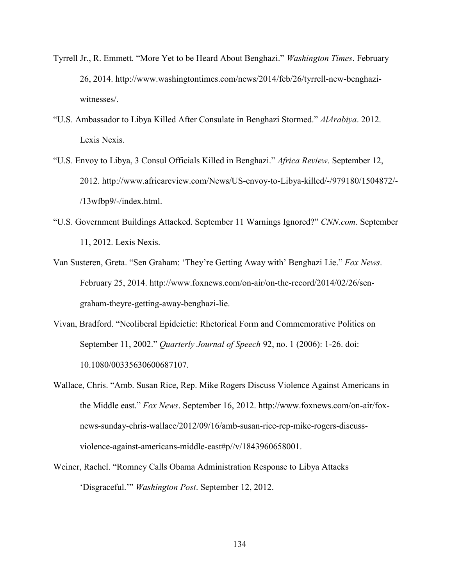- Tyrrell Jr., R. Emmett. "More Yet to be Heard About Benghazi." *Washington Times*. February 26, 2014. [http://www.washingtontimes.com/news/2014/feb/26/tyrrell-new-benghazi](http://www.washingtontimes.com/news/2014/feb/26/tyrrell-new-benghazi-witnesses/)[witnesses/.](http://www.washingtontimes.com/news/2014/feb/26/tyrrell-new-benghazi-witnesses/)
- "U.S. Ambassador to Libya Killed After Consulate in Benghazi Stormed." *AlArabiya*. 2012. Lexis Nexis.
- "U.S. Envoy to Libya, 3 Consul Officials Killed in Benghazi." *Africa Review*. September 12, 2012. http://www.africareview.com/News/US-envoy-to-Libya-killed/-/979180/1504872/- /13wfbp9/-/index.html.
- "U.S. Government Buildings Attacked. September 11 Warnings Ignored?" *CNN.com*. September 11, 2012. Lexis Nexis.
- Van Susteren, Greta. "Sen Graham: 'They're Getting Away with' Benghazi Lie." *Fox News*. February 25, 2014. [http://www.foxnews.com/on-air/on-the-record/2014/02/26/sen](http://www.foxnews.com/on-air/on-the-record/2014/02/26/sen-graham-theyre-getting-away-benghazi-lie)[graham-theyre-getting-away-benghazi-lie.](http://www.foxnews.com/on-air/on-the-record/2014/02/26/sen-graham-theyre-getting-away-benghazi-lie)
- Vivan, Bradford. "Neoliberal Epideictic: Rhetorical Form and Commemorative Politics on September 11, 2002." *Quarterly Journal of Speech* 92, no. 1 (2006): 1-26. doi: 10.1080/00335630600687107.
- Wallace, Chris. "Amb. Susan Rice, Rep. Mike Rogers Discuss Violence Against Americans in the Middle east." *Fox News*. September 16, 2012. [http://www.foxnews.com/on-air/fox](http://www.foxnews.com/on-air/fox-news-sunday-chris-wallace/2012/09/16/amb-susan-rice-rep-mike-rogers-discuss-violence-against-americans-middle-east#p//v/1843960658001)[news-sunday-chris-wallace/2012/09/16/amb-susan-rice-rep-mike-rogers-discuss](http://www.foxnews.com/on-air/fox-news-sunday-chris-wallace/2012/09/16/amb-susan-rice-rep-mike-rogers-discuss-violence-against-americans-middle-east#p//v/1843960658001)[violence-against-americans-middle-east#p//v/1843960658001.](http://www.foxnews.com/on-air/fox-news-sunday-chris-wallace/2012/09/16/amb-susan-rice-rep-mike-rogers-discuss-violence-against-americans-middle-east#p//v/1843960658001)
- Weiner, Rachel. "Romney Calls Obama Administration Response to Libya Attacks 'Disgraceful.'" *Washington Post*. September 12, 2012.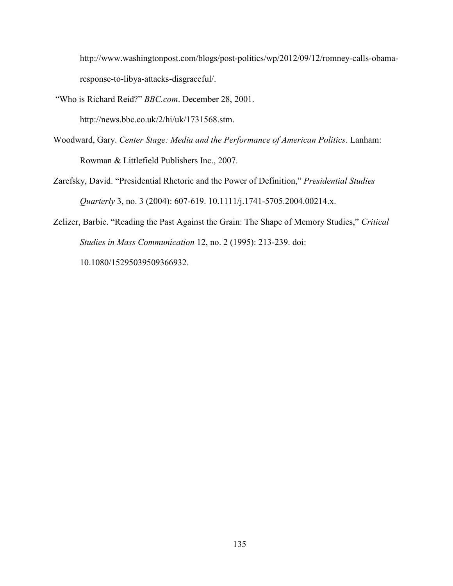http://www.washingtonpost.com/blogs/post-politics/wp/2012/09/12/romney-calls-obamaresponse-to-libya-attacks-disgraceful/.

"Who is Richard Reid?" *BBC.com*. December 28, 2001.

[http://news.bbc.co.uk/2/hi/uk/1731568.stm.](http://news.bbc.co.uk/2/hi/uk/1731568.stm)

- Woodward, Gary. *Center Stage: Media and the Performance of American Politics*. Lanham: Rowman & Littlefield Publishers Inc., 2007.
- Zarefsky, David. "Presidential Rhetoric and the Power of Definition," *Presidential Studies Quarterly* 3, no. 3 (2004): 607-619. 10.1111/j.1741-5705.2004.00214.x.
- Zelizer, Barbie. "Reading the Past Against the Grain: The Shape of Memory Studies," *Critical Studies in Mass Communication* 12, no. 2 (1995): 213-239. doi: 10.1080/15295039509366932.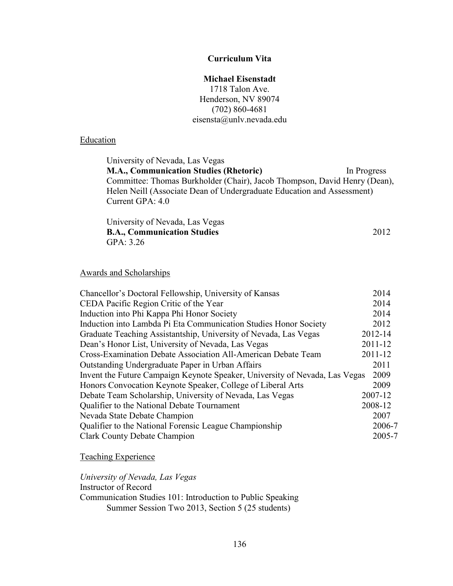# **Curriculum Vita**

## **Michael Eisenstadt**

1718 Talon Ave. Henderson, NV 89074 (702) 860-4681 eisensta@unlv.nevada.edu

# **Education**

University of Nevada, Las Vegas **M.A., Communication Studies (Rhetoric)** In Progress Committee: Thomas Burkholder (Chair), Jacob Thompson, David Henry (Dean), Helen Neill (Associate Dean of Undergraduate Education and Assessment) Current GPA: 4.0

| University of Nevada, Las Vegas    |      |
|------------------------------------|------|
| <b>B.A., Communication Studies</b> | 2012 |
| GPA: 3.26                          |      |

## Awards and Scholarships

| Chancellor's Doctoral Fellowship, University of Kansas                      | 2014    |
|-----------------------------------------------------------------------------|---------|
| CEDA Pacific Region Critic of the Year                                      | 2014    |
| Induction into Phi Kappa Phi Honor Society                                  | 2014    |
| Induction into Lambda Pi Eta Communication Studies Honor Society            | 2012    |
| Graduate Teaching Assistantship, University of Nevada, Las Vegas            | 2012-14 |
| Dean's Honor List, University of Nevada, Las Vegas                          | 2011-12 |
| Cross-Examination Debate Association All-American Debate Team               | 2011-12 |
| Outstanding Undergraduate Paper in Urban Affairs                            | 2011    |
| Invent the Future Campaign Keynote Speaker, University of Nevada, Las Vegas | 2009    |
| Honors Convocation Keynote Speaker, College of Liberal Arts                 | 2009    |
| Debate Team Scholarship, University of Nevada, Las Vegas                    | 2007-12 |
| Qualifier to the National Debate Tournament                                 | 2008-12 |
| Nevada State Debate Champion                                                | 2007    |
| Qualifier to the National Forensic League Championship                      | 2006-7  |
| <b>Clark County Debate Champion</b>                                         | 2005-7  |

Teaching Experience

*University of Nevada, Las Vegas* Instructor of Record Communication Studies 101: Introduction to Public Speaking Summer Session Two 2013, Section 5 (25 students)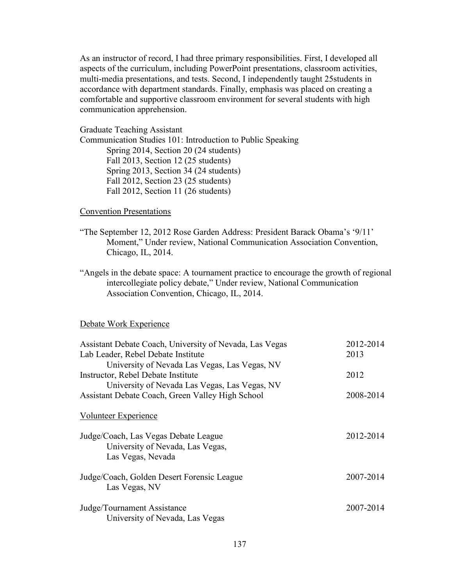As an instructor of record, I had three primary responsibilities. First, I developed all aspects of the curriculum, including PowerPoint presentations, classroom activities, multi-media presentations, and tests. Second, I independently taught 25students in accordance with department standards. Finally, emphasis was placed on creating a comfortable and supportive classroom environment for several students with high communication apprehension.

Graduate Teaching Assistant Communication Studies 101: Introduction to Public Speaking Spring 2014, Section 20 (24 students) Fall 2013, Section 12 (25 students) Spring 2013, Section 34 (24 students) Fall 2012, Section 23 (25 students) Fall 2012, Section 11 (26 students)

#### Convention Presentations

- "The September 12, 2012 Rose Garden Address: President Barack Obama's '9/11' Moment," Under review, National Communication Association Convention, Chicago, IL, 2014.
- "Angels in the debate space: A tournament practice to encourage the growth of regional intercollegiate policy debate," Under review, National Communication Association Convention, Chicago, IL, 2014.

#### Debate Work Experience

| Assistant Debate Coach, University of Nevada, Las Vegas | 2012-2014 |
|---------------------------------------------------------|-----------|
| Lab Leader, Rebel Debate Institute                      | 2013      |
| University of Nevada Las Vegas, Las Vegas, NV           |           |
| Instructor, Rebel Debate Institute                      | 2012      |
| University of Nevada Las Vegas, Las Vegas, NV           |           |
| Assistant Debate Coach, Green Valley High School        | 2008-2014 |
|                                                         |           |
| <b>Volunteer Experience</b>                             |           |
| Judge/Coach, Las Vegas Debate League                    | 2012-2014 |
| University of Nevada, Las Vegas,                        |           |
| Las Vegas, Nevada                                       |           |
|                                                         |           |
| Judge/Coach, Golden Desert Forensic League              | 2007-2014 |
| Las Vegas, NV                                           |           |
|                                                         |           |
| Judge/Tournament Assistance                             | 2007-2014 |
| University of Nevada, Las Vegas                         |           |
|                                                         |           |